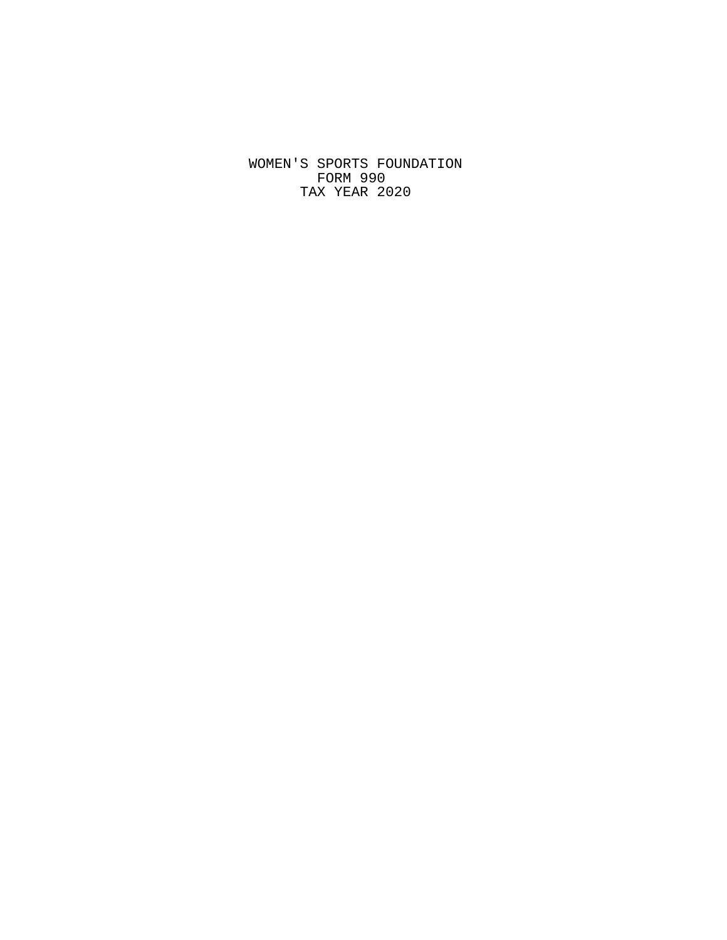WOMEN'S SPORTS FOUNDATION FORM 990 TAX YEAR 2020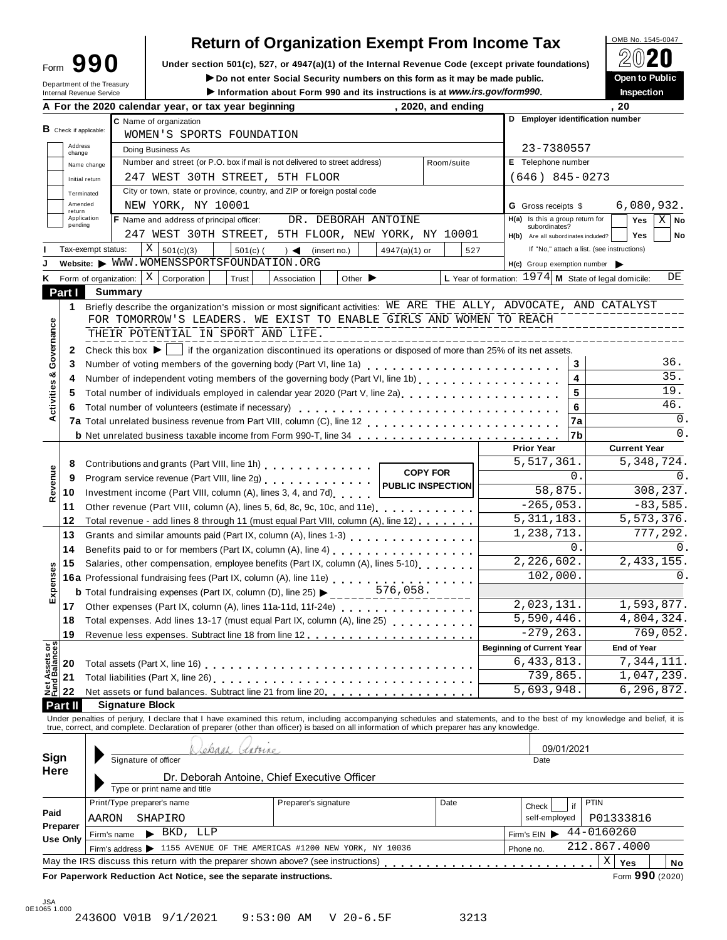| ∙orm | 990 |  |
|------|-----|--|
|      |     |  |

# **Return of Organization Exempt From Income Tax**

Form **UPP OF THE INTERNATE CONDUPPER TO THE INTERNATE OF THE INTERNATE OF THE INTERNATE OF THE INTERNATE OF THE INTERNATE OF THE INTERNATE OF THE INTERNATE OF THE INTERNATE OF THE INTERNATE OF THE INTERNATE OF THE INTERNA** Do not enter Social Security numbers on this form as it may be made public.

|                                |                       | Department of the Treasury<br>Internal Revenue Service                                     |         |                                          |                                                                                                                                                                                                                                |                      | ► Do not enter Social Security numbers on this form as it may be made public.<br>Information about Form 990 and its instructions is at www.irs.gov/form990. |                          |            |                                                        |                                                               |                   |             | Open to Public<br>Inspection |               |  |
|--------------------------------|-----------------------|--------------------------------------------------------------------------------------------|---------|------------------------------------------|--------------------------------------------------------------------------------------------------------------------------------------------------------------------------------------------------------------------------------|----------------------|-------------------------------------------------------------------------------------------------------------------------------------------------------------|--------------------------|------------|--------------------------------------------------------|---------------------------------------------------------------|-------------------|-------------|------------------------------|---------------|--|
|                                |                       |                                                                                            |         |                                          | A For the 2020 calendar year, or tax year beginning                                                                                                                                                                            |                      |                                                                                                                                                             | , 2020, and ending       |            |                                                        |                                                               |                   | . 20        |                              |               |  |
|                                |                       |                                                                                            |         | C Name of organization                   |                                                                                                                                                                                                                                |                      |                                                                                                                                                             |                          |            |                                                        | D Employer identification number                              |                   |             |                              |               |  |
|                                |                       | <b>B</b> Check if applicable:                                                              |         |                                          | WOMEN'S SPORTS FOUNDATION                                                                                                                                                                                                      |                      |                                                                                                                                                             |                          |            |                                                        |                                                               |                   |             |                              |               |  |
|                                | Address               |                                                                                            |         | Doing Business As                        |                                                                                                                                                                                                                                |                      |                                                                                                                                                             |                          |            |                                                        | 23-7380557                                                    |                   |             |                              |               |  |
|                                | change                |                                                                                            |         |                                          | Number and street (or P.O. box if mail is not delivered to street address)                                                                                                                                                     |                      |                                                                                                                                                             |                          | Room/suite |                                                        | E Telephone number                                            |                   |             |                              |               |  |
|                                |                       | Name change                                                                                |         |                                          | 247 WEST 30TH STREET, 5TH FLOOR                                                                                                                                                                                                |                      |                                                                                                                                                             |                          |            |                                                        | $(646)$ 845-0273                                              |                   |             |                              |               |  |
|                                |                       | Initial return                                                                             |         |                                          | City or town, state or province, country, and ZIP or foreign postal code                                                                                                                                                       |                      |                                                                                                                                                             |                          |            |                                                        |                                                               |                   |             |                              |               |  |
|                                | Terminated<br>Amended |                                                                                            |         | NEW YORK, NY 10001                       |                                                                                                                                                                                                                                |                      |                                                                                                                                                             |                          |            |                                                        |                                                               |                   |             | 6,080,932.                   |               |  |
|                                | return<br>Application |                                                                                            |         |                                          |                                                                                                                                                                                                                                |                      |                                                                                                                                                             |                          |            |                                                        | <b>G</b> Gross receipts \$<br>H(a) Is this a group return for |                   |             |                              |               |  |
|                                | pending               |                                                                                            |         | F Name and address of principal officer: |                                                                                                                                                                                                                                |                      | DR. DEBORAH ANTOINE                                                                                                                                         |                          |            |                                                        | subordinates?                                                 |                   |             | Yes                          | $X \mid$ No   |  |
|                                |                       |                                                                                            |         |                                          | 247 WEST 30TH STREET, 5TH FLOOR, NEW YORK, NY 10001                                                                                                                                                                            |                      |                                                                                                                                                             |                          |            |                                                        | H(b) Are all subordinates included?                           |                   |             | <b>Yes</b>                   | No            |  |
|                                |                       | Tax-exempt status:                                                                         |         | ΧI<br>501(c)(3)                          | $501(c)$ (                                                                                                                                                                                                                     | $\rightarrow$        | (insert no.)                                                                                                                                                | 4947(a)(1) or            |            | 527                                                    | If "No," attach a list. (see instructions)                    |                   |             |                              |               |  |
|                                |                       |                                                                                            |         |                                          | Website: WWW.WOMENSSPORTSFOUNDATION.ORG                                                                                                                                                                                        |                      |                                                                                                                                                             |                          |            |                                                        | H(c) Group exemption number                                   |                   |             |                              |               |  |
| Κ                              |                       | Form of organization:                                                                      |         | $X \vert$ Corporation                    | Trust                                                                                                                                                                                                                          | Association          | Other $\blacktriangleright$                                                                                                                                 |                          |            | L Year of formation: $1974$ M State of legal domicile: |                                                               |                   |             |                              | DE            |  |
|                                | Part I                |                                                                                            | Summary |                                          |                                                                                                                                                                                                                                |                      |                                                                                                                                                             |                          |            |                                                        |                                                               |                   |             |                              |               |  |
|                                | 1                     |                                                                                            |         |                                          | Briefly describe the organization's mission or most significant activities: WE ARE THE ALLY, ADVOCATE, AND CATALYST                                                                                                            |                      |                                                                                                                                                             |                          |            |                                                        |                                                               |                   |             |                              |               |  |
|                                |                       |                                                                                            |         |                                          | FOR TOMORROW'S LEADERS. WE EXIST TO ENABLE GIRLS AND WOMEN TO REACH                                                                                                                                                            |                      |                                                                                                                                                             |                          |            |                                                        |                                                               |                   |             |                              |               |  |
| Governance                     |                       |                                                                                            |         |                                          | THEIR POTENTIAL IN SPORT AND LIFE.                                                                                                                                                                                             |                      |                                                                                                                                                             |                          |            |                                                        | _____________________                                         |                   |             |                              |               |  |
|                                | 2                     |                                                                                            |         |                                          | Check this box $\blacktriangleright$   if the organization discontinued its operations or disposed of more than 25% of its net assets.                                                                                         |                      |                                                                                                                                                             |                          |            |                                                        |                                                               |                   |             |                              |               |  |
|                                | 3                     |                                                                                            |         |                                          |                                                                                                                                                                                                                                |                      |                                                                                                                                                             |                          |            |                                                        |                                                               | 3                 |             |                              | 36.           |  |
|                                | 4                     |                                                                                            |         |                                          | Number of independent voting members of the governing body (Part VI, line 1b)                                                                                                                                                  |                      |                                                                                                                                                             |                          |            |                                                        |                                                               | 4                 |             |                              | 35.           |  |
|                                | 5                     |                                                                                            |         |                                          | Total number of individuals employed in calendar year 2020 (Part V, line 2a)<br>Total number of individuals employed in calendar year 2020 (Part V, line 2a)                                                                   |                      |                                                                                                                                                             |                          |            |                                                        |                                                               | 5                 |             |                              | 19.           |  |
| Activities &                   |                       |                                                                                            |         |                                          |                                                                                                                                                                                                                                |                      |                                                                                                                                                             |                          |            |                                                        |                                                               | 6                 |             |                              | 46.           |  |
|                                | 6                     |                                                                                            |         |                                          | Total number of volunteers (estimate if necessary)                                                                                                                                                                             |                      |                                                                                                                                                             |                          |            |                                                        |                                                               |                   |             |                              | $\mathbf 0$ . |  |
|                                |                       |                                                                                            |         |                                          |                                                                                                                                                                                                                                |                      |                                                                                                                                                             |                          |            |                                                        |                                                               | 7a                |             |                              | 0.            |  |
|                                |                       |                                                                                            |         |                                          | <b>b</b> Net unrelated business taxable income from Form 990-T, line 34                                                                                                                                                        |                      |                                                                                                                                                             |                          |            |                                                        |                                                               | 7b                |             |                              |               |  |
|                                |                       |                                                                                            |         |                                          |                                                                                                                                                                                                                                |                      |                                                                                                                                                             |                          |            |                                                        | <b>Prior Year</b>                                             |                   |             | <b>Current Year</b>          |               |  |
|                                | 8                     | Contributions and grants (Part VIII, line 1h)<br>1998 - Part VIII, 2008<br><b>COPY FOR</b> |         |                                          |                                                                                                                                                                                                                                |                      |                                                                                                                                                             | 5,517,361.               |            | 5, 348, 724.                                           |                                                               |                   |             |                              |               |  |
|                                | 9                     |                                                                                            |         |                                          | Program service revenue (Part VIII, line 2g)                                                                                                                                                                                   |                      |                                                                                                                                                             | <b>PUBLIC INSPECTION</b> |            |                                                        |                                                               | 0.                |             |                              | 0.            |  |
| Revenue                        | 10                    |                                                                                            |         |                                          | Investment income (Part VIII, column (A), lines 3, 4, and 7d)                                                                                                                                                                  |                      |                                                                                                                                                             |                          |            |                                                        | 58,875.                                                       |                   |             |                              | 308,237.      |  |
|                                | 11                    |                                                                                            |         |                                          | Other revenue (Part VIII, column (A), lines 5, 6d, 8c, 9c, 10c, and 11e) [100]                                                                                                                                                 |                      |                                                                                                                                                             |                          |            |                                                        | $-265,053.$                                                   |                   |             |                              | $-83,585.$    |  |
|                                | 12                    |                                                                                            |         |                                          | Total revenue - add lines 8 through 11 (must equal Part VIII, column (A), line 12)                                                                                                                                             |                      |                                                                                                                                                             |                          |            |                                                        | $\overline{5,311,183}$ .                                      |                   |             | 5,573,376.                   |               |  |
|                                | 13                    |                                                                                            |         |                                          |                                                                                                                                                                                                                                |                      |                                                                                                                                                             |                          |            |                                                        | 1,238,713.                                                    |                   |             |                              | 777,292.      |  |
|                                | 14                    |                                                                                            |         |                                          | Benefits paid to or for members (Part IX, column (A), line 4)                                                                                                                                                                  |                      |                                                                                                                                                             |                          |            |                                                        |                                                               | 0.                |             |                              | $0$ .         |  |
|                                | 15                    |                                                                                            |         |                                          | Salaries, other compensation, employee benefits (Part IX, column (A), lines 5-10)                                                                                                                                              |                      |                                                                                                                                                             |                          |            |                                                        | 2,226,602.                                                    |                   |             | 2, 433, 155.                 |               |  |
|                                |                       |                                                                                            |         |                                          | 16a Professional fundraising fees (Part IX, column (A), line 11e)                                                                                                                                                              |                      |                                                                                                                                                             |                          |            |                                                        | 102,000.                                                      |                   |             |                              |               |  |
| Expenses                       |                       |                                                                                            |         |                                          | <b>b</b> Total fundraising expenses (Part IX, column (D), line 25) $\blacktriangleright$ _____                                                                                                                                 |                      |                                                                                                                                                             | 576,058.                 |            |                                                        |                                                               |                   |             |                              |               |  |
|                                | 17                    |                                                                                            |         |                                          | Other expenses (Part IX, column (A), lines 11a-11d, 11f-24e)                                                                                                                                                                   |                      |                                                                                                                                                             |                          |            |                                                        | 2,023,131.                                                    |                   |             | 1,593,877.                   |               |  |
|                                | 18                    |                                                                                            |         |                                          | Total expenses. Add lines 13-17 (must equal Part IX, column (A), line 25)                                                                                                                                                      |                      |                                                                                                                                                             |                          |            |                                                        | 5,590,446.                                                    |                   |             | 4,804,324.                   |               |  |
|                                |                       |                                                                                            |         |                                          |                                                                                                                                                                                                                                |                      |                                                                                                                                                             |                          |            |                                                        | $-279, 263.$                                                  |                   |             |                              | 769,052.      |  |
|                                | 19                    |                                                                                            |         |                                          |                                                                                                                                                                                                                                |                      |                                                                                                                                                             |                          |            |                                                        | <b>Beginning of Current Year</b>                              |                   |             | <b>End of Year</b>           |               |  |
| Net Assets or<br>Fund Balances |                       |                                                                                            |         |                                          |                                                                                                                                                                                                                                |                      |                                                                                                                                                             |                          |            |                                                        |                                                               |                   |             |                              |               |  |
|                                | 20                    |                                                                                            |         |                                          |                                                                                                                                                                                                                                |                      |                                                                                                                                                             |                          |            |                                                        | 6, 433, 813.                                                  |                   |             | 7,344,111.                   |               |  |
|                                | 21                    |                                                                                            |         |                                          |                                                                                                                                                                                                                                |                      |                                                                                                                                                             |                          |            |                                                        | 739,865.                                                      |                   |             | 1,047,239.                   |               |  |
|                                | 22                    |                                                                                            |         |                                          | Net assets or fund balances. Subtract line 21 from line 20 [11, 11, 11, 11, 11, 11, 11, 11]                                                                                                                                    |                      |                                                                                                                                                             |                          |            |                                                        | 5,693,948.                                                    |                   |             | 6, 296, 872.                 |               |  |
|                                | <b>Part II</b>        |                                                                                            |         | <b>Signature Block</b>                   |                                                                                                                                                                                                                                |                      |                                                                                                                                                             |                          |            |                                                        |                                                               |                   |             |                              |               |  |
|                                |                       |                                                                                            |         |                                          | Under penalties of perjury, I declare that I have examined this return, including accompanying schedules and statements, and to the best of my knowledge and belief, it is true, correct, and complete. Declaration of prepare |                      |                                                                                                                                                             |                          |            |                                                        |                                                               |                   |             |                              |               |  |
|                                |                       |                                                                                            |         |                                          |                                                                                                                                                                                                                                |                      |                                                                                                                                                             |                          |            |                                                        |                                                               |                   |             |                              |               |  |
|                                |                       |                                                                                            |         |                                          | Leknah<br>tatoire                                                                                                                                                                                                              |                      |                                                                                                                                                             |                          |            |                                                        |                                                               | 09/01/2021        |             |                              |               |  |
| Sign                           |                       |                                                                                            |         | Signature of officer                     |                                                                                                                                                                                                                                |                      |                                                                                                                                                             |                          |            |                                                        | Date                                                          |                   |             |                              |               |  |
| Here                           |                       |                                                                                            |         |                                          | Dr. Deborah Antoine, Chief Executive Officer                                                                                                                                                                                   |                      |                                                                                                                                                             |                          |            |                                                        |                                                               |                   |             |                              |               |  |
|                                |                       |                                                                                            |         | Type or print name and title             |                                                                                                                                                                                                                                |                      |                                                                                                                                                             |                          |            |                                                        |                                                               |                   |             |                              |               |  |
|                                |                       |                                                                                            |         | Print/Type preparer's name               |                                                                                                                                                                                                                                | Preparer's signature |                                                                                                                                                             |                          | Date       |                                                        | Check                                                         | <b>PTIN</b><br>if |             |                              |               |  |
| Paid                           |                       | AARON                                                                                      |         | SHAPIRO                                  |                                                                                                                                                                                                                                |                      |                                                                                                                                                             |                          |            |                                                        | self-employed                                                 |                   | P01333816   |                              |               |  |
|                                | Preparer              |                                                                                            |         |                                          |                                                                                                                                                                                                                                |                      |                                                                                                                                                             |                          |            |                                                        |                                                               | 44-0160260        |             |                              |               |  |
|                                | Use Only              | Firm's name                                                                                |         | $\blacktriangleright$ BKD, LLP           |                                                                                                                                                                                                                                |                      |                                                                                                                                                             |                          |            |                                                        | Firm's $EIN$                                                  |                   |             |                              |               |  |
|                                |                       |                                                                                            |         |                                          | Firm's address > 1155 AVENUE OF THE AMERICAS #1200 NEW YORK, NY 10036                                                                                                                                                          |                      |                                                                                                                                                             |                          |            |                                                        | 212.867.4000<br>Phone no.                                     |                   |             |                              |               |  |
|                                |                       |                                                                                            |         |                                          | May the IRS discuss this return with the preparer shown above? (see instructions)                                                                                                                                              |                      |                                                                                                                                                             |                          |            |                                                        |                                                               |                   | $\mathbf X$ | Yes                          | No            |  |
|                                |                       |                                                                                            |         |                                          | For Paperwork Reduction Act Notice, see the separate instructions.                                                                                                                                                             |                      |                                                                                                                                                             |                          |            |                                                        |                                                               |                   |             | Form 990 (2020)              |               |  |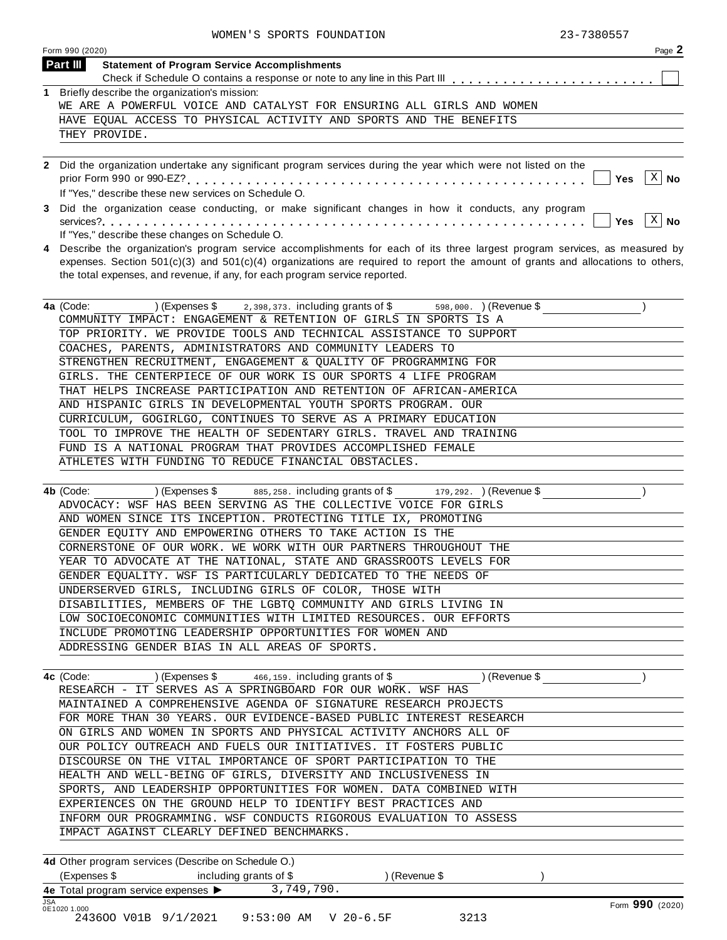| Page<br>Form 990 (2020)                                                                                                                                                                      |
|----------------------------------------------------------------------------------------------------------------------------------------------------------------------------------------------|
| <b>Part III</b><br><b>Statement of Program Service Accomplishments</b>                                                                                                                       |
| 1 Briefly describe the organization's mission:                                                                                                                                               |
| WE ARE A POWERFUL VOICE AND CATALYST FOR ENSURING ALL GIRLS AND WOMEN                                                                                                                        |
| HAVE EQUAL ACCESS TO PHYSICAL ACTIVITY AND SPORTS AND THE BENEFITS                                                                                                                           |
| THEY PROVIDE.                                                                                                                                                                                |
| 2 Did the organization undertake any significant program services during the year which were not listed on the<br>$X \mid No$<br>Yes<br>If "Yes," describe these new services on Schedule O. |
| 2. Did the examization coase conducting as make significant changes in how it conducts, any program                                                                                          |

| If "Yes," describe these changes on Schedule O. |
|-------------------------------------------------|

**4** Describe the organization's program service accomplishments for each of its three largest program services, as measured by expenses. Section 501(c)(3) and 501(c)(4) organizations are required to report the amount of grants and allocations to others, the total expenses, and revenue, if any, for each program service reported.

| $(1.398, 1.398, 373.$ including grants of \$598,000. (Revenue \$<br>4a (Code: |  |
|-------------------------------------------------------------------------------|--|
| COMMUNITY IMPACT: ENGAGEMENT & RETENTION OF GIRLS IN SPORTS IS A              |  |
| TOP PRIORITY. WE PROVIDE TOOLS AND TECHNICAL ASSISTANCE TO SUPPORT            |  |
| COACHES, PARENTS, ADMINISTRATORS AND COMMUNITY LEADERS TO                     |  |
| STRENGTHEN RECRUITMENT, ENGAGEMENT & QUALITY OF PROGRAMMING FOR               |  |
| GIRLS. THE CENTERPIECE OF OUR WORK IS OUR SPORTS 4 LIFE PROGRAM               |  |
| THAT HELPS INCREASE PARTICIPATION AND RETENTION OF AFRICAN-AMERICA            |  |
| AND HISPANIC GIRLS IN DEVELOPMENTAL YOUTH SPORTS PROGRAM. OUR                 |  |
| CURRICULUM, GOGIRLGO, CONTINUES TO SERVE AS A PRIMARY EDUCATION               |  |
| TOOL TO IMPROVE THE HEALTH OF SEDENTARY GIRLS. TRAVEL AND TRAINING            |  |
| FUND IS A NATIONAL PROGRAM THAT PROVIDES ACCOMPLISHED FEMALE                  |  |
| ATHLETES WITH FUNDING TO REDUCE FINANCIAL OBSTACLES.                          |  |

| 4b (Code:<br>$(\text{Expenses }$ 885, 258. including grants of \$ 179, 292. (Revenue \$ |
|-----------------------------------------------------------------------------------------|
| ADVOCACY: WSF HAS BEEN SERVING AS THE COLLECTIVE VOICE FOR GIRLS                        |
| AND WOMEN SINCE ITS INCEPTION. PROTECTING TITLE IX, PROMOTING                           |
| GENDER EOUITY AND EMPOWERING OTHERS TO TAKE ACTION IS THE                               |
| CORNERSTONE OF OUR WORK. WE WORK WITH OUR PARTNERS THROUGHOUT THE                       |
| YEAR TO ADVOCATE AT THE NATIONAL, STATE AND GRASSROOTS LEVELS FOR                       |
| GENDER EQUALITY. WSF IS PARTICULARLY DEDICATED TO THE NEEDS OF                          |
| UNDERSERVED GIRLS, INCLUDING GIRLS OF COLOR, THOSE WITH                                 |
| DISABILITIES, MEMBERS OF THE LGBTO COMMUNITY AND GIRLS LIVING IN                        |
| LOW SOCIOECONOMIC COMMUNITIES WITH LIMITED RESOURCES. OUR EFFORTS                       |
| INCLUDE PROMOTING LEADERSHIP OPPORTUNITIES FOR WOMEN AND                                |
| ADDRESSING GENDER BIAS IN ALL AREAS OF SPORTS.                                          |

| 4c (Code: | (Expenses $\frac{1}{3}$ 466,159. including grants of $\frac{1}{3}$  | (Revenue \$ |  |
|-----------|---------------------------------------------------------------------|-------------|--|
|           | RESEARCH - IT SERVES AS A SPRINGBOARD FOR OUR WORK. WSF HAS         |             |  |
|           | MAINTAINED A COMPREHENSIVE AGENDA OF SIGNATURE RESEARCH PROJECTS    |             |  |
|           | FOR MORE THAN 30 YEARS. OUR EVIDENCE-BASED PUBLIC INTEREST RESEARCH |             |  |
|           | ON GIRLS AND WOMEN IN SPORTS AND PHYSICAL ACTIVITY ANCHORS ALL OF   |             |  |
|           | OUR POLICY OUTREACH AND FUELS OUR INITIATIVES. IT FOSTERS PUBLIC    |             |  |
|           | DISCOURSE ON THE VITAL IMPORTANCE OF SPORT PARTICIPATION TO THE     |             |  |
|           | HEALTH AND WELL-BEING OF GIRLS, DIVERSITY AND INCLUSIVENESS IN      |             |  |
|           | SPORTS, AND LEADERSHIP OPPORTUNITIES FOR WOMEN. DATA COMBINED WITH  |             |  |
|           | EXPERIENCES ON THE GROUND HELP TO IDENTIFY BEST PRACTICES AND       |             |  |
|           | INFORM OUR PROGRAMMING. WSF CONDUCTS RIGOROUS EVALUATION TO ASSESS  |             |  |
|           | IMPACT AGAINST CLEARLY DEFINED BENCHMARKS.                          |             |  |
|           |                                                                     |             |  |

**4d** Other program services (Describe on Schedule O.) (Expenses \$ including grants of \$ ) (Revenue \$ ) 4e Total program service expenses  $\blacktriangleright$ JSA Form **990** (2020) 0E1020 1.000 3,749,790. 2436OO V01B 9/1/2021 9:53:00 AM V 20-6.5F 3213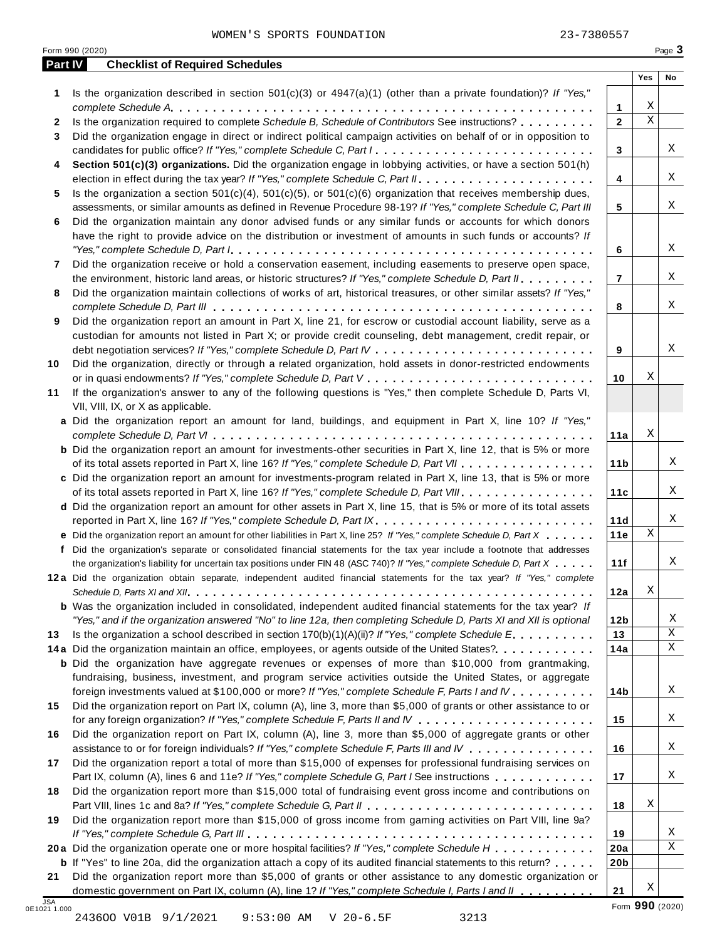|         | WOMEN'S SPORTS FOUNDATION                                                                                                 | 23-7380557      |                         |        |
|---------|---------------------------------------------------------------------------------------------------------------------------|-----------------|-------------------------|--------|
|         | Form 990 (2020)                                                                                                           |                 |                         | Page 3 |
| Part IV | <b>Checklist of Required Schedules</b>                                                                                    |                 |                         |        |
|         |                                                                                                                           |                 | Yes                     | No     |
| 1       | Is the organization described in section $501(c)(3)$ or $4947(a)(1)$ (other than a private foundation)? If "Yes,"         |                 |                         |        |
|         |                                                                                                                           | $\mathbf{1}$    | Χ                       |        |
| 2       | Is the organization required to complete Schedule B, Schedule of Contributors See instructions?                           | $\overline{2}$  | $\overline{\mathbf{x}}$ |        |
| 3       | Did the organization engage in direct or indirect political campaign activities on behalf of or in opposition to          |                 |                         |        |
|         | candidates for public office? If "Yes," complete Schedule C, Part I                                                       | $\overline{3}$  |                         | Χ      |
| 4       | Section 501(c)(3) organizations. Did the organization engage in lobbying activities, or have a section 501(h)             |                 |                         |        |
|         |                                                                                                                           | $\overline{4}$  |                         | Χ      |
| 5       | Is the organization a section $501(c)(4)$ , $501(c)(5)$ , or $501(c)(6)$ organization that receives membership dues,      |                 |                         |        |
|         | assessments, or similar amounts as defined in Revenue Procedure 98-19? If "Yes," complete Schedule C, Part III            | 5               |                         | Χ      |
| 6       | Did the organization maintain any donor advised funds or any similar funds or accounts for which donors                   |                 |                         |        |
|         | have the right to provide advice on the distribution or investment of amounts in such funds or accounts? If               |                 |                         |        |
|         |                                                                                                                           | 6               |                         | X      |
| 7       | Did the organization receive or hold a conservation easement, including easements to preserve open space,                 |                 |                         |        |
|         | the environment, historic land areas, or historic structures? If "Yes," complete Schedule D, Part II.                     | $\overline{7}$  |                         | Χ      |
| 8       | Did the organization maintain collections of works of art, historical treasures, or other similar assets? If "Yes,"       |                 |                         |        |
|         |                                                                                                                           | 8               |                         | Χ      |
| 9       | Did the organization report an amount in Part X, line 21, for escrow or custodial account liability, serve as a           |                 |                         |        |
|         | custodian for amounts not listed in Part X; or provide credit counseling, debt management, credit repair, or              |                 |                         |        |
|         |                                                                                                                           | 9               |                         | Χ      |
| 10      | Did the organization, directly or through a related organization, hold assets in donor-restricted endowments              |                 |                         |        |
|         |                                                                                                                           | 10              | Χ                       |        |
| 11      | If the organization's answer to any of the following questions is "Yes," then complete Schedule D, Parts VI,              |                 |                         |        |
|         | VII, VIII, IX, or X as applicable.                                                                                        |                 |                         |        |
|         | a Did the organization report an amount for land, buildings, and equipment in Part X, line 10? If "Yes,"                  |                 |                         |        |
|         |                                                                                                                           | 11a             | X                       |        |
|         | <b>b</b> Did the organization report an amount for investments-other securities in Part X, line 12, that is 5% or more    |                 |                         |        |
|         | of its total assets reported in Part X, line 16? If "Yes," complete Schedule D, Part VII                                  | 11 <sub>b</sub> |                         | Χ      |
|         | c Did the organization report an amount for investments-program related in Part X, line 13, that is 5% or more            |                 |                         |        |
|         | of its total assets reported in Part X, line 16? If "Yes," complete Schedule D, Part VIII                                 | 11c             |                         | X      |
|         | d Did the organization report an amount for other assets in Part X, line 15, that is 5% or more of its total assets       |                 |                         |        |
|         |                                                                                                                           | 11d             |                         | Χ      |
|         | e Did the organization report an amount for other liabilities in Part X, line 25? If "Yes," complete Schedule D, Part X   | 11e             | Χ                       |        |
|         | f Did the organization's separate or consolidated financial statements for the tax year include a footnote that addresses |                 |                         |        |
|         | the organization's liability for uncertain tax positions under FIN 48 (ASC 740)? If "Yes," complete Schedule D, Part X    | 11f             |                         | Χ      |
|         |                                                                                                                           |                 |                         |        |

**12 a** Did the organization obtain separate, independent audited financial statements for the tax year? *If "Yes," complete Schedule D, Parts XI and XII*.  $\ldots$  .  $\ldots$  .  $\ldots$  .  $\ldots$  .  $\ldots$  .  $\ldots$  .  $\ldots$  .  $\ldots$  .  $\ldots$  .  $\ldots$  .  $\ldots$  .  $\ldots$  .  $\ldots$ 

**13** Is the organization <sup>a</sup> school described in section 170(b)(1)(A)(ii)? *If"Yes," complete Schedule <sup>E</sup>*mm m m m m m m m m **b** Was the organization included in consolidated, independent audited financial statements for the tax year? *If* "Yes," and if the organization answered "No" to line 12a, then completing Schedule D, Parts XI and XII is optional

13 Is the organization a school described in section 170(b)(1)(A)(ii)? *If "Yes," complete Schedule E*.........<br>14<mark>a</mark> Did the organization maintain an office, employees, or agents outside of the United States?........... **b** Did the organization have aggregate revenues or expenses of more than \$10,000 from grantmaking, fundraising, business, investment, and program service activities outside the United States, or aggregate foreign investments valued at \$100,000 or more? *If"Yes," complete Schedule F, Parts <sup>I</sup> and IV* m m m m m m m m m m

**15** Did the organization report on Part IX, column (A), line 3, more than \$5,000 of grants or other assistance to or for any foreign organization? *If"Yes," complete Schedule F, Parts II and IV* m m m m m m m m m m m m m m m m m m m m m

**16** Did the organization report on Part IX, column (A), line 3, more than \$5,000 of aggregate grants or other assistance to or for foreign individuals? If "Yes," complete Schedule F, Parts III and IV . . . . . . . . . . . . . . . .

**17** Did the organization report a total of more than \$15,000 of expenses for professional fundraising services on Part IX, column (A), lines 6 and 11e? If "Yes," *complete Schedule G, Part I* See instructions mand mean mean mean

**18 19** Did the organization report more than \$15,000 total of fundraising event gross income and contributions on Part VIII, lines 1c and 8a? *If "Yes," complete Schedule G, Part II* m m m m m m m m m m m m m m m m m m m m m m m m m m m Did the organization report more than \$15,000 of gross income from gaming activities on Part VIII, line 9a?

**20 a** Did the organization operate one or more hospital facilities? *If "Yes," complete Schedule H* m m m m m m m m m m m m *If "Yes," complete Schedule G, Part III* m m m m m m m m m m m m m m m m m m m m m m m m m m m m m m m m m m m m m m m m m

**21 a** Did the organization operate one or more hospital facilities? If "Yes," complete Schedule H<br>**b** If "Yes" to line 20a, did the organization attach a copy of its audited financial statements to this return?<br>————————————— Did the organization report more than \$5,000 of grants or other assistance to any domestic organization or domestic government on Part IX, column (A), line 1? *If "Yes," complete Schedule I, Parts I and II*<br>0E1021 1.000

X

**12a**

**12b 13 14a**

**14b**

**15**

**16**

**17**

**18**

**19 20a 20b**

**21**

X X X

X

X

X

X

 X X

X

X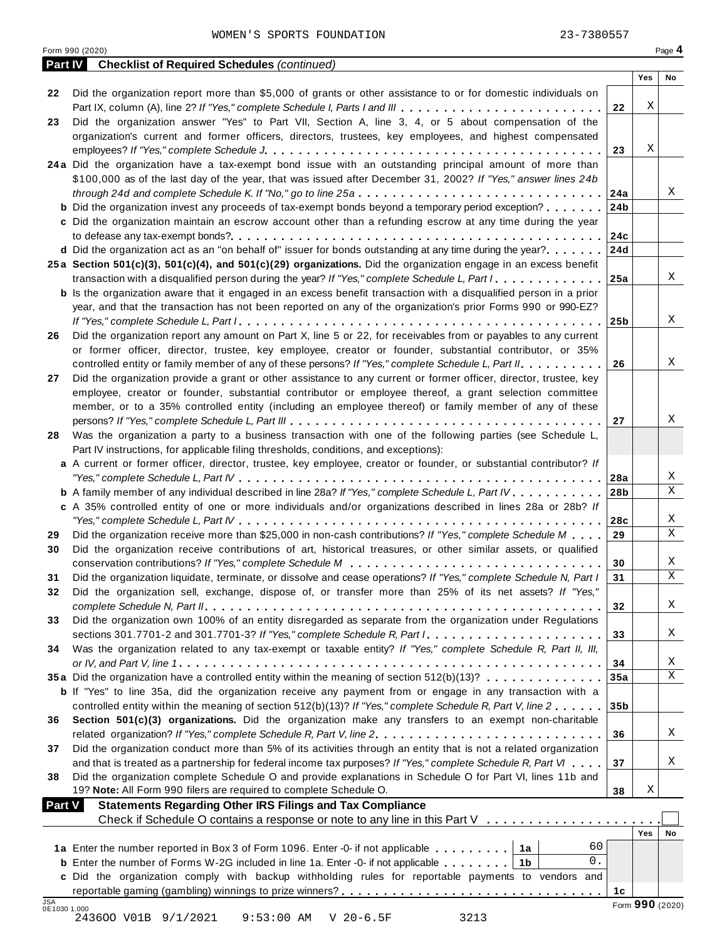| Part IV                    | <b>Checklist of Required Schedules (continued)</b>                                                                        |                 |                 |    |
|----------------------------|---------------------------------------------------------------------------------------------------------------------------|-----------------|-----------------|----|
|                            |                                                                                                                           |                 | Yes             | No |
| 22                         | Did the organization report more than \$5,000 of grants or other assistance to or for domestic individuals on             |                 |                 |    |
|                            | Part IX, column (A), line 2? If "Yes," complete Schedule I, Parts I and III                                               | 22              | Χ               |    |
| 23                         | Did the organization answer "Yes" to Part VII, Section A, line 3, 4, or 5 about compensation of the                       |                 |                 |    |
|                            | organization's current and former officers, directors, trustees, key employees, and highest compensated                   | 23              | Χ               |    |
|                            | 24a Did the organization have a tax-exempt bond issue with an outstanding principal amount of more than                   |                 |                 |    |
|                            | \$100,000 as of the last day of the year, that was issued after December 31, 2002? If "Yes," answer lines 24b             |                 |                 |    |
|                            | through 24d and complete Schedule K. If "No," go to line 25a                                                              | 24a             |                 | Χ  |
|                            | <b>b</b> Did the organization invest any proceeds of tax-exempt bonds beyond a temporary period exception?                | 24 <sub>b</sub> |                 |    |
|                            | c Did the organization maintain an escrow account other than a refunding escrow at any time during the year               |                 |                 |    |
|                            |                                                                                                                           | 24c             |                 |    |
|                            | d Did the organization act as an "on behalf of" issuer for bonds outstanding at any time during the year?                 | 24d             |                 |    |
|                            | 25a Section 501(c)(3), 501(c)(4), and 501(c)(29) organizations. Did the organization engage in an excess benefit          |                 |                 |    |
|                            | transaction with a disqualified person during the year? If "Yes," complete Schedule L, Part I                             | 25a             |                 | Χ  |
|                            | <b>b</b> Is the organization aware that it engaged in an excess benefit transaction with a disqualified person in a prior |                 |                 |    |
|                            | year, and that the transaction has not been reported on any of the organization's prior Forms 990 or 990-EZ?              |                 |                 |    |
|                            |                                                                                                                           | 25 <sub>b</sub> |                 | X  |
| 26                         | Did the organization report any amount on Part X, line 5 or 22, for receivables from or payables to any current           |                 |                 |    |
|                            | or former officer, director, trustee, key employee, creator or founder, substantial contributor, or 35%                   |                 |                 |    |
|                            | controlled entity or family member of any of these persons? If "Yes," complete Schedule L, Part II.                       | 26              |                 | X  |
| 27                         | Did the organization provide a grant or other assistance to any current or former officer, director, trustee, key         |                 |                 |    |
|                            | employee, creator or founder, substantial contributor or employee thereof, a grant selection committee                    |                 |                 |    |
|                            | member, or to a 35% controlled entity (including an employee thereof) or family member of any of these                    |                 |                 |    |
|                            |                                                                                                                           | 27              |                 | Χ  |
| 28                         | Was the organization a party to a business transaction with one of the following parties (see Schedule L,                 |                 |                 |    |
|                            | Part IV instructions, for applicable filing thresholds, conditions, and exceptions):                                      |                 |                 |    |
|                            | a A current or former officer, director, trustee, key employee, creator or founder, or substantial contributor? If        |                 |                 |    |
|                            |                                                                                                                           | 28a             |                 | Χ  |
|                            | <b>b</b> A family member of any individual described in line 28a? If "Yes," complete Schedule L, Part IV.                 | 28b             |                 | Χ  |
|                            | c A 35% controlled entity of one or more individuals and/or organizations described in lines 28a or 28b? If               |                 |                 |    |
|                            |                                                                                                                           | 28c             |                 | X  |
| 29                         | Did the organization receive more than \$25,000 in non-cash contributions? If "Yes," complete Schedule M                  | 29              |                 | X  |
| 30                         | Did the organization receive contributions of art, historical treasures, or other similar assets, or qualified            |                 |                 |    |
|                            |                                                                                                                           | 30              |                 | Χ  |
| 31                         | Did the organization liquidate, terminate, or dissolve and cease operations? If "Yes," complete Schedule N, Part I        | 31              |                 | Χ  |
| 32                         | Did the organization sell, exchange, dispose of, or transfer more than 25% of its net assets? If "Yes,"                   |                 |                 |    |
|                            |                                                                                                                           | 32              |                 | Χ  |
| 33                         | Did the organization own 100% of an entity disregarded as separate from the organization under Regulations                |                 |                 |    |
|                            | sections 301.7701-2 and 301.7701-3? If "Yes," complete Schedule R, Part $l_1, \ldots, l_l, l_l, \ldots, l_l, l_l, l_l$    | 33              |                 | Χ  |
| 34                         | Was the organization related to any tax-exempt or taxable entity? If "Yes," complete Schedule R, Part II, III,            |                 |                 |    |
|                            |                                                                                                                           | 34              |                 | Χ  |
|                            | 35a Did the organization have a controlled entity within the meaning of section $512(b)(13)? \ldots \ldots \ldots \ldots$ | 35a             |                 | Χ  |
|                            | <b>b</b> If "Yes" to line 35a, did the organization receive any payment from or engage in any transaction with a          |                 |                 |    |
|                            | controlled entity within the meaning of section 512(b)(13)? If "Yes," complete Schedule R, Part V, line 2                 | 35 <sub>b</sub> |                 |    |
| 36                         | Section 501(c)(3) organizations. Did the organization make any transfers to an exempt non-charitable                      |                 |                 |    |
|                            |                                                                                                                           | 36              |                 | Χ  |
| 37                         | Did the organization conduct more than 5% of its activities through an entity that is not a related organization          |                 |                 |    |
|                            | and that is treated as a partnership for federal income tax purposes? If "Yes," complete Schedule R, Part VI              | 37              |                 | Χ  |
| 38                         | Did the organization complete Schedule O and provide explanations in Schedule O for Part VI, lines 11b and                |                 |                 |    |
|                            | 19? Note: All Form 990 filers are required to complete Schedule O.                                                        | 38              | Χ               |    |
| <b>Part V</b>              | <b>Statements Regarding Other IRS Filings and Tax Compliance</b>                                                          |                 |                 |    |
|                            | Check if Schedule O contains a response or note to any line in this Part V                                                |                 |                 |    |
|                            |                                                                                                                           |                 | Yes             | No |
|                            | 60<br>1a Enter the number reported in Box 3 of Form 1096. Enter -0- if not applicable<br>∣ 1a                             |                 |                 |    |
|                            | $0$ .<br><b>b</b> Enter the number of Forms W-2G included in line 1a. Enter -0- if not applicable $\ldots \ldots$ ,       |                 |                 |    |
|                            | c Did the organization comply with backup withholding rules for reportable payments to vendors and                        |                 |                 |    |
|                            |                                                                                                                           | 1c              |                 |    |
| <b>JSA</b><br>0E1030 1.000 |                                                                                                                           |                 | Form 990 (2020) |    |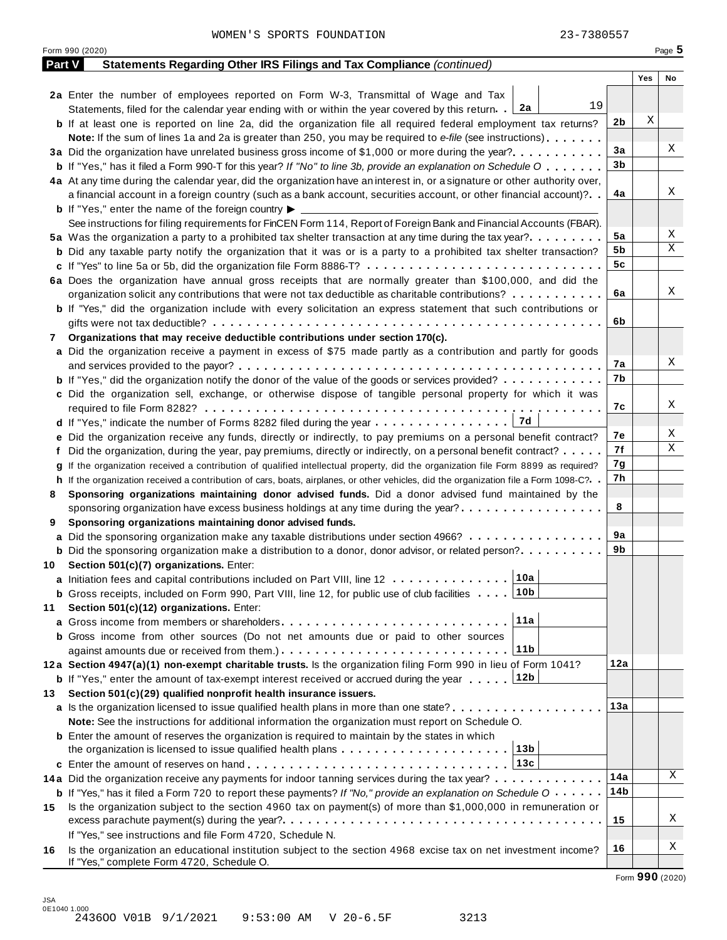Form <sup>990</sup> (2020) Page **5**

|    | <b>Part V</b><br>Statements Regarding Other IRS Filings and Tax Compliance (continued)                                                                                                                                                          |                 |     |    |
|----|-------------------------------------------------------------------------------------------------------------------------------------------------------------------------------------------------------------------------------------------------|-----------------|-----|----|
|    |                                                                                                                                                                                                                                                 |                 | Yes | No |
|    | 2a Enter the number of employees reported on Form W-3, Transmittal of Wage and Tax                                                                                                                                                              |                 |     |    |
|    | 19<br>2a<br>Statements, filed for the calendar year ending with or within the year covered by this return.                                                                                                                                      |                 |     |    |
|    | <b>b</b> If at least one is reported on line 2a, did the organization file all required federal employment tax returns?                                                                                                                         | 2b              | Χ   |    |
|    | Note: If the sum of lines 1a and 2a is greater than 250, you may be required to e-file (see instructions)                                                                                                                                       |                 |     |    |
|    |                                                                                                                                                                                                                                                 | 3a              |     | Χ  |
|    | <b>b</b> If "Yes," has it filed a Form 990-T for this year? If "No" to line 3b, provide an explanation on Schedule O                                                                                                                            | 3 <sub>b</sub>  |     |    |
|    | 4a At any time during the calendar year, did the organization have an interest in, or a signature or other authority over,                                                                                                                      |                 |     |    |
|    | a financial account in a foreign country (such as a bank account, securities account, or other financial account)?                                                                                                                              | 4a              |     | Χ  |
|    | <b>b</b> If "Yes," enter the name of the foreign country $\blacktriangleright$                                                                                                                                                                  |                 |     |    |
|    | See instructions for filing requirements for FinCEN Form 114, Report of Foreign Bank and Financial Accounts (FBAR).                                                                                                                             |                 |     |    |
|    | 5a Was the organization a party to a prohibited tax shelter transaction at any time during the tax year?                                                                                                                                        | 5a              |     | Χ  |
|    | <b>b</b> Did any taxable party notify the organization that it was or is a party to a prohibited tax shelter transaction?                                                                                                                       | 5b              |     | X  |
|    | c If "Yes" to line 5a or 5b, did the organization file Form 8886-T?                                                                                                                                                                             | 5 <sub>c</sub>  |     |    |
|    | 6a Does the organization have annual gross receipts that are normally greater than \$100,000, and did the                                                                                                                                       |                 |     |    |
|    | organization solicit any contributions that were not tax deductible as charitable contributions?                                                                                                                                                | 6a              |     | Χ  |
|    | <b>b</b> If "Yes," did the organization include with every solicitation an express statement that such contributions or                                                                                                                         |                 |     |    |
|    |                                                                                                                                                                                                                                                 | 6b              |     |    |
| 7  | Organizations that may receive deductible contributions under section 170(c).                                                                                                                                                                   |                 |     |    |
|    | a Did the organization receive a payment in excess of \$75 made partly as a contribution and partly for goods                                                                                                                                   | 7a              |     | Χ  |
|    |                                                                                                                                                                                                                                                 | 7b              |     |    |
|    | <b>b</b> If "Yes," did the organization notify the donor of the value of the goods or services provided?                                                                                                                                        |                 |     |    |
|    | c Did the organization sell, exchange, or otherwise dispose of tangible personal property for which it was                                                                                                                                      | 7c              |     | Χ  |
|    | 7d                                                                                                                                                                                                                                              |                 |     |    |
|    | d If "Yes," indicate the number of Forms 8282 filed during the year                                                                                                                                                                             | 7е              |     | Χ  |
|    | e Did the organization receive any funds, directly or indirectly, to pay premiums on a personal benefit contract?                                                                                                                               | 7f              |     | X  |
|    | f Did the organization, during the year, pay premiums, directly or indirectly, on a personal benefit contract?                                                                                                                                  | 7g              |     |    |
|    | g If the organization received a contribution of qualified intellectual property, did the organization file Form 8899 as required?                                                                                                              | 7h              |     |    |
| 8  | h If the organization received a contribution of cars, boats, airplanes, or other vehicles, did the organization file a Form 1098-C?. .<br>Sponsoring organizations maintaining donor advised funds. Did a donor advised fund maintained by the |                 |     |    |
|    | sponsoring organization have excess business holdings at any time during the year?                                                                                                                                                              | 8               |     |    |
| 9  | Sponsoring organizations maintaining donor advised funds.                                                                                                                                                                                       |                 |     |    |
|    | a Did the sponsoring organization make any taxable distributions under section 4966?                                                                                                                                                            | 9a              |     |    |
|    | <b>b</b> Did the sponsoring organization make a distribution to a donor, donor advisor, or related person?                                                                                                                                      | 9b              |     |    |
| 10 | Section 501(c)(7) organizations. Enter:                                                                                                                                                                                                         |                 |     |    |
|    | 10a<br>a Initiation fees and capital contributions included on Part VIII, line 12                                                                                                                                                               |                 |     |    |
|    | <b>b</b> Gross receipts, included on Form 990, Part VIII, line 12, for public use of club facilities <b>10b</b>                                                                                                                                 |                 |     |    |
| 11 | Section 501(c)(12) organizations. Enter:                                                                                                                                                                                                        |                 |     |    |
|    | 11a                                                                                                                                                                                                                                             |                 |     |    |
|    | <b>b</b> Gross income from other sources (Do not net amounts due or paid to other sources                                                                                                                                                       |                 |     |    |
|    | 11 <sub>b</sub>                                                                                                                                                                                                                                 |                 |     |    |
|    | 12a Section 4947(a)(1) non-exempt charitable trusts. Is the organization filing Form 990 in lieu of Form 1041?                                                                                                                                  | 12a             |     |    |
|    | 12b<br><b>b</b> If "Yes," enter the amount of tax-exempt interest received or accrued during the year                                                                                                                                           |                 |     |    |
| 13 | Section 501(c)(29) qualified nonprofit health insurance issuers.                                                                                                                                                                                |                 |     |    |
|    | a Is the organization licensed to issue qualified health plans in more than one state?                                                                                                                                                          | 13a             |     |    |
|    | Note: See the instructions for additional information the organization must report on Schedule O.                                                                                                                                               |                 |     |    |
|    | <b>b</b> Enter the amount of reserves the organization is required to maintain by the states in which                                                                                                                                           |                 |     |    |
|    | 13 <sub>b</sub>                                                                                                                                                                                                                                 |                 |     |    |
|    | 13c                                                                                                                                                                                                                                             |                 |     |    |
|    | 14a Did the organization receive any payments for indoor tanning services during the tax year?                                                                                                                                                  | 14a             |     | Χ  |
|    | <b>b</b> If "Yes," has it filed a Form 720 to report these payments? If "No," provide an explanation on Schedule $0 \cdot \cdot \cdot \cdot$                                                                                                    | 14 <sub>b</sub> |     |    |
|    | Is the organization subject to the section 4960 tax on payment(s) of more than \$1,000,000 in remuneration or                                                                                                                                   |                 |     |    |
| 15 |                                                                                                                                                                                                                                                 | 15              |     | Χ  |
|    |                                                                                                                                                                                                                                                 |                 |     |    |
|    | If "Yes," see instructions and file Form 4720, Schedule N.                                                                                                                                                                                      |                 |     |    |
| 16 | Is the organization an educational institution subject to the section 4968 excise tax on net investment income?<br>If "Yes," complete Form 4720, Schedule O.                                                                                    | 16              |     | Χ  |

JSA 0E1040 1.000 2436OO V01B 9/1/2021 9:53:00 AM V 20-6.5F 3213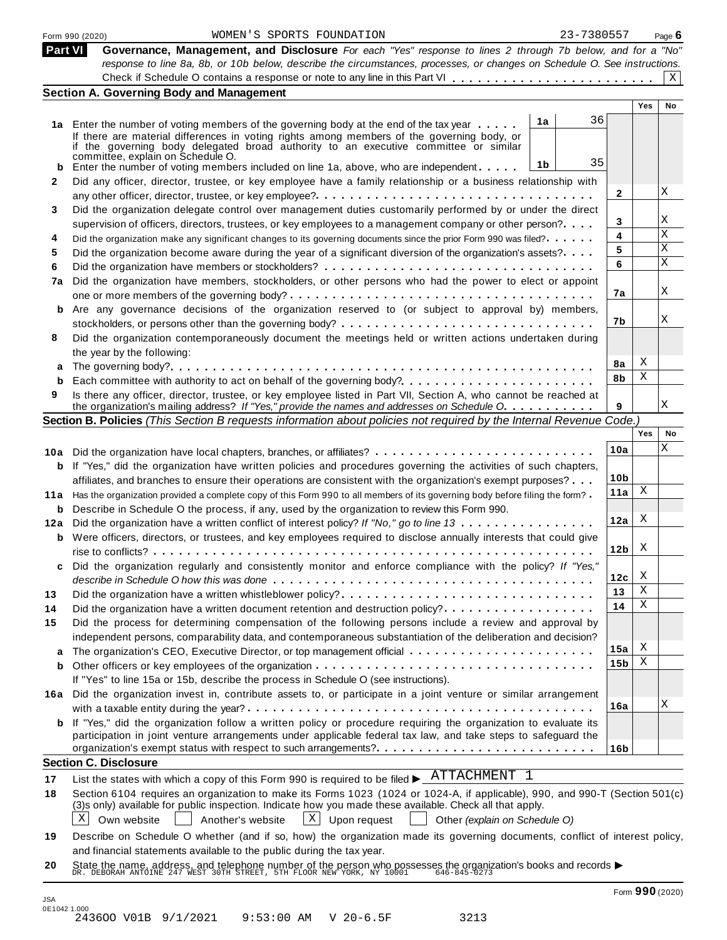| <b>Part VI</b>                          | 23-7380557<br>WOMEN'S SPORTS FOUNDATION<br>Form 990 (2020)                                                                                                                                                                                                                                           |                        | Page $6$ |    |
|-----------------------------------------|------------------------------------------------------------------------------------------------------------------------------------------------------------------------------------------------------------------------------------------------------------------------------------------------------|------------------------|----------|----|
|                                         | Governance, Management, and Disclosure For each "Yes" response to lines 2 through 7b below, and for a "No"                                                                                                                                                                                           |                        |          |    |
|                                         | response to line 8a, 8b, or 10b below, describe the circumstances, processes, or changes on Schedule O. See instructions.                                                                                                                                                                            |                        |          |    |
|                                         |                                                                                                                                                                                                                                                                                                      |                        |          | X  |
|                                         | <b>Section A. Governing Body and Management</b>                                                                                                                                                                                                                                                      |                        | Yes      | No |
|                                         | 36<br>1a                                                                                                                                                                                                                                                                                             |                        |          |    |
|                                         | 1a Enter the number of voting members of the governing body at the end of the tax year<br>If there are material differences in voting rights among members of the governing body, or                                                                                                                 |                        |          |    |
|                                         | if the governing body delegated broad authority to an executive committee or similar                                                                                                                                                                                                                 |                        |          |    |
|                                         | committee, explain on Schedule O.<br>35                                                                                                                                                                                                                                                              |                        |          |    |
|                                         | 1 <sub>b</sub><br>Enter the number of voting members included on line 1a, above, who are independent                                                                                                                                                                                                 |                        |          |    |
| 2                                       | Did any officer, director, trustee, or key employee have a family relationship or a business relationship with                                                                                                                                                                                       |                        |          |    |
|                                         |                                                                                                                                                                                                                                                                                                      | 2                      |          | Χ  |
| 3                                       | Did the organization delegate control over management duties customarily performed by or under the direct                                                                                                                                                                                            |                        |          |    |
|                                         | supervision of officers, directors, trustees, or key employees to a management company or other person?                                                                                                                                                                                              | 3                      |          | Χ  |
| 4                                       | Did the organization make any significant changes to its governing documents since the prior Form 990 was filed?                                                                                                                                                                                     | 4                      |          | Χ  |
| 5                                       | Did the organization become aware during the year of a significant diversion of the organization's assets?                                                                                                                                                                                           | 5                      |          | Χ  |
| 6                                       |                                                                                                                                                                                                                                                                                                      | 6                      |          | Χ  |
| 7a                                      | Did the organization have members, stockholders, or other persons who had the power to elect or appoint                                                                                                                                                                                              |                        |          |    |
|                                         |                                                                                                                                                                                                                                                                                                      | 7a                     |          | Χ  |
| b                                       | Are any governance decisions of the organization reserved to (or subject to approval by) members,                                                                                                                                                                                                    |                        |          |    |
|                                         |                                                                                                                                                                                                                                                                                                      | 7b                     |          | Χ  |
| 8                                       | Did the organization contemporaneously document the meetings held or written actions undertaken during                                                                                                                                                                                               |                        |          |    |
|                                         | the year by the following:                                                                                                                                                                                                                                                                           |                        |          |    |
| а                                       |                                                                                                                                                                                                                                                                                                      | 8a                     | X        |    |
| b                                       |                                                                                                                                                                                                                                                                                                      | 8b                     | Χ        |    |
| 9                                       | Is there any officer, director, trustee, or key employee listed in Part VII, Section A, who cannot be reached at                                                                                                                                                                                     |                        |          |    |
|                                         | the organization's mailing address? If "Yes," provide the names and addresses on Schedule O.                                                                                                                                                                                                         | 9                      |          | Χ  |
|                                         | Section B. Policies (This Section B requests information about policies not required by the Internal Revenue Code.)                                                                                                                                                                                  |                        |          |    |
|                                         |                                                                                                                                                                                                                                                                                                      |                        | Yes      | No |
|                                         | 10a Did the organization have local chapters, branches, or affiliates?                                                                                                                                                                                                                               | 10a                    |          | Χ  |
|                                         | <b>b</b> If "Yes," did the organization have written policies and procedures governing the activities of such chapters,                                                                                                                                                                              |                        |          |    |
|                                         |                                                                                                                                                                                                                                                                                                      |                        |          |    |
|                                         |                                                                                                                                                                                                                                                                                                      |                        |          |    |
|                                         | affiliates, and branches to ensure their operations are consistent with the organization's exempt purposes?                                                                                                                                                                                          | 10 <sub>b</sub><br>11a | X        |    |
|                                         | 11a Has the organization provided a complete copy of this Form 990 to all members of its governing body before filing the form?                                                                                                                                                                      |                        |          |    |
|                                         | <b>b</b> Describe in Schedule O the process, if any, used by the organization to review this Form 990.                                                                                                                                                                                               |                        | X        |    |
|                                         | 12a Did the organization have a written conflict of interest policy? If "No," go to line 13                                                                                                                                                                                                          | 12a                    |          |    |
| b                                       | Were officers, directors, or trustees, and key employees required to disclose annually interests that could give                                                                                                                                                                                     |                        |          |    |
|                                         |                                                                                                                                                                                                                                                                                                      | 12 <sub>b</sub>        | X        |    |
|                                         | Did the organization regularly and consistently monitor and enforce compliance with the policy? If "Yes,"                                                                                                                                                                                            |                        |          |    |
|                                         |                                                                                                                                                                                                                                                                                                      | 12c                    | X        |    |
|                                         | Did the organization have a written whistleblower policy?                                                                                                                                                                                                                                            | 13                     | X        |    |
|                                         | Did the organization have a written document retention and destruction policy?                                                                                                                                                                                                                       | 14                     | Χ        |    |
|                                         | Did the process for determining compensation of the following persons include a review and approval by                                                                                                                                                                                               |                        |          |    |
|                                         | independent persons, comparability data, and contemporaneous substantiation of the deliberation and decision?                                                                                                                                                                                        |                        |          |    |
| a                                       | The organization's CEO, Executive Director, or top management official                                                                                                                                                                                                                               | 15a                    | Χ        |    |
| b                                       |                                                                                                                                                                                                                                                                                                      | 15 <sub>b</sub>        | Χ        |    |
|                                         | If "Yes" to line 15a or 15b, describe the process in Schedule O (see instructions).                                                                                                                                                                                                                  |                        |          |    |
|                                         | Did the organization invest in, contribute assets to, or participate in a joint venture or similar arrangement                                                                                                                                                                                       |                        |          |    |
|                                         |                                                                                                                                                                                                                                                                                                      | 16a                    |          | Χ  |
| b                                       | If "Yes," did the organization follow a written policy or procedure requiring the organization to evaluate its                                                                                                                                                                                       |                        |          |    |
|                                         | participation in joint venture arrangements under applicable federal tax law, and take steps to safeguard the                                                                                                                                                                                        |                        |          |    |
|                                         |                                                                                                                                                                                                                                                                                                      | 16 <sub>b</sub>        |          |    |
|                                         | <b>Section C. Disclosure</b>                                                                                                                                                                                                                                                                         |                        |          |    |
|                                         | ATTACHMENT 1                                                                                                                                                                                                                                                                                         |                        |          |    |
|                                         | List the states with which a copy of this Form 990 is required to be filed $\blacktriangleright$ .<br>Section 6104 requires an organization to make its Forms 1023 (1024 or 1024-A, if applicable), 990, and 990-T (Section 501(c)                                                                   |                        |          |    |
|                                         | (3)s only) available for public inspection. Indicate how you made these available. Check all that apply.                                                                                                                                                                                             |                        |          |    |
|                                         | $\vert$ X<br>X<br>Own website<br>Another's website<br>Upon request<br>Other (explain on Schedule O)                                                                                                                                                                                                  |                        |          |    |
|                                         |                                                                                                                                                                                                                                                                                                      |                        |          |    |
| 13<br>14<br>15<br>16а<br>17<br>18<br>19 | Describe on Schedule O whether (and if so, how) the organization made its governing documents, conflict of interest policy,                                                                                                                                                                          |                        |          |    |
| 20                                      | and financial statements available to the public during the tax year.<br>State the name, address, and telephone number of the person who possesses the organization's books and records $\blacktriangleright$<br>DR. DEBORAH ANTOINE 247 WEST 30TH STREET, 5TH FLOOR NEW YORK, NY 10001 646-845-0273 |                        |          |    |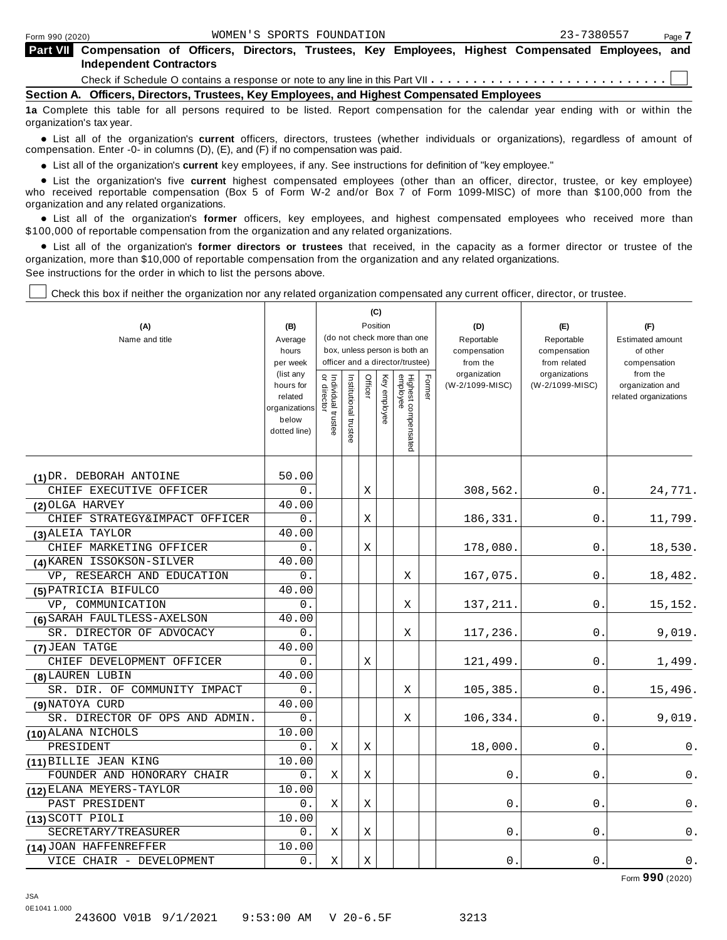**Part VII**

| Compensation of Officers, Directors, Trustees, Key Employees, Highest Compensated Employees, and<br><b>Independent Contractors</b> |  |  |  |  |  |  |  |  |  |  |
|------------------------------------------------------------------------------------------------------------------------------------|--|--|--|--|--|--|--|--|--|--|

Check if Schedule O contains a response or note to any line in this Part VII  $\ldots \ldots \ldots \ldots \ldots \ldots \ldots \ldots \ldots$ 

**Section A. Officers, Directors, Trustees, Key Employees, and Highest Compensated Employees**

**1a** Complete this table for all persons required to be listed. Report compensation for the calendar year ending with or within the organization's tax year.

anization's lax year.<br>● List all of the organization's **current** officers, directors, trustees (whether individuals or organizations), regardless of amount of<br>nnensation Enter -0- in columns (D) (E) and (E) if no compensa compensation. Enter -0- in columns (D), (E), and (F) if no compensation was paid.

• List all of the organization's current key employees, if any. See instructions for definition of "key employee."

■ List all of the organization's current key employees, if any. See instructions for definition of "key employee."<br>■ List the organization's five current highest compensated employees (other than an officer, director, tru who received reportable compensation (Box 5 of Form W-2 and/or Box 7 of Form 1099-MISC) of more than \$100,000 from the organization and any related organizations.

organization and any related organizations.<br>• List all of the organization's **former** officers, key employees, and highest compensated employees who received more than<br>\$1.00.000 of reportable componention from the erganiza \$100,000 of reportable compensation from the organization and any related organizations.

% List all of the organization's **former directors or trustees** that received, in the capacity as a former director or trustee of the organization, more than \$10,000 of reportable compensation from the organization and any related organizations. See instructions for the order in which to list the persons above.

Check this box if neither the organization nor any related organization compensated any current officer, director, or trustee.

|                                |                        |                                   |                       | (C)      |              |                                 |        |                          |                               |                          |
|--------------------------------|------------------------|-----------------------------------|-----------------------|----------|--------------|---------------------------------|--------|--------------------------|-------------------------------|--------------------------|
| (A)                            | (B)                    |                                   |                       | Position |              |                                 |        | (D)                      | (E)                           | (F)                      |
| Name and title                 | Average                |                                   |                       |          |              | (do not check more than one     |        | Reportable               | Reportable                    | <b>Estimated amount</b>  |
|                                | hours                  |                                   |                       |          |              | box, unless person is both an   |        | compensation             | compensation                  | of other                 |
|                                | per week<br>(list any  |                                   |                       |          |              | officer and a director/trustee) |        | from the<br>organization | from related<br>organizations | compensation<br>from the |
|                                | hours for              | or director<br>Individual trustee | Institutional trustee | Officer  | Key employee |                                 | Former | (W-2/1099-MISC)          | (W-2/1099-MISC)               | organization and         |
|                                | related                |                                   |                       |          |              |                                 |        |                          |                               | related organizations    |
|                                | organizations<br>below |                                   |                       |          |              |                                 |        |                          |                               |                          |
|                                | dotted line)           |                                   |                       |          |              |                                 |        |                          |                               |                          |
|                                |                        |                                   |                       |          |              | Highest compensated<br>employee |        |                          |                               |                          |
|                                |                        |                                   |                       |          |              |                                 |        |                          |                               |                          |
| (1) DR. DEBORAH ANTOINE        | 50.00                  |                                   |                       |          |              |                                 |        |                          |                               |                          |
| CHIEF EXECUTIVE OFFICER        | 0.                     |                                   |                       | Χ        |              |                                 |        | 308,562.                 | 0.                            | 24,771.                  |
| (2) OLGA HARVEY                | 40.00                  |                                   |                       |          |              |                                 |        |                          |                               |                          |
| CHIEF STRATEGY&IMPACT OFFICER  | 0.                     |                                   |                       | Χ        |              |                                 |        | 186,331                  | 0.                            | 11,799.                  |
| (3) ALEIA TAYLOR               | 40.00                  |                                   |                       |          |              |                                 |        |                          |                               |                          |
| CHIEF MARKETING OFFICER        | 0.                     |                                   |                       | X        |              |                                 |        | 178,080                  | 0.                            | 18,530.                  |
| (4) KAREN ISSOKSON-SILVER      | 40.00                  |                                   |                       |          |              |                                 |        |                          |                               |                          |
| VP, RESEARCH AND EDUCATION     | 0.                     |                                   |                       |          |              | Χ                               |        | 167,075.                 | 0.                            | 18,482.                  |
| (5) PATRICIA BIFULCO           | 40.00                  |                                   |                       |          |              |                                 |        |                          |                               |                          |
| VP, COMMUNICATION              | 0.                     |                                   |                       |          |              | Χ                               |        | 137,211.                 | 0.                            | 15,152.                  |
| (6) SARAH FAULTLESS-AXELSON    | 40.00                  |                                   |                       |          |              |                                 |        |                          |                               |                          |
| SR. DIRECTOR OF ADVOCACY       | 0.                     |                                   |                       |          |              | Χ                               |        | 117,236.                 | 0                             | 9,019.                   |
| (7) JEAN TATGE                 | 40.00                  |                                   |                       |          |              |                                 |        |                          |                               |                          |
| CHIEF DEVELOPMENT OFFICER      | 0.                     |                                   |                       | Χ        |              |                                 |        | 121,499.                 | 0                             | 1,499.                   |
| (8) LAUREN LUBIN               | 40.00                  |                                   |                       |          |              |                                 |        |                          |                               |                          |
| SR. DIR. OF COMMUNITY IMPACT   | 0.                     |                                   |                       |          |              | Χ                               |        | 105,385                  | 0.                            | 15,496.                  |
| (9) NATOYA CURD                | 40.00                  |                                   |                       |          |              |                                 |        |                          |                               |                          |
| SR. DIRECTOR OF OPS AND ADMIN. | 0.                     |                                   |                       |          |              | X                               |        | 106,334.                 | 0.                            | 9,019.                   |
| (10) ALANA NICHOLS             | 10.00                  |                                   |                       |          |              |                                 |        |                          |                               |                          |
| PRESIDENT                      | 0.                     | Χ                                 |                       | Χ        |              |                                 |        | 18,000                   | 0                             | 0.                       |
| (11) BILLIE JEAN KING          | 10.00                  |                                   |                       |          |              |                                 |        |                          |                               |                          |
| FOUNDER AND HONORARY CHAIR     | 0.                     | Χ                                 |                       | Χ        |              |                                 |        | 0                        | 0                             | 0.                       |
| (12) ELANA MEYERS-TAYLOR       | 10.00                  |                                   |                       |          |              |                                 |        |                          |                               |                          |
| PAST PRESIDENT                 | 0.                     | X                                 |                       | Χ        |              |                                 |        | 0                        | 0                             | 0.                       |
| (13) SCOTT PIOLI               | 10.00                  |                                   |                       |          |              |                                 |        |                          |                               |                          |
| SECRETARY/TREASURER            | 0.                     | Χ                                 |                       | Χ        |              |                                 |        | 0                        | 0                             | 0.                       |
| (14) JOAN HAFFENREFFER         | 10.00                  |                                   |                       |          |              |                                 |        |                          |                               |                          |
| VICE CHAIR - DEVELOPMENT       | $0$ .                  | Χ                                 |                       | Χ        |              |                                 |        | 0.                       | 0                             | 0.                       |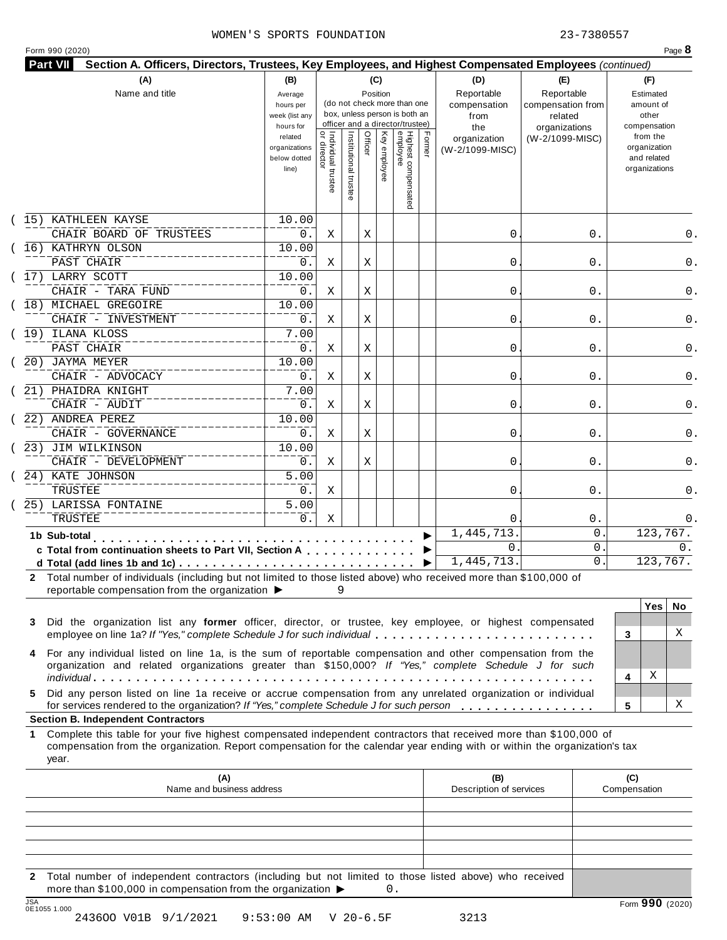|         | (A)<br>Name and title                                                                                                                                                                                                                                                                                                                                                                                           | (B)<br>Average<br>hours per<br>week (list any<br>hours for |                                           |                       | (C)<br>Position         | (do not check more than one<br>box, unless person is both an<br>officer and a director/trustee) |        | (D)<br>Reportable<br>compensation<br>from<br>the | (E)<br>Reportable<br>compensation from<br>related<br>organizations | (F)<br>Estimated<br>amount of<br>other<br>compensation   |
|---------|-----------------------------------------------------------------------------------------------------------------------------------------------------------------------------------------------------------------------------------------------------------------------------------------------------------------------------------------------------------------------------------------------------------------|------------------------------------------------------------|-------------------------------------------|-----------------------|-------------------------|-------------------------------------------------------------------------------------------------|--------|--------------------------------------------------|--------------------------------------------------------------------|----------------------------------------------------------|
|         |                                                                                                                                                                                                                                                                                                                                                                                                                 | related<br>organizations<br>below dotted<br>line)          | <br>  Individual trustee<br>  or director | Institutional trustee | Officer<br>Key employee | Highest compensated<br>employee                                                                 | Former | organization<br>(W-2/1099-MISC)                  | (W-2/1099-MISC)                                                    | from the<br>organization<br>and related<br>organizations |
|         | (15) KATHLEEN KAYSE                                                                                                                                                                                                                                                                                                                                                                                             | 10.00                                                      |                                           |                       |                         |                                                                                                 |        |                                                  |                                                                    |                                                          |
|         | CHAIR BOARD OF TRUSTEES                                                                                                                                                                                                                                                                                                                                                                                         | 0.                                                         | Χ                                         |                       | Χ                       |                                                                                                 |        | 0                                                | 0.                                                                 | 0.                                                       |
|         | (16) KATHRYN OLSON                                                                                                                                                                                                                                                                                                                                                                                              | 10.00                                                      |                                           |                       |                         |                                                                                                 |        |                                                  |                                                                    |                                                          |
|         | PAST CHAIR                                                                                                                                                                                                                                                                                                                                                                                                      | 0.                                                         | Χ                                         |                       | Χ                       |                                                                                                 |        | 0                                                | 0.                                                                 | 0.                                                       |
|         | (17) LARRY SCOTT                                                                                                                                                                                                                                                                                                                                                                                                | 10.00                                                      |                                           |                       |                         |                                                                                                 |        |                                                  |                                                                    |                                                          |
|         | CHAIR - TARA FUND                                                                                                                                                                                                                                                                                                                                                                                               | 0.                                                         | Χ                                         |                       | Χ                       |                                                                                                 |        | 0                                                | 0.                                                                 | 0.                                                       |
|         | (18) MICHAEL GREGOIRE<br>CHAIR - INVESTMENT                                                                                                                                                                                                                                                                                                                                                                     | 10.00                                                      |                                           |                       |                         |                                                                                                 |        | 0                                                |                                                                    | 0.                                                       |
|         | (19) ILANA KLOSS                                                                                                                                                                                                                                                                                                                                                                                                | 0.<br>7.00                                                 | Χ                                         |                       | Χ                       |                                                                                                 |        |                                                  | 0.                                                                 |                                                          |
|         | PAST CHAIR                                                                                                                                                                                                                                                                                                                                                                                                      | 0.                                                         | Χ                                         |                       | Χ                       |                                                                                                 |        | 0                                                | 0.                                                                 | 0.                                                       |
|         | 20) JAYMA MEYER                                                                                                                                                                                                                                                                                                                                                                                                 | 10.00                                                      |                                           |                       |                         |                                                                                                 |        |                                                  |                                                                    |                                                          |
|         | CHAIR - ADVOCACY                                                                                                                                                                                                                                                                                                                                                                                                | 0.                                                         | Χ                                         |                       | Χ                       |                                                                                                 |        | 0                                                | 0.                                                                 | 0.                                                       |
|         | 21) PHAIDRA KNIGHT                                                                                                                                                                                                                                                                                                                                                                                              | 7.00                                                       |                                           |                       |                         |                                                                                                 |        |                                                  |                                                                    |                                                          |
|         | CHAIR - AUDIT                                                                                                                                                                                                                                                                                                                                                                                                   | 0.                                                         | Χ                                         |                       | Χ                       |                                                                                                 |        | 0                                                | 0.                                                                 | 0.                                                       |
|         | 22) ANDREA PEREZ                                                                                                                                                                                                                                                                                                                                                                                                | 10.00                                                      |                                           |                       |                         |                                                                                                 |        |                                                  |                                                                    |                                                          |
|         | CHAIR - GOVERNANCE                                                                                                                                                                                                                                                                                                                                                                                              | 0.                                                         | Χ                                         |                       | Χ                       |                                                                                                 |        | 0                                                | 0.                                                                 | 0.                                                       |
|         | (23) JIM WILKINSON                                                                                                                                                                                                                                                                                                                                                                                              | 10.00                                                      |                                           |                       |                         |                                                                                                 |        |                                                  |                                                                    |                                                          |
|         | CHAIR - DEVELOPMENT                                                                                                                                                                                                                                                                                                                                                                                             | 0.                                                         | Χ                                         |                       | Χ                       |                                                                                                 |        | 0                                                | 0.                                                                 | 0.                                                       |
|         | (24) KATE JOHNSON                                                                                                                                                                                                                                                                                                                                                                                               | 5.00                                                       |                                           |                       |                         |                                                                                                 |        |                                                  |                                                                    |                                                          |
|         | TRUSTEE                                                                                                                                                                                                                                                                                                                                                                                                         | $0$ .                                                      | Χ                                         |                       |                         |                                                                                                 |        | 0                                                | 0.                                                                 | 0.                                                       |
|         | 25) LARISSA FONTAINE                                                                                                                                                                                                                                                                                                                                                                                            | 5.00                                                       |                                           |                       |                         |                                                                                                 |        |                                                  |                                                                    |                                                          |
|         | TRUSTEE                                                                                                                                                                                                                                                                                                                                                                                                         | $0$ .                                                      | Χ                                         |                       |                         |                                                                                                 |        | $\Omega$                                         | $0$ .                                                              | 0.                                                       |
|         | 1b Sub-total<br>.                                                                                                                                                                                                                                                                                                                                                                                               |                                                            |                                           |                       |                         |                                                                                                 |        | 1, 445, 713.                                     | 0                                                                  | 123,767.                                                 |
|         | c Total from continuation sheets to Part VII, Section A                                                                                                                                                                                                                                                                                                                                                         |                                                            |                                           |                       |                         |                                                                                                 |        | $\mathbf{0}$ .                                   | 0                                                                  | 0.                                                       |
|         |                                                                                                                                                                                                                                                                                                                                                                                                                 |                                                            |                                           |                       |                         |                                                                                                 |        | 1, 445, 713.                                     | $\mathsf{O}$ .                                                     | 123,767.                                                 |
|         | 2 Total number of individuals (including but not limited to those listed above) who received more than \$100,000 of<br>reportable compensation from the organization ▶                                                                                                                                                                                                                                          |                                                            | 9                                         |                       |                         |                                                                                                 |        |                                                  |                                                                    |                                                          |
| 3       | Did the organization list any former officer, director, or trustee, key employee, or highest compensated                                                                                                                                                                                                                                                                                                        |                                                            |                                           |                       |                         |                                                                                                 |        |                                                  |                                                                    | <b>Yes</b><br>X                                          |
| 4<br>5. | employee on line 1a? If "Yes," complete Schedule J for such individual<br>For any individual listed on line 1a, is the sum of reportable compensation and other compensation from the<br>organization and related organizations greater than \$150,000? If "Yes," complete Schedule J for such<br>Did any person listed on line 1a receive or accrue compensation from any unrelated organization or individual |                                                            |                                           |                       |                         |                                                                                                 |        |                                                  |                                                                    | 3<br>х<br>4                                              |
|         | for services rendered to the organization? If "Yes," complete Schedule J for such person                                                                                                                                                                                                                                                                                                                        |                                                            |                                           |                       |                         |                                                                                                 |        |                                                  |                                                                    | No.<br>х<br>5                                            |
| 1       | <b>Section B. Independent Contractors</b><br>Complete this table for your five highest compensated independent contractors that received more than \$100,000 of<br>compensation from the organization. Report compensation for the calendar year ending with or within the organization's tax<br>year.                                                                                                          |                                                            |                                           |                       |                         |                                                                                                 |        |                                                  |                                                                    |                                                          |
|         | (A)<br>Name and business address                                                                                                                                                                                                                                                                                                                                                                                |                                                            |                                           |                       |                         |                                                                                                 |        | (B)<br>Description of services                   |                                                                    | (C)<br>Compensation                                      |
|         |                                                                                                                                                                                                                                                                                                                                                                                                                 |                                                            |                                           |                       |                         |                                                                                                 |        |                                                  |                                                                    |                                                          |
|         |                                                                                                                                                                                                                                                                                                                                                                                                                 |                                                            |                                           |                       |                         |                                                                                                 |        |                                                  |                                                                    |                                                          |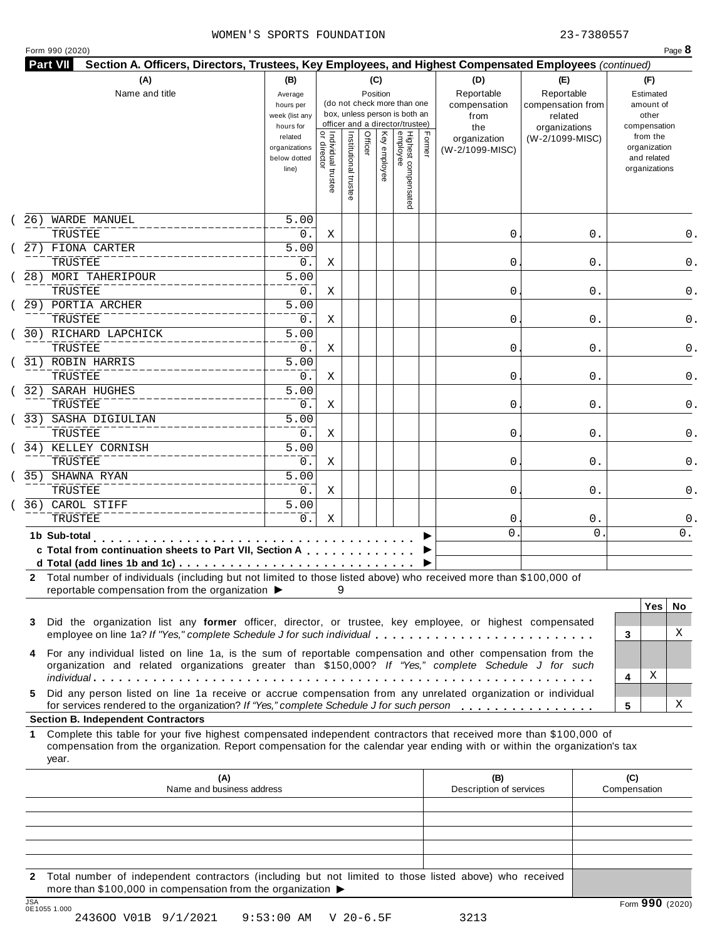|  | Form 990 (2020) |
|--|-----------------|
|  |                 |

|              | (A)                                                                                                                                                                                                                                                       | (B)                                                                             |                                     |                       | (C)                 |              |                                                                                                 |        | (D)<br>Reportable                           | (E)<br>Reportable                                                | (F)                                                                         |          |
|--------------|-----------------------------------------------------------------------------------------------------------------------------------------------------------------------------------------------------------------------------------------------------------|---------------------------------------------------------------------------------|-------------------------------------|-----------------------|---------------------|--------------|-------------------------------------------------------------------------------------------------|--------|---------------------------------------------|------------------------------------------------------------------|-----------------------------------------------------------------------------|----------|
|              | Name and title                                                                                                                                                                                                                                            | Average<br>hours per<br>week (list any<br>hours for<br>related<br>organizations |                                     |                       | Position<br>Officer |              | (do not check more than one<br>box, unless person is both an<br>officer and a director/trustee) | Former | compensation<br>from<br>the<br>organization | compensation from<br>related<br>organizations<br>(W-2/1099-MISC) | Estimated<br>amount of<br>other<br>compensation<br>from the<br>organization |          |
|              |                                                                                                                                                                                                                                                           | below dotted<br>line)                                                           | Individual trustee<br>  or director | Institutional trustee |                     | Key employee | Highest compensated<br>employee                                                                 |        | (W-2/1099-MISC)                             |                                                                  | and related<br>organizations                                                |          |
| 26)          | <b>WARDE MANUEL</b><br>TRUSTEE                                                                                                                                                                                                                            | 5.00<br>0.                                                                      | Χ                                   |                       |                     |              |                                                                                                 |        | 0                                           | 0.                                                               |                                                                             | 0.       |
|              | 27) FIONA CARTER                                                                                                                                                                                                                                          | 5.00                                                                            |                                     |                       |                     |              |                                                                                                 |        |                                             |                                                                  |                                                                             |          |
|              | TRUSTEE                                                                                                                                                                                                                                                   | 0.                                                                              | Χ                                   |                       |                     |              |                                                                                                 |        | 0                                           | 0.                                                               |                                                                             | 0.       |
|              | 28) MORI TAHERIPOUR                                                                                                                                                                                                                                       | $\overline{5.00}$                                                               |                                     |                       |                     |              |                                                                                                 |        |                                             |                                                                  |                                                                             |          |
|              | TRUSTEE<br>29) PORTIA ARCHER                                                                                                                                                                                                                              | 0.<br>$\overline{5.00}$                                                         | Χ                                   |                       |                     |              |                                                                                                 |        | 0                                           | 0.                                                               |                                                                             | 0.       |
|              | TRUSTEE                                                                                                                                                                                                                                                   | 0.                                                                              | Χ                                   |                       |                     |              |                                                                                                 |        | 0                                           | 0.                                                               |                                                                             | 0.       |
|              | 30) RICHARD LAPCHICK                                                                                                                                                                                                                                      | $\overline{5.00}$                                                               |                                     |                       |                     |              |                                                                                                 |        |                                             |                                                                  |                                                                             |          |
|              | TRUSTEE                                                                                                                                                                                                                                                   | 0.                                                                              | Χ                                   |                       |                     |              |                                                                                                 |        | 0                                           | 0.                                                               |                                                                             | 0.       |
|              | 31) ROBIN HARRIS<br>TRUSTEE                                                                                                                                                                                                                               | 5.00<br>0.                                                                      | Χ                                   |                       |                     |              |                                                                                                 |        | 0                                           | 0.                                                               |                                                                             | 0.       |
|              | 32) SARAH HUGHES                                                                                                                                                                                                                                          | $\overline{5.00}$                                                               |                                     |                       |                     |              |                                                                                                 |        |                                             |                                                                  |                                                                             |          |
|              | TRUSTEE                                                                                                                                                                                                                                                   | 0.                                                                              | Χ                                   |                       |                     |              |                                                                                                 |        | 0                                           | 0.                                                               |                                                                             | 0.       |
|              | 33) SASHA DIGIULIAN                                                                                                                                                                                                                                       | $\overline{5.00}$                                                               |                                     |                       |                     |              |                                                                                                 |        |                                             |                                                                  |                                                                             |          |
|              | TRUSTEE<br>34) KELLEY CORNISH                                                                                                                                                                                                                             | 0.<br>5.00                                                                      | Χ                                   |                       |                     |              |                                                                                                 |        | 0                                           | 0.                                                               |                                                                             | 0.       |
|              | TRUSTEE                                                                                                                                                                                                                                                   | 0.                                                                              | Χ                                   |                       |                     |              |                                                                                                 |        | 0                                           | 0.                                                               |                                                                             | 0.       |
| 35)          | SHAWNA RYAN                                                                                                                                                                                                                                               | 5.00                                                                            |                                     |                       |                     |              |                                                                                                 |        |                                             |                                                                  |                                                                             |          |
|              | TRUSTEE                                                                                                                                                                                                                                                   | 0.                                                                              | Χ                                   |                       |                     |              |                                                                                                 |        | 0                                           | 0.                                                               |                                                                             | 0.       |
|              | 36) CAROL STIFF                                                                                                                                                                                                                                           | 5.00                                                                            |                                     |                       |                     |              |                                                                                                 |        |                                             |                                                                  |                                                                             |          |
|              | TRUSTEE                                                                                                                                                                                                                                                   | $0$ .                                                                           | Χ                                   |                       |                     |              |                                                                                                 |        | 0<br>0                                      | $0$ .<br>$\mathbf 0$                                             |                                                                             | 0.<br>0. |
|              | 1b Sub-total<br>and a series of the<br>c Total from continuation sheets to Part VII, Section A                                                                                                                                                            |                                                                                 |                                     |                       |                     |              |                                                                                                 |        |                                             |                                                                  |                                                                             |          |
|              |                                                                                                                                                                                                                                                           |                                                                                 |                                     |                       |                     |              |                                                                                                 |        |                                             |                                                                  |                                                                             |          |
|              | 2 Total number of individuals (including but not limited to those listed above) who received more than \$100,000 of<br>reportable compensation from the organization ▶                                                                                    |                                                                                 | 9                                   |                       |                     |              |                                                                                                 |        |                                             |                                                                  |                                                                             |          |
|              |                                                                                                                                                                                                                                                           |                                                                                 |                                     |                       |                     |              |                                                                                                 |        |                                             |                                                                  | <b>Yes</b>                                                                  | No.      |
|              | Did the organization list any former officer, director, or trustee, key employee, or highest compensated                                                                                                                                                  |                                                                                 |                                     |                       |                     |              |                                                                                                 |        |                                             |                                                                  |                                                                             |          |
|              | employee on line 1a? If "Yes," complete Schedule J for such individual                                                                                                                                                                                    |                                                                                 |                                     |                       |                     |              |                                                                                                 |        |                                             |                                                                  | 3                                                                           | X        |
|              | For any individual listed on line 1a, is the sum of reportable compensation and other compensation from the                                                                                                                                               |                                                                                 |                                     |                       |                     |              |                                                                                                 |        |                                             |                                                                  |                                                                             |          |
|              |                                                                                                                                                                                                                                                           |                                                                                 |                                     |                       |                     |              |                                                                                                 |        |                                             |                                                                  |                                                                             |          |
|              | organization and related organizations greater than \$150,000? If "Yes," complete Schedule J for such                                                                                                                                                     |                                                                                 |                                     |                       |                     |              |                                                                                                 |        |                                             |                                                                  | Χ<br>4                                                                      |          |
|              | Did any person listed on line 1a receive or accrue compensation from any unrelated organization or individual                                                                                                                                             |                                                                                 |                                     |                       |                     |              |                                                                                                 |        |                                             |                                                                  |                                                                             |          |
| 3<br>4<br>5. | for services rendered to the organization? If "Yes," complete Schedule J for such person                                                                                                                                                                  |                                                                                 |                                     |                       |                     |              |                                                                                                 |        |                                             |                                                                  | 5                                                                           | х        |
|              | <b>Section B. Independent Contractors</b>                                                                                                                                                                                                                 |                                                                                 |                                     |                       |                     |              |                                                                                                 |        |                                             |                                                                  |                                                                             |          |
|              | Complete this table for your five highest compensated independent contractors that received more than \$100,000 of<br>compensation from the organization. Report compensation for the calendar year ending with or within the organization's tax<br>year. |                                                                                 |                                     |                       |                     |              |                                                                                                 |        |                                             |                                                                  |                                                                             |          |
|              | (A)<br>Name and business address                                                                                                                                                                                                                          |                                                                                 |                                     |                       |                     |              |                                                                                                 |        | (B)<br>Description of services              |                                                                  | (C)<br>Compensation                                                         |          |
|              |                                                                                                                                                                                                                                                           |                                                                                 |                                     |                       |                     |              |                                                                                                 |        |                                             |                                                                  |                                                                             |          |
| 1            |                                                                                                                                                                                                                                                           |                                                                                 |                                     |                       |                     |              |                                                                                                 |        |                                             |                                                                  |                                                                             |          |
|              |                                                                                                                                                                                                                                                           |                                                                                 |                                     |                       |                     |              |                                                                                                 |        |                                             |                                                                  |                                                                             |          |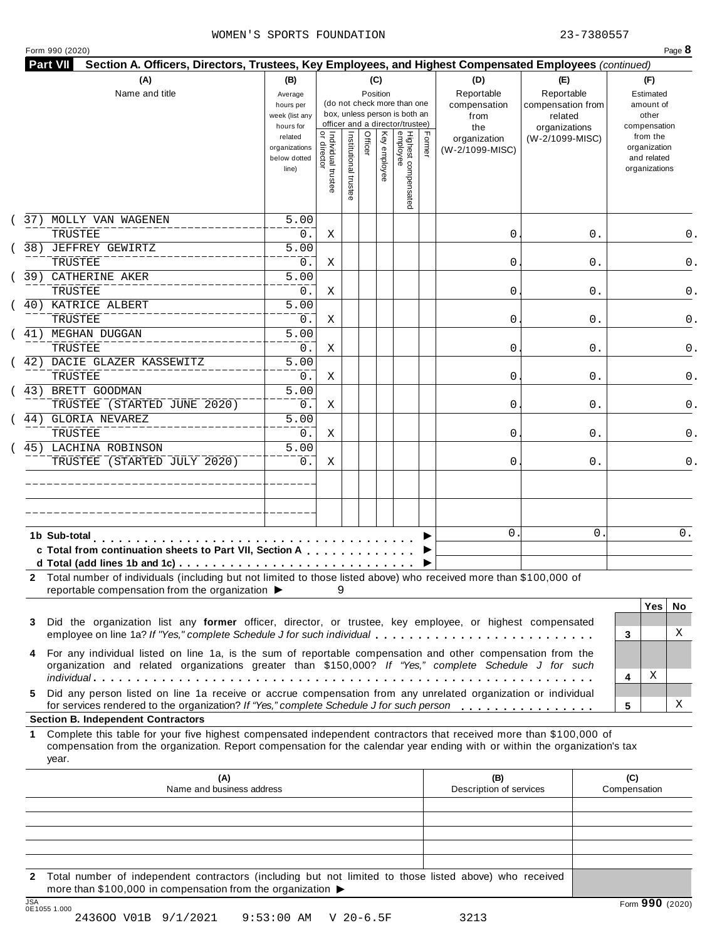|  | Form 990 (2020) |  |
|--|-----------------|--|
|  |                 |  |

| (A)<br>Name and title                                                                                                                                                                                                                                                                               | (B)<br>Average<br>hours per<br>week (list any<br>hours for |                                           |                       | (C)<br>Position         | (do not check more than one<br>box, unless person is both an<br>officer and a director/trustee) |        | (D)<br>Reportable<br>compensation<br>from<br>the | (E)<br>Reportable<br>compensation from<br>related<br>organizations | (F)<br>Estimated<br>amount of<br>other<br>compensation   |     |
|-----------------------------------------------------------------------------------------------------------------------------------------------------------------------------------------------------------------------------------------------------------------------------------------------------|------------------------------------------------------------|-------------------------------------------|-----------------------|-------------------------|-------------------------------------------------------------------------------------------------|--------|--------------------------------------------------|--------------------------------------------------------------------|----------------------------------------------------------|-----|
|                                                                                                                                                                                                                                                                                                     | related<br>organizations<br>below dotted<br>line)          | <br>  Individual trustee<br>  or director | Institutional trustee | Officer<br>Key employee | Highest compensated<br>employee                                                                 | Former | organization<br>(W-2/1099-MISC)                  | (W-2/1099-MISC)                                                    | from the<br>organization<br>and related<br>organizations |     |
| 37) MOLLY VAN WAGENEN<br>TRUSTEE                                                                                                                                                                                                                                                                    | 5.00<br>$0$ .                                              | Χ                                         |                       |                         |                                                                                                 |        | 0                                                | 0.                                                                 |                                                          | 0.  |
| 38) JEFFREY GEWIRTZ<br>TRUSTEE                                                                                                                                                                                                                                                                      | 5.00<br>0.                                                 | Χ                                         |                       |                         |                                                                                                 |        | 0                                                | 0.                                                                 |                                                          | 0.  |
| 39) CATHERINE AKER<br>TRUSTEE                                                                                                                                                                                                                                                                       | 5.00<br>0.                                                 | Χ                                         |                       |                         |                                                                                                 |        | 0                                                | 0.                                                                 |                                                          | 0.  |
| 40) KATRICE ALBERT<br>TRUSTEE                                                                                                                                                                                                                                                                       | $\overline{5.00}$<br>0.                                    | Χ                                         |                       |                         |                                                                                                 |        | 0                                                | 0.                                                                 |                                                          | 0.  |
| 41) MEGHAN DUGGAN<br>TRUSTEE                                                                                                                                                                                                                                                                        | 5.00<br>0.                                                 | Χ                                         |                       |                         |                                                                                                 |        | 0                                                | 0.                                                                 |                                                          | 0.  |
| 42) DACIE GLAZER KASSEWITZ<br>TRUSTEE                                                                                                                                                                                                                                                               | 5.00<br>0.                                                 | Χ                                         |                       |                         |                                                                                                 |        | 0                                                | 0.                                                                 |                                                          | 0.  |
| 43) BRETT GOODMAN<br>TRUSTEE (STARTED JUNE 2020)                                                                                                                                                                                                                                                    | 5.00<br>0.                                                 | Χ                                         |                       |                         |                                                                                                 |        | 0                                                | 0.                                                                 |                                                          | 0.  |
| 44) GLORIA NEVAREZ<br>TRUSTEE<br>45) LACHINA ROBINSON                                                                                                                                                                                                                                               | 5.00<br>0.<br>5.00                                         | Χ                                         |                       |                         |                                                                                                 |        | 0                                                | 0.                                                                 |                                                          | 0.  |
| TRUSTEE (STARTED JULY 2020)                                                                                                                                                                                                                                                                         | 0.                                                         | Χ                                         |                       |                         |                                                                                                 |        | 0                                                | 0.                                                                 |                                                          | 0.  |
|                                                                                                                                                                                                                                                                                                     |                                                            |                                           |                       |                         |                                                                                                 |        |                                                  |                                                                    |                                                          |     |
| 1b Sub-total<br>c Total from continuation sheets to Part VII, Section A<br>2 Total number of individuals (including but not limited to those listed above) who received more than \$100,000 of                                                                                                      |                                                            |                                           |                       |                         |                                                                                                 |        | $\mathbf{0}$                                     | 0                                                                  |                                                          | 0.  |
| reportable compensation from the organization ▶<br>Did the organization list any former officer, director, or trustee, key employee, or highest compensated<br>3                                                                                                                                    |                                                            | 9                                         |                       |                         |                                                                                                 |        |                                                  |                                                                    | <b>Yes</b>                                               | No. |
| employee on line 1a? If "Yes," complete Schedule J for such individual<br>For any individual listed on line 1a, is the sum of reportable compensation and other compensation from the<br>4<br>organization and related organizations greater than \$150,000? If "Yes," complete Schedule J for such |                                                            |                                           |                       |                         |                                                                                                 |        |                                                  |                                                                    | 3<br>х<br>4                                              | X   |
| Did any person listed on line 1a receive or accrue compensation from any unrelated organization or individual<br>5.<br>for services rendered to the organization? If "Yes," complete Schedule J for such person<br><b>Section B. Independent Contractors</b>                                        |                                                            |                                           |                       |                         |                                                                                                 |        |                                                  |                                                                    | 5                                                        | х   |
| Complete this table for your five highest compensated independent contractors that received more than \$100,000 of<br>1<br>compensation from the organization. Report compensation for the calendar year ending with or within the organization's tax<br>year.                                      |                                                            |                                           |                       |                         |                                                                                                 |        |                                                  |                                                                    |                                                          |     |
| (A)<br>Name and business address                                                                                                                                                                                                                                                                    |                                                            |                                           |                       |                         |                                                                                                 |        | (B)<br>Description of services                   |                                                                    | (C)<br>Compensation                                      |     |
|                                                                                                                                                                                                                                                                                                     |                                                            |                                           |                       |                         |                                                                                                 |        |                                                  |                                                                    |                                                          |     |
|                                                                                                                                                                                                                                                                                                     |                                                            |                                           |                       |                         |                                                                                                 |        |                                                  |                                                                    |                                                          |     |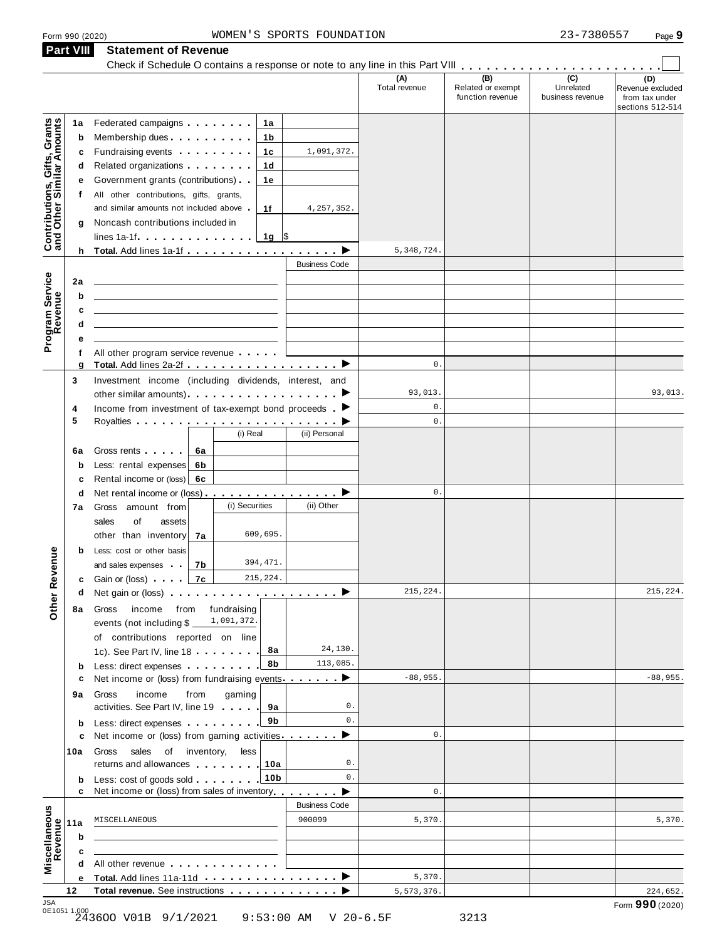**Part VIII Statement of Revenue**

|                                                           | <b>Part VIII</b> | Statement of Revenue                                                                                                                                                                                                                       |                      |                      |                                              |                                                 |                                                               |
|-----------------------------------------------------------|------------------|--------------------------------------------------------------------------------------------------------------------------------------------------------------------------------------------------------------------------------------------|----------------------|----------------------|----------------------------------------------|-------------------------------------------------|---------------------------------------------------------------|
|                                                           |                  |                                                                                                                                                                                                                                            |                      | (A)<br>Total revenue | (B)<br>Related or exempt<br>function revenue | $\overline{C}$<br>Unrelated<br>business revenue | (D)<br>Revenue excluded<br>from tax under<br>sections 512-514 |
|                                                           | 1a               | Federated campaigns <b>Federated</b><br>1a                                                                                                                                                                                                 |                      |                      |                                              |                                                 |                                                               |
| Contributions, Gifts, Grants<br>and Other Similar Amounts | b                | Membership dues <b>All Accords</b> Membership dues<br>1b                                                                                                                                                                                   |                      |                      |                                              |                                                 |                                                               |
|                                                           | c                | Fundraising events <b>Exercises Exercises</b><br>1c                                                                                                                                                                                        | 1,091,372.           |                      |                                              |                                                 |                                                               |
|                                                           | d                | Related organizations <b>and the set of the set of the set of the set of the set of the set of the set of the set of the set of the set of the set of the set of the set of the set of the set of the set of the set of the set </b><br>1d |                      |                      |                                              |                                                 |                                                               |
|                                                           | е                | Government grants (contributions).<br>1e                                                                                                                                                                                                   |                      |                      |                                              |                                                 |                                                               |
|                                                           | t.               | All other contributions, gifts, grants,                                                                                                                                                                                                    |                      |                      |                                              |                                                 |                                                               |
|                                                           |                  | and similar amounts not included above<br>1f                                                                                                                                                                                               | 4, 257, 352.         |                      |                                              |                                                 |                                                               |
|                                                           | g                | Noncash contributions included in                                                                                                                                                                                                          |                      |                      |                                              |                                                 |                                                               |
|                                                           |                  | lines 1a-1f. $\ldots$ $\ldots$ $\ldots$ $\ldots$ $\frac{1}{9}$ \$                                                                                                                                                                          |                      |                      |                                              |                                                 |                                                               |
|                                                           |                  | h Total. Add lines 1a-1f $\ldots$ , $\ldots$ , $\ldots$ , $\blacktriangleright$                                                                                                                                                            |                      | 5,348,724.           |                                              |                                                 |                                                               |
|                                                           |                  |                                                                                                                                                                                                                                            | <b>Business Code</b> |                      |                                              |                                                 |                                                               |
| Program Service<br>Revenue                                | 2a               |                                                                                                                                                                                                                                            |                      |                      |                                              |                                                 |                                                               |
|                                                           | b                |                                                                                                                                                                                                                                            |                      |                      |                                              |                                                 |                                                               |
|                                                           | c                |                                                                                                                                                                                                                                            |                      |                      |                                              |                                                 |                                                               |
|                                                           | d                |                                                                                                                                                                                                                                            |                      |                      |                                              |                                                 |                                                               |
|                                                           | е                |                                                                                                                                                                                                                                            |                      |                      |                                              |                                                 |                                                               |
|                                                           | f                | All other program service revenue                                                                                                                                                                                                          |                      |                      |                                              |                                                 |                                                               |
|                                                           | g                |                                                                                                                                                                                                                                            |                      | $\mathbf 0$ .        |                                              |                                                 |                                                               |
|                                                           | 3                | Investment income (including dividends, interest, and                                                                                                                                                                                      |                      |                      |                                              |                                                 |                                                               |
|                                                           |                  |                                                                                                                                                                                                                                            |                      | 93,013.              |                                              |                                                 | 93,013.                                                       |
|                                                           | 4                | Income from investment of tax-exempt bond proceeds $\blacktriangleright$                                                                                                                                                                   |                      | $\mathbf 0$ .        |                                              |                                                 |                                                               |
|                                                           | 5                |                                                                                                                                                                                                                                            |                      | $0$ .                |                                              |                                                 |                                                               |
|                                                           |                  | (i) Real                                                                                                                                                                                                                                   | (ii) Personal        |                      |                                              |                                                 |                                                               |
|                                                           | 6a               | Gross rents  <br>6a                                                                                                                                                                                                                        |                      |                      |                                              |                                                 |                                                               |
|                                                           | b                | Less: rental expenses<br>6b                                                                                                                                                                                                                |                      |                      |                                              |                                                 |                                                               |
|                                                           | c                | Rental income or (loss)<br>6с                                                                                                                                                                                                              |                      |                      |                                              |                                                 |                                                               |
|                                                           | d                | Net rental income or (loss) ▶                                                                                                                                                                                                              |                      | $0$ .                |                                              |                                                 |                                                               |
|                                                           | 7а               | (i) Securities<br>Gross amount from                                                                                                                                                                                                        | (ii) Other           |                      |                                              |                                                 |                                                               |
|                                                           |                  | sales<br>of<br>assets                                                                                                                                                                                                                      |                      |                      |                                              |                                                 |                                                               |
|                                                           |                  | 609,695.<br>other than inventory<br>7a                                                                                                                                                                                                     |                      |                      |                                              |                                                 |                                                               |
|                                                           | b                | Less: cost or other basis                                                                                                                                                                                                                  |                      |                      |                                              |                                                 |                                                               |
| evenue                                                    |                  | 394,471.<br>7b<br>and sales expenses .                                                                                                                                                                                                     |                      |                      |                                              |                                                 |                                                               |
|                                                           |                  | 7c<br>215,224.<br>c Gain or (loss) and a                                                                                                                                                                                                   |                      |                      |                                              |                                                 |                                                               |
| Other <sub>R</sub>                                        | d                | Net gain or (loss) $\cdots$ $\cdots$ $\cdots$ $\cdots$ $\cdots$ $\cdots$ $\cdots$                                                                                                                                                          | ▸                    | 215,224.             |                                              |                                                 | 215,224.                                                      |
|                                                           | 8a               | fundraising<br>income<br>from<br>Gross                                                                                                                                                                                                     |                      |                      |                                              |                                                 |                                                               |
|                                                           |                  | 1,091,372.<br>events (not including $\frac{6}{3}$ _                                                                                                                                                                                        |                      |                      |                                              |                                                 |                                                               |
|                                                           |                  | of contributions reported on line                                                                                                                                                                                                          |                      |                      |                                              |                                                 |                                                               |
|                                                           |                  | 8а<br>1c). See Part IV, line 18                                                                                                                                                                                                            | 24,130.              |                      |                                              |                                                 |                                                               |
|                                                           | b                | 8b<br>Less: direct expenses                                                                                                                                                                                                                | 113,085.             |                      |                                              |                                                 |                                                               |
|                                                           | c                | Net income or (loss) from fundraising events $\ldots$                                                                                                                                                                                      |                      | $-88,955.$           |                                              |                                                 | $-88,955.$                                                    |
|                                                           | 9а               | income<br>from<br>gaming<br>Gross                                                                                                                                                                                                          |                      |                      |                                              |                                                 |                                                               |
|                                                           |                  | activities. See Part IV, line 19<br>9а                                                                                                                                                                                                     | 0.                   |                      |                                              |                                                 |                                                               |
|                                                           | b                | 9b<br>Less: direct expenses                                                                                                                                                                                                                | 0.                   |                      |                                              |                                                 |                                                               |
|                                                           | c                | Net income or (loss) from gaming activities.                                                                                                                                                                                               |                      | $0$ .                |                                              |                                                 |                                                               |
|                                                           | 10a              | sales of inventory,<br>less<br>Gross                                                                                                                                                                                                       |                      |                      |                                              |                                                 |                                                               |
|                                                           |                  | returns and allowances<br>10a                                                                                                                                                                                                              | 0.                   |                      |                                              |                                                 |                                                               |
|                                                           | b                | 10b<br>Less: cost of goods sold                                                                                                                                                                                                            | 0.                   |                      |                                              |                                                 |                                                               |
|                                                           | c                | Net income or (loss) from sales of inventory                                                                                                                                                                                               |                      | $\mathbf{0}$ .       |                                              |                                                 |                                                               |
|                                                           |                  |                                                                                                                                                                                                                                            | <b>Business Code</b> |                      |                                              |                                                 |                                                               |
|                                                           | 11a              | MISCELLANEOUS                                                                                                                                                                                                                              | 900099               | 5,370.               |                                              |                                                 | 5,370.                                                        |
|                                                           | b                |                                                                                                                                                                                                                                            |                      |                      |                                              |                                                 |                                                               |
| Miscellaneous<br>Revenue                                  | c                |                                                                                                                                                                                                                                            |                      |                      |                                              |                                                 |                                                               |
|                                                           | d                | All other revenue example and the state of the state of the state of the state of the state of the state of the                                                                                                                            |                      |                      |                                              |                                                 |                                                               |
|                                                           | е                | Total. Add lines 11a-11d                                                                                                                                                                                                                   | ▸                    | 5,370.               |                                              |                                                 |                                                               |
| LSA                                                       | 12               | Total revenue. See instructions                                                                                                                                                                                                            |                      | 5, 573, 376.         |                                              |                                                 | 224,652.<br>$0.00$ (2225                                      |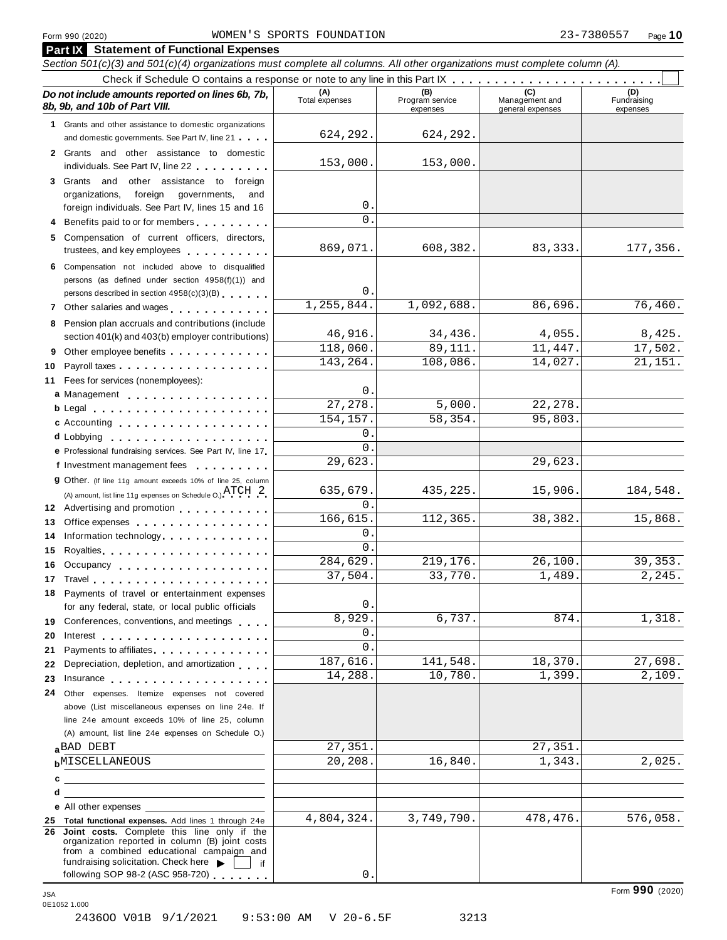#### Form <sup>990</sup> (2020) Page **10** WOMEN'S SPORTS FOUNDATION 23-7380557

| Section 501(c)(3) and 501(c)(4) organizations must complete all columns. All other organizations must complete column (A).<br>(A)<br>(B)<br>(D)<br>Do not include amounts reported on lines 6b, 7b,<br>Program service<br>Management and<br>Fundraising<br>Total expenses<br>8b, 9b, and 10b of Part VIII.<br>general expenses<br>expenses<br>expenses<br>1 Grants and other assistance to domestic organizations<br>624,292.<br>624,292.<br>and domestic governments. See Part IV, line 21<br>2 Grants and other assistance to domestic<br>153,000.<br>153,000.<br>individuals. See Part IV, line 22<br>Grants and other assistance to foreign<br>3.<br>foreign governments,<br>organizations,<br>and<br>0.<br>foreign individuals. See Part IV, lines 15 and 16<br>$\Omega$ .<br>Benefits paid to or for members<br>Compensation of current officers, directors,<br>5<br>608,382.<br>83, 333.<br>869,071.<br>177,356.<br>trustees, and key employees<br>Compensation not included above to disqualified<br>6<br>persons (as defined under section 4958(f)(1)) and<br>0.<br>persons described in section 4958(c)(3)(B)<br>1,255,844.<br>1,092,688.<br>76,460.<br>86,696.<br>7 Other salaries and wages<br>Pension plan accruals and contributions (include<br>8<br>46,916.<br>34,436.<br>4,055.<br>8,425.<br>section 401(k) and 403(b) employer contributions)<br>118,060.<br>89,111.<br>11,447.<br>17,502.<br>143, 264.<br>108,086.<br>14,027.<br>21,151.<br>10<br>Fees for services (nonemployees):<br>11<br>0.<br>a Management<br>27, 278.<br>5,000.<br>22, 278.<br>b Legal entering the service of the service of the service of the service of the service of the service of the<br>154, 157.<br>58,354.<br>95,803.<br>c Accounting<br>0.<br><b>d</b> Lobbying<br>.<br>$\Omega$ .<br>e Professional fundraising services. See Part IV, line 17<br>29,623.<br>29,623.<br>f Investment management fees<br>9 Other. (If line 11g amount exceeds 10% of line 25, column<br>435, 225.<br>184,548.<br>635,679.<br>15,906.<br>(A) amount, list line 11g expenses on Schedule O.) $\text{ATCH} \quad 2$<br>$0$ .<br>12 Advertising and promotion<br>166,615.<br>112,365.<br>38,382.<br>15,868.<br>Office expenses example and the set of the set of the set of the set of the set of the set of the set of the set of the set of the set of the set of the set of the set of the set of the set of the set of the set of the set<br>13<br>0.<br>Information technology<br>14<br>$0$ .<br>15<br>284,629.<br>219,176.<br>26,100.<br>39, 353.<br>16<br>Occupancy<br>37,504.<br>33,770.<br>1,489.<br>2,245.<br>17<br>Travel<br>Payments of travel or entertainment expenses<br>18<br>0.<br>for any federal, state, or local public officials<br>8,929.<br>6,737.<br>874.<br>1,318.<br>Conferences, conventions, and meetings<br>19<br>0.<br>20<br>$\Omega$ .<br>Payments to affiliates experience and the set of the set of the set of the set of the set of the set of the set of the set of the set of the set of the set of the set of the set of the set of the set of the set of the set<br>21<br>187,616.<br>18,370.<br>27,698.<br>141,548.<br>Depreciation, depletion, and amortization<br>22<br>14,288.<br>10,780.<br>2,109.<br>1,399.<br>Insurance <b>All According to the Contract of the Contract of the Contract of the Contract of the Contract of the Contract of the Contract of the Contract of the Contract of the Contract of the Contract of the Contract of th</b><br>23<br>Other expenses. Itemize expenses not covered<br>24<br>above (List miscellaneous expenses on line 24e. If<br>line 24e amount exceeds 10% of line 25, column<br>(A) amount, list line 24e expenses on Schedule O.)<br>27,351.<br>27,351<br>a BAD DEBT<br>20,208.<br>16,840.<br>2,025.<br>1,343.<br><b>b</b> MISCELLANEOUS<br>the control of the control of the control of the control of the control of the control of<br>$\mathbf{c}$<br>d<br>e All other expenses<br>4,804,324.<br>3,749,790.<br>478,476.<br>576,058.<br>25 Total functional expenses. Add lines 1 through 24e<br>26 Joint costs. Complete this line only if the<br>organization reported in column (B) joint costs<br>from a combined educational campaign and<br>fundraising solicitation. Check here $\blacktriangleright$<br>if<br>0. | <b>Part IX</b> Statement of Functional Expenses |  |  |
|-----------------------------------------------------------------------------------------------------------------------------------------------------------------------------------------------------------------------------------------------------------------------------------------------------------------------------------------------------------------------------------------------------------------------------------------------------------------------------------------------------------------------------------------------------------------------------------------------------------------------------------------------------------------------------------------------------------------------------------------------------------------------------------------------------------------------------------------------------------------------------------------------------------------------------------------------------------------------------------------------------------------------------------------------------------------------------------------------------------------------------------------------------------------------------------------------------------------------------------------------------------------------------------------------------------------------------------------------------------------------------------------------------------------------------------------------------------------------------------------------------------------------------------------------------------------------------------------------------------------------------------------------------------------------------------------------------------------------------------------------------------------------------------------------------------------------------------------------------------------------------------------------------------------------------------------------------------------------------------------------------------------------------------------------------------------------------------------------------------------------------------------------------------------------------------------------------------------------------------------------------------------------------------------------------------------------------------------------------------------------------------------------------------------------------------------------------------------------------------------------------------------------------------------------------------------------------------------------------------------------------------------------------------------------------------------------------------------------------------------------------------------------------------------------------------------------------------------------------------------------------------------------------------------------------------------------------------------------------------------------------------------------------------------------------------------------------------------------------------------------------------------------------------------------------------------------------------------------------------------------------------------------------------------------------------------------------------------------------------------------------------------------------------------------------------------------------------------------------------------------------------------------------------------------------------------------------------------------------------------------------------------------------------------------------------------------------------------------------------------------------------------------------------------------------------------------------------------------------------------------------------------------------------------------------------------------------------------------------------------------------------------------------------------------------------------------------------------------------------------------------------------------------------------------------------------------------------------------------------------------------------------------------------------------------|-------------------------------------------------|--|--|
|                                                                                                                                                                                                                                                                                                                                                                                                                                                                                                                                                                                                                                                                                                                                                                                                                                                                                                                                                                                                                                                                                                                                                                                                                                                                                                                                                                                                                                                                                                                                                                                                                                                                                                                                                                                                                                                                                                                                                                                                                                                                                                                                                                                                                                                                                                                                                                                                                                                                                                                                                                                                                                                                                                                                                                                                                                                                                                                                                                                                                                                                                                                                                                                                                                                                                                                                                                                                                                                                                                                                                                                                                                                                                                                                                                                                                                                                                                                                                                                                                                                                                                                                                                                                                                                                                                     |                                                 |  |  |
|                                                                                                                                                                                                                                                                                                                                                                                                                                                                                                                                                                                                                                                                                                                                                                                                                                                                                                                                                                                                                                                                                                                                                                                                                                                                                                                                                                                                                                                                                                                                                                                                                                                                                                                                                                                                                                                                                                                                                                                                                                                                                                                                                                                                                                                                                                                                                                                                                                                                                                                                                                                                                                                                                                                                                                                                                                                                                                                                                                                                                                                                                                                                                                                                                                                                                                                                                                                                                                                                                                                                                                                                                                                                                                                                                                                                                                                                                                                                                                                                                                                                                                                                                                                                                                                                                                     |                                                 |  |  |
|                                                                                                                                                                                                                                                                                                                                                                                                                                                                                                                                                                                                                                                                                                                                                                                                                                                                                                                                                                                                                                                                                                                                                                                                                                                                                                                                                                                                                                                                                                                                                                                                                                                                                                                                                                                                                                                                                                                                                                                                                                                                                                                                                                                                                                                                                                                                                                                                                                                                                                                                                                                                                                                                                                                                                                                                                                                                                                                                                                                                                                                                                                                                                                                                                                                                                                                                                                                                                                                                                                                                                                                                                                                                                                                                                                                                                                                                                                                                                                                                                                                                                                                                                                                                                                                                                                     |                                                 |  |  |
|                                                                                                                                                                                                                                                                                                                                                                                                                                                                                                                                                                                                                                                                                                                                                                                                                                                                                                                                                                                                                                                                                                                                                                                                                                                                                                                                                                                                                                                                                                                                                                                                                                                                                                                                                                                                                                                                                                                                                                                                                                                                                                                                                                                                                                                                                                                                                                                                                                                                                                                                                                                                                                                                                                                                                                                                                                                                                                                                                                                                                                                                                                                                                                                                                                                                                                                                                                                                                                                                                                                                                                                                                                                                                                                                                                                                                                                                                                                                                                                                                                                                                                                                                                                                                                                                                                     |                                                 |  |  |
|                                                                                                                                                                                                                                                                                                                                                                                                                                                                                                                                                                                                                                                                                                                                                                                                                                                                                                                                                                                                                                                                                                                                                                                                                                                                                                                                                                                                                                                                                                                                                                                                                                                                                                                                                                                                                                                                                                                                                                                                                                                                                                                                                                                                                                                                                                                                                                                                                                                                                                                                                                                                                                                                                                                                                                                                                                                                                                                                                                                                                                                                                                                                                                                                                                                                                                                                                                                                                                                                                                                                                                                                                                                                                                                                                                                                                                                                                                                                                                                                                                                                                                                                                                                                                                                                                                     |                                                 |  |  |
|                                                                                                                                                                                                                                                                                                                                                                                                                                                                                                                                                                                                                                                                                                                                                                                                                                                                                                                                                                                                                                                                                                                                                                                                                                                                                                                                                                                                                                                                                                                                                                                                                                                                                                                                                                                                                                                                                                                                                                                                                                                                                                                                                                                                                                                                                                                                                                                                                                                                                                                                                                                                                                                                                                                                                                                                                                                                                                                                                                                                                                                                                                                                                                                                                                                                                                                                                                                                                                                                                                                                                                                                                                                                                                                                                                                                                                                                                                                                                                                                                                                                                                                                                                                                                                                                                                     |                                                 |  |  |
|                                                                                                                                                                                                                                                                                                                                                                                                                                                                                                                                                                                                                                                                                                                                                                                                                                                                                                                                                                                                                                                                                                                                                                                                                                                                                                                                                                                                                                                                                                                                                                                                                                                                                                                                                                                                                                                                                                                                                                                                                                                                                                                                                                                                                                                                                                                                                                                                                                                                                                                                                                                                                                                                                                                                                                                                                                                                                                                                                                                                                                                                                                                                                                                                                                                                                                                                                                                                                                                                                                                                                                                                                                                                                                                                                                                                                                                                                                                                                                                                                                                                                                                                                                                                                                                                                                     |                                                 |  |  |
|                                                                                                                                                                                                                                                                                                                                                                                                                                                                                                                                                                                                                                                                                                                                                                                                                                                                                                                                                                                                                                                                                                                                                                                                                                                                                                                                                                                                                                                                                                                                                                                                                                                                                                                                                                                                                                                                                                                                                                                                                                                                                                                                                                                                                                                                                                                                                                                                                                                                                                                                                                                                                                                                                                                                                                                                                                                                                                                                                                                                                                                                                                                                                                                                                                                                                                                                                                                                                                                                                                                                                                                                                                                                                                                                                                                                                                                                                                                                                                                                                                                                                                                                                                                                                                                                                                     |                                                 |  |  |
|                                                                                                                                                                                                                                                                                                                                                                                                                                                                                                                                                                                                                                                                                                                                                                                                                                                                                                                                                                                                                                                                                                                                                                                                                                                                                                                                                                                                                                                                                                                                                                                                                                                                                                                                                                                                                                                                                                                                                                                                                                                                                                                                                                                                                                                                                                                                                                                                                                                                                                                                                                                                                                                                                                                                                                                                                                                                                                                                                                                                                                                                                                                                                                                                                                                                                                                                                                                                                                                                                                                                                                                                                                                                                                                                                                                                                                                                                                                                                                                                                                                                                                                                                                                                                                                                                                     |                                                 |  |  |
|                                                                                                                                                                                                                                                                                                                                                                                                                                                                                                                                                                                                                                                                                                                                                                                                                                                                                                                                                                                                                                                                                                                                                                                                                                                                                                                                                                                                                                                                                                                                                                                                                                                                                                                                                                                                                                                                                                                                                                                                                                                                                                                                                                                                                                                                                                                                                                                                                                                                                                                                                                                                                                                                                                                                                                                                                                                                                                                                                                                                                                                                                                                                                                                                                                                                                                                                                                                                                                                                                                                                                                                                                                                                                                                                                                                                                                                                                                                                                                                                                                                                                                                                                                                                                                                                                                     |                                                 |  |  |
|                                                                                                                                                                                                                                                                                                                                                                                                                                                                                                                                                                                                                                                                                                                                                                                                                                                                                                                                                                                                                                                                                                                                                                                                                                                                                                                                                                                                                                                                                                                                                                                                                                                                                                                                                                                                                                                                                                                                                                                                                                                                                                                                                                                                                                                                                                                                                                                                                                                                                                                                                                                                                                                                                                                                                                                                                                                                                                                                                                                                                                                                                                                                                                                                                                                                                                                                                                                                                                                                                                                                                                                                                                                                                                                                                                                                                                                                                                                                                                                                                                                                                                                                                                                                                                                                                                     |                                                 |  |  |
|                                                                                                                                                                                                                                                                                                                                                                                                                                                                                                                                                                                                                                                                                                                                                                                                                                                                                                                                                                                                                                                                                                                                                                                                                                                                                                                                                                                                                                                                                                                                                                                                                                                                                                                                                                                                                                                                                                                                                                                                                                                                                                                                                                                                                                                                                                                                                                                                                                                                                                                                                                                                                                                                                                                                                                                                                                                                                                                                                                                                                                                                                                                                                                                                                                                                                                                                                                                                                                                                                                                                                                                                                                                                                                                                                                                                                                                                                                                                                                                                                                                                                                                                                                                                                                                                                                     |                                                 |  |  |
|                                                                                                                                                                                                                                                                                                                                                                                                                                                                                                                                                                                                                                                                                                                                                                                                                                                                                                                                                                                                                                                                                                                                                                                                                                                                                                                                                                                                                                                                                                                                                                                                                                                                                                                                                                                                                                                                                                                                                                                                                                                                                                                                                                                                                                                                                                                                                                                                                                                                                                                                                                                                                                                                                                                                                                                                                                                                                                                                                                                                                                                                                                                                                                                                                                                                                                                                                                                                                                                                                                                                                                                                                                                                                                                                                                                                                                                                                                                                                                                                                                                                                                                                                                                                                                                                                                     |                                                 |  |  |
|                                                                                                                                                                                                                                                                                                                                                                                                                                                                                                                                                                                                                                                                                                                                                                                                                                                                                                                                                                                                                                                                                                                                                                                                                                                                                                                                                                                                                                                                                                                                                                                                                                                                                                                                                                                                                                                                                                                                                                                                                                                                                                                                                                                                                                                                                                                                                                                                                                                                                                                                                                                                                                                                                                                                                                                                                                                                                                                                                                                                                                                                                                                                                                                                                                                                                                                                                                                                                                                                                                                                                                                                                                                                                                                                                                                                                                                                                                                                                                                                                                                                                                                                                                                                                                                                                                     |                                                 |  |  |
|                                                                                                                                                                                                                                                                                                                                                                                                                                                                                                                                                                                                                                                                                                                                                                                                                                                                                                                                                                                                                                                                                                                                                                                                                                                                                                                                                                                                                                                                                                                                                                                                                                                                                                                                                                                                                                                                                                                                                                                                                                                                                                                                                                                                                                                                                                                                                                                                                                                                                                                                                                                                                                                                                                                                                                                                                                                                                                                                                                                                                                                                                                                                                                                                                                                                                                                                                                                                                                                                                                                                                                                                                                                                                                                                                                                                                                                                                                                                                                                                                                                                                                                                                                                                                                                                                                     |                                                 |  |  |
|                                                                                                                                                                                                                                                                                                                                                                                                                                                                                                                                                                                                                                                                                                                                                                                                                                                                                                                                                                                                                                                                                                                                                                                                                                                                                                                                                                                                                                                                                                                                                                                                                                                                                                                                                                                                                                                                                                                                                                                                                                                                                                                                                                                                                                                                                                                                                                                                                                                                                                                                                                                                                                                                                                                                                                                                                                                                                                                                                                                                                                                                                                                                                                                                                                                                                                                                                                                                                                                                                                                                                                                                                                                                                                                                                                                                                                                                                                                                                                                                                                                                                                                                                                                                                                                                                                     |                                                 |  |  |
|                                                                                                                                                                                                                                                                                                                                                                                                                                                                                                                                                                                                                                                                                                                                                                                                                                                                                                                                                                                                                                                                                                                                                                                                                                                                                                                                                                                                                                                                                                                                                                                                                                                                                                                                                                                                                                                                                                                                                                                                                                                                                                                                                                                                                                                                                                                                                                                                                                                                                                                                                                                                                                                                                                                                                                                                                                                                                                                                                                                                                                                                                                                                                                                                                                                                                                                                                                                                                                                                                                                                                                                                                                                                                                                                                                                                                                                                                                                                                                                                                                                                                                                                                                                                                                                                                                     |                                                 |  |  |
|                                                                                                                                                                                                                                                                                                                                                                                                                                                                                                                                                                                                                                                                                                                                                                                                                                                                                                                                                                                                                                                                                                                                                                                                                                                                                                                                                                                                                                                                                                                                                                                                                                                                                                                                                                                                                                                                                                                                                                                                                                                                                                                                                                                                                                                                                                                                                                                                                                                                                                                                                                                                                                                                                                                                                                                                                                                                                                                                                                                                                                                                                                                                                                                                                                                                                                                                                                                                                                                                                                                                                                                                                                                                                                                                                                                                                                                                                                                                                                                                                                                                                                                                                                                                                                                                                                     |                                                 |  |  |
|                                                                                                                                                                                                                                                                                                                                                                                                                                                                                                                                                                                                                                                                                                                                                                                                                                                                                                                                                                                                                                                                                                                                                                                                                                                                                                                                                                                                                                                                                                                                                                                                                                                                                                                                                                                                                                                                                                                                                                                                                                                                                                                                                                                                                                                                                                                                                                                                                                                                                                                                                                                                                                                                                                                                                                                                                                                                                                                                                                                                                                                                                                                                                                                                                                                                                                                                                                                                                                                                                                                                                                                                                                                                                                                                                                                                                                                                                                                                                                                                                                                                                                                                                                                                                                                                                                     |                                                 |  |  |
|                                                                                                                                                                                                                                                                                                                                                                                                                                                                                                                                                                                                                                                                                                                                                                                                                                                                                                                                                                                                                                                                                                                                                                                                                                                                                                                                                                                                                                                                                                                                                                                                                                                                                                                                                                                                                                                                                                                                                                                                                                                                                                                                                                                                                                                                                                                                                                                                                                                                                                                                                                                                                                                                                                                                                                                                                                                                                                                                                                                                                                                                                                                                                                                                                                                                                                                                                                                                                                                                                                                                                                                                                                                                                                                                                                                                                                                                                                                                                                                                                                                                                                                                                                                                                                                                                                     |                                                 |  |  |
|                                                                                                                                                                                                                                                                                                                                                                                                                                                                                                                                                                                                                                                                                                                                                                                                                                                                                                                                                                                                                                                                                                                                                                                                                                                                                                                                                                                                                                                                                                                                                                                                                                                                                                                                                                                                                                                                                                                                                                                                                                                                                                                                                                                                                                                                                                                                                                                                                                                                                                                                                                                                                                                                                                                                                                                                                                                                                                                                                                                                                                                                                                                                                                                                                                                                                                                                                                                                                                                                                                                                                                                                                                                                                                                                                                                                                                                                                                                                                                                                                                                                                                                                                                                                                                                                                                     |                                                 |  |  |
|                                                                                                                                                                                                                                                                                                                                                                                                                                                                                                                                                                                                                                                                                                                                                                                                                                                                                                                                                                                                                                                                                                                                                                                                                                                                                                                                                                                                                                                                                                                                                                                                                                                                                                                                                                                                                                                                                                                                                                                                                                                                                                                                                                                                                                                                                                                                                                                                                                                                                                                                                                                                                                                                                                                                                                                                                                                                                                                                                                                                                                                                                                                                                                                                                                                                                                                                                                                                                                                                                                                                                                                                                                                                                                                                                                                                                                                                                                                                                                                                                                                                                                                                                                                                                                                                                                     |                                                 |  |  |
|                                                                                                                                                                                                                                                                                                                                                                                                                                                                                                                                                                                                                                                                                                                                                                                                                                                                                                                                                                                                                                                                                                                                                                                                                                                                                                                                                                                                                                                                                                                                                                                                                                                                                                                                                                                                                                                                                                                                                                                                                                                                                                                                                                                                                                                                                                                                                                                                                                                                                                                                                                                                                                                                                                                                                                                                                                                                                                                                                                                                                                                                                                                                                                                                                                                                                                                                                                                                                                                                                                                                                                                                                                                                                                                                                                                                                                                                                                                                                                                                                                                                                                                                                                                                                                                                                                     |                                                 |  |  |
|                                                                                                                                                                                                                                                                                                                                                                                                                                                                                                                                                                                                                                                                                                                                                                                                                                                                                                                                                                                                                                                                                                                                                                                                                                                                                                                                                                                                                                                                                                                                                                                                                                                                                                                                                                                                                                                                                                                                                                                                                                                                                                                                                                                                                                                                                                                                                                                                                                                                                                                                                                                                                                                                                                                                                                                                                                                                                                                                                                                                                                                                                                                                                                                                                                                                                                                                                                                                                                                                                                                                                                                                                                                                                                                                                                                                                                                                                                                                                                                                                                                                                                                                                                                                                                                                                                     |                                                 |  |  |
|                                                                                                                                                                                                                                                                                                                                                                                                                                                                                                                                                                                                                                                                                                                                                                                                                                                                                                                                                                                                                                                                                                                                                                                                                                                                                                                                                                                                                                                                                                                                                                                                                                                                                                                                                                                                                                                                                                                                                                                                                                                                                                                                                                                                                                                                                                                                                                                                                                                                                                                                                                                                                                                                                                                                                                                                                                                                                                                                                                                                                                                                                                                                                                                                                                                                                                                                                                                                                                                                                                                                                                                                                                                                                                                                                                                                                                                                                                                                                                                                                                                                                                                                                                                                                                                                                                     |                                                 |  |  |
|                                                                                                                                                                                                                                                                                                                                                                                                                                                                                                                                                                                                                                                                                                                                                                                                                                                                                                                                                                                                                                                                                                                                                                                                                                                                                                                                                                                                                                                                                                                                                                                                                                                                                                                                                                                                                                                                                                                                                                                                                                                                                                                                                                                                                                                                                                                                                                                                                                                                                                                                                                                                                                                                                                                                                                                                                                                                                                                                                                                                                                                                                                                                                                                                                                                                                                                                                                                                                                                                                                                                                                                                                                                                                                                                                                                                                                                                                                                                                                                                                                                                                                                                                                                                                                                                                                     |                                                 |  |  |
|                                                                                                                                                                                                                                                                                                                                                                                                                                                                                                                                                                                                                                                                                                                                                                                                                                                                                                                                                                                                                                                                                                                                                                                                                                                                                                                                                                                                                                                                                                                                                                                                                                                                                                                                                                                                                                                                                                                                                                                                                                                                                                                                                                                                                                                                                                                                                                                                                                                                                                                                                                                                                                                                                                                                                                                                                                                                                                                                                                                                                                                                                                                                                                                                                                                                                                                                                                                                                                                                                                                                                                                                                                                                                                                                                                                                                                                                                                                                                                                                                                                                                                                                                                                                                                                                                                     |                                                 |  |  |
|                                                                                                                                                                                                                                                                                                                                                                                                                                                                                                                                                                                                                                                                                                                                                                                                                                                                                                                                                                                                                                                                                                                                                                                                                                                                                                                                                                                                                                                                                                                                                                                                                                                                                                                                                                                                                                                                                                                                                                                                                                                                                                                                                                                                                                                                                                                                                                                                                                                                                                                                                                                                                                                                                                                                                                                                                                                                                                                                                                                                                                                                                                                                                                                                                                                                                                                                                                                                                                                                                                                                                                                                                                                                                                                                                                                                                                                                                                                                                                                                                                                                                                                                                                                                                                                                                                     |                                                 |  |  |
|                                                                                                                                                                                                                                                                                                                                                                                                                                                                                                                                                                                                                                                                                                                                                                                                                                                                                                                                                                                                                                                                                                                                                                                                                                                                                                                                                                                                                                                                                                                                                                                                                                                                                                                                                                                                                                                                                                                                                                                                                                                                                                                                                                                                                                                                                                                                                                                                                                                                                                                                                                                                                                                                                                                                                                                                                                                                                                                                                                                                                                                                                                                                                                                                                                                                                                                                                                                                                                                                                                                                                                                                                                                                                                                                                                                                                                                                                                                                                                                                                                                                                                                                                                                                                                                                                                     |                                                 |  |  |
|                                                                                                                                                                                                                                                                                                                                                                                                                                                                                                                                                                                                                                                                                                                                                                                                                                                                                                                                                                                                                                                                                                                                                                                                                                                                                                                                                                                                                                                                                                                                                                                                                                                                                                                                                                                                                                                                                                                                                                                                                                                                                                                                                                                                                                                                                                                                                                                                                                                                                                                                                                                                                                                                                                                                                                                                                                                                                                                                                                                                                                                                                                                                                                                                                                                                                                                                                                                                                                                                                                                                                                                                                                                                                                                                                                                                                                                                                                                                                                                                                                                                                                                                                                                                                                                                                                     |                                                 |  |  |
|                                                                                                                                                                                                                                                                                                                                                                                                                                                                                                                                                                                                                                                                                                                                                                                                                                                                                                                                                                                                                                                                                                                                                                                                                                                                                                                                                                                                                                                                                                                                                                                                                                                                                                                                                                                                                                                                                                                                                                                                                                                                                                                                                                                                                                                                                                                                                                                                                                                                                                                                                                                                                                                                                                                                                                                                                                                                                                                                                                                                                                                                                                                                                                                                                                                                                                                                                                                                                                                                                                                                                                                                                                                                                                                                                                                                                                                                                                                                                                                                                                                                                                                                                                                                                                                                                                     |                                                 |  |  |
|                                                                                                                                                                                                                                                                                                                                                                                                                                                                                                                                                                                                                                                                                                                                                                                                                                                                                                                                                                                                                                                                                                                                                                                                                                                                                                                                                                                                                                                                                                                                                                                                                                                                                                                                                                                                                                                                                                                                                                                                                                                                                                                                                                                                                                                                                                                                                                                                                                                                                                                                                                                                                                                                                                                                                                                                                                                                                                                                                                                                                                                                                                                                                                                                                                                                                                                                                                                                                                                                                                                                                                                                                                                                                                                                                                                                                                                                                                                                                                                                                                                                                                                                                                                                                                                                                                     |                                                 |  |  |
|                                                                                                                                                                                                                                                                                                                                                                                                                                                                                                                                                                                                                                                                                                                                                                                                                                                                                                                                                                                                                                                                                                                                                                                                                                                                                                                                                                                                                                                                                                                                                                                                                                                                                                                                                                                                                                                                                                                                                                                                                                                                                                                                                                                                                                                                                                                                                                                                                                                                                                                                                                                                                                                                                                                                                                                                                                                                                                                                                                                                                                                                                                                                                                                                                                                                                                                                                                                                                                                                                                                                                                                                                                                                                                                                                                                                                                                                                                                                                                                                                                                                                                                                                                                                                                                                                                     |                                                 |  |  |
|                                                                                                                                                                                                                                                                                                                                                                                                                                                                                                                                                                                                                                                                                                                                                                                                                                                                                                                                                                                                                                                                                                                                                                                                                                                                                                                                                                                                                                                                                                                                                                                                                                                                                                                                                                                                                                                                                                                                                                                                                                                                                                                                                                                                                                                                                                                                                                                                                                                                                                                                                                                                                                                                                                                                                                                                                                                                                                                                                                                                                                                                                                                                                                                                                                                                                                                                                                                                                                                                                                                                                                                                                                                                                                                                                                                                                                                                                                                                                                                                                                                                                                                                                                                                                                                                                                     |                                                 |  |  |
|                                                                                                                                                                                                                                                                                                                                                                                                                                                                                                                                                                                                                                                                                                                                                                                                                                                                                                                                                                                                                                                                                                                                                                                                                                                                                                                                                                                                                                                                                                                                                                                                                                                                                                                                                                                                                                                                                                                                                                                                                                                                                                                                                                                                                                                                                                                                                                                                                                                                                                                                                                                                                                                                                                                                                                                                                                                                                                                                                                                                                                                                                                                                                                                                                                                                                                                                                                                                                                                                                                                                                                                                                                                                                                                                                                                                                                                                                                                                                                                                                                                                                                                                                                                                                                                                                                     |                                                 |  |  |
|                                                                                                                                                                                                                                                                                                                                                                                                                                                                                                                                                                                                                                                                                                                                                                                                                                                                                                                                                                                                                                                                                                                                                                                                                                                                                                                                                                                                                                                                                                                                                                                                                                                                                                                                                                                                                                                                                                                                                                                                                                                                                                                                                                                                                                                                                                                                                                                                                                                                                                                                                                                                                                                                                                                                                                                                                                                                                                                                                                                                                                                                                                                                                                                                                                                                                                                                                                                                                                                                                                                                                                                                                                                                                                                                                                                                                                                                                                                                                                                                                                                                                                                                                                                                                                                                                                     |                                                 |  |  |
|                                                                                                                                                                                                                                                                                                                                                                                                                                                                                                                                                                                                                                                                                                                                                                                                                                                                                                                                                                                                                                                                                                                                                                                                                                                                                                                                                                                                                                                                                                                                                                                                                                                                                                                                                                                                                                                                                                                                                                                                                                                                                                                                                                                                                                                                                                                                                                                                                                                                                                                                                                                                                                                                                                                                                                                                                                                                                                                                                                                                                                                                                                                                                                                                                                                                                                                                                                                                                                                                                                                                                                                                                                                                                                                                                                                                                                                                                                                                                                                                                                                                                                                                                                                                                                                                                                     |                                                 |  |  |
|                                                                                                                                                                                                                                                                                                                                                                                                                                                                                                                                                                                                                                                                                                                                                                                                                                                                                                                                                                                                                                                                                                                                                                                                                                                                                                                                                                                                                                                                                                                                                                                                                                                                                                                                                                                                                                                                                                                                                                                                                                                                                                                                                                                                                                                                                                                                                                                                                                                                                                                                                                                                                                                                                                                                                                                                                                                                                                                                                                                                                                                                                                                                                                                                                                                                                                                                                                                                                                                                                                                                                                                                                                                                                                                                                                                                                                                                                                                                                                                                                                                                                                                                                                                                                                                                                                     |                                                 |  |  |
|                                                                                                                                                                                                                                                                                                                                                                                                                                                                                                                                                                                                                                                                                                                                                                                                                                                                                                                                                                                                                                                                                                                                                                                                                                                                                                                                                                                                                                                                                                                                                                                                                                                                                                                                                                                                                                                                                                                                                                                                                                                                                                                                                                                                                                                                                                                                                                                                                                                                                                                                                                                                                                                                                                                                                                                                                                                                                                                                                                                                                                                                                                                                                                                                                                                                                                                                                                                                                                                                                                                                                                                                                                                                                                                                                                                                                                                                                                                                                                                                                                                                                                                                                                                                                                                                                                     |                                                 |  |  |
|                                                                                                                                                                                                                                                                                                                                                                                                                                                                                                                                                                                                                                                                                                                                                                                                                                                                                                                                                                                                                                                                                                                                                                                                                                                                                                                                                                                                                                                                                                                                                                                                                                                                                                                                                                                                                                                                                                                                                                                                                                                                                                                                                                                                                                                                                                                                                                                                                                                                                                                                                                                                                                                                                                                                                                                                                                                                                                                                                                                                                                                                                                                                                                                                                                                                                                                                                                                                                                                                                                                                                                                                                                                                                                                                                                                                                                                                                                                                                                                                                                                                                                                                                                                                                                                                                                     |                                                 |  |  |
|                                                                                                                                                                                                                                                                                                                                                                                                                                                                                                                                                                                                                                                                                                                                                                                                                                                                                                                                                                                                                                                                                                                                                                                                                                                                                                                                                                                                                                                                                                                                                                                                                                                                                                                                                                                                                                                                                                                                                                                                                                                                                                                                                                                                                                                                                                                                                                                                                                                                                                                                                                                                                                                                                                                                                                                                                                                                                                                                                                                                                                                                                                                                                                                                                                                                                                                                                                                                                                                                                                                                                                                                                                                                                                                                                                                                                                                                                                                                                                                                                                                                                                                                                                                                                                                                                                     |                                                 |  |  |
|                                                                                                                                                                                                                                                                                                                                                                                                                                                                                                                                                                                                                                                                                                                                                                                                                                                                                                                                                                                                                                                                                                                                                                                                                                                                                                                                                                                                                                                                                                                                                                                                                                                                                                                                                                                                                                                                                                                                                                                                                                                                                                                                                                                                                                                                                                                                                                                                                                                                                                                                                                                                                                                                                                                                                                                                                                                                                                                                                                                                                                                                                                                                                                                                                                                                                                                                                                                                                                                                                                                                                                                                                                                                                                                                                                                                                                                                                                                                                                                                                                                                                                                                                                                                                                                                                                     |                                                 |  |  |
|                                                                                                                                                                                                                                                                                                                                                                                                                                                                                                                                                                                                                                                                                                                                                                                                                                                                                                                                                                                                                                                                                                                                                                                                                                                                                                                                                                                                                                                                                                                                                                                                                                                                                                                                                                                                                                                                                                                                                                                                                                                                                                                                                                                                                                                                                                                                                                                                                                                                                                                                                                                                                                                                                                                                                                                                                                                                                                                                                                                                                                                                                                                                                                                                                                                                                                                                                                                                                                                                                                                                                                                                                                                                                                                                                                                                                                                                                                                                                                                                                                                                                                                                                                                                                                                                                                     |                                                 |  |  |
|                                                                                                                                                                                                                                                                                                                                                                                                                                                                                                                                                                                                                                                                                                                                                                                                                                                                                                                                                                                                                                                                                                                                                                                                                                                                                                                                                                                                                                                                                                                                                                                                                                                                                                                                                                                                                                                                                                                                                                                                                                                                                                                                                                                                                                                                                                                                                                                                                                                                                                                                                                                                                                                                                                                                                                                                                                                                                                                                                                                                                                                                                                                                                                                                                                                                                                                                                                                                                                                                                                                                                                                                                                                                                                                                                                                                                                                                                                                                                                                                                                                                                                                                                                                                                                                                                                     |                                                 |  |  |
|                                                                                                                                                                                                                                                                                                                                                                                                                                                                                                                                                                                                                                                                                                                                                                                                                                                                                                                                                                                                                                                                                                                                                                                                                                                                                                                                                                                                                                                                                                                                                                                                                                                                                                                                                                                                                                                                                                                                                                                                                                                                                                                                                                                                                                                                                                                                                                                                                                                                                                                                                                                                                                                                                                                                                                                                                                                                                                                                                                                                                                                                                                                                                                                                                                                                                                                                                                                                                                                                                                                                                                                                                                                                                                                                                                                                                                                                                                                                                                                                                                                                                                                                                                                                                                                                                                     |                                                 |  |  |
|                                                                                                                                                                                                                                                                                                                                                                                                                                                                                                                                                                                                                                                                                                                                                                                                                                                                                                                                                                                                                                                                                                                                                                                                                                                                                                                                                                                                                                                                                                                                                                                                                                                                                                                                                                                                                                                                                                                                                                                                                                                                                                                                                                                                                                                                                                                                                                                                                                                                                                                                                                                                                                                                                                                                                                                                                                                                                                                                                                                                                                                                                                                                                                                                                                                                                                                                                                                                                                                                                                                                                                                                                                                                                                                                                                                                                                                                                                                                                                                                                                                                                                                                                                                                                                                                                                     |                                                 |  |  |
|                                                                                                                                                                                                                                                                                                                                                                                                                                                                                                                                                                                                                                                                                                                                                                                                                                                                                                                                                                                                                                                                                                                                                                                                                                                                                                                                                                                                                                                                                                                                                                                                                                                                                                                                                                                                                                                                                                                                                                                                                                                                                                                                                                                                                                                                                                                                                                                                                                                                                                                                                                                                                                                                                                                                                                                                                                                                                                                                                                                                                                                                                                                                                                                                                                                                                                                                                                                                                                                                                                                                                                                                                                                                                                                                                                                                                                                                                                                                                                                                                                                                                                                                                                                                                                                                                                     |                                                 |  |  |
|                                                                                                                                                                                                                                                                                                                                                                                                                                                                                                                                                                                                                                                                                                                                                                                                                                                                                                                                                                                                                                                                                                                                                                                                                                                                                                                                                                                                                                                                                                                                                                                                                                                                                                                                                                                                                                                                                                                                                                                                                                                                                                                                                                                                                                                                                                                                                                                                                                                                                                                                                                                                                                                                                                                                                                                                                                                                                                                                                                                                                                                                                                                                                                                                                                                                                                                                                                                                                                                                                                                                                                                                                                                                                                                                                                                                                                                                                                                                                                                                                                                                                                                                                                                                                                                                                                     | following SOP 98-2 (ASC 958-720)                |  |  |

Form **990** (2020) JSA 0E1052 1.000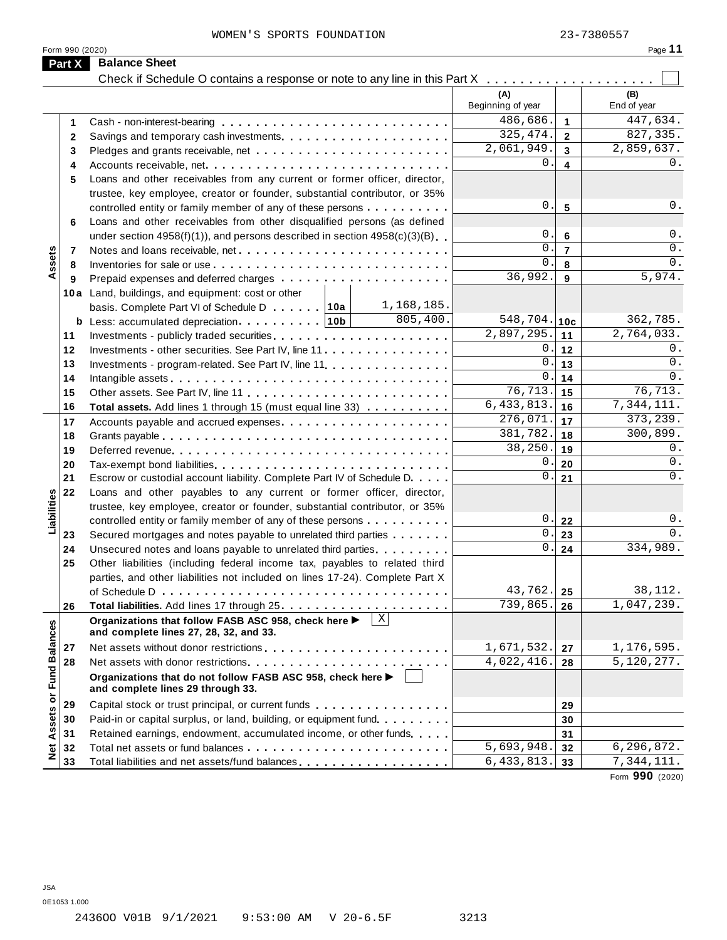|              | Check if Schedule O contains a response or note to any line in this Part X                          |                            |                |                    |
|--------------|-----------------------------------------------------------------------------------------------------|----------------------------|----------------|--------------------|
|              |                                                                                                     | (A)<br>Beginning of year   |                | (B)<br>End of year |
| 1            |                                                                                                     | 486,686.                   | $\overline{1}$ | 447,634.           |
| $\mathbf{2}$ |                                                                                                     | 325, 474.                  | $\overline{2}$ | 827,335.           |
| 3            |                                                                                                     | 2,061,949.                 | $\mathbf{3}$   | 2,859,637.         |
| 4            | Accounts receivable, net                                                                            | 0.                         | 4              | 0.                 |
| 5            | Loans and other receivables from any current or former officer, director,                           |                            |                |                    |
|              | trustee, key employee, creator or founder, substantial contributor, or 35%                          |                            |                |                    |
|              | controlled entity or family member of any of these persons                                          | $\boldsymbol{0}$ .         | $5\phantom{1}$ | 0.                 |
| 6            | Loans and other receivables from other disqualified persons (as defined                             |                            |                |                    |
|              | under section $4958(f)(1)$ , and persons described in section $4958(c)(3)(B)$                       | 0.                         | 6              | $0$ .              |
| 7            | Notes and loans receivable, net                                                                     | 0.                         | $\overline{7}$ | $0$ .              |
| 8            |                                                                                                     | $0$ .                      | 8              | $0$ .              |
| 9            |                                                                                                     | 36,992.                    | 9              | 5,974.             |
|              | 10a Land, buildings, and equipment: cost or other                                                   |                            |                |                    |
|              | 1,168,185.<br>basis. Complete Part VI of Schedule D 10a                                             |                            |                |                    |
|              | 805,400.<br><b>b</b> Less: accumulated depreciation $\ldots$ , ,    10b                             | $548, 704.$ 10c            |                | 362,785.           |
| 11           |                                                                                                     | $\overline{2,897,295}.$ 11 |                | 2,764,033.         |
| 12           | Investments - other securities. See Part IV, line 11                                                |                            | $0$ . 12       | 0.                 |
| 13           | Investments - program-related. See Part IV, line 11.                                                | 0.1                        | 13             | 0.                 |
| 14           |                                                                                                     | 0.1                        | 14             | $0$ .              |
| 15           |                                                                                                     | 76,713.                    | 15             | 76, 713.           |
| 16           | Total assets. Add lines 1 through 15 (must equal line 33)                                           | 6,433,813.                 | 16             | 7,344,111.         |
| 17           |                                                                                                     | 276,071.                   | 17             | 373,239.           |
| 18           |                                                                                                     | 381,782.                   | 18             | 300,899.           |
| 19           |                                                                                                     | 38,250.                    | 19             | 0.                 |
| 20           |                                                                                                     | 0.                         | 20             | 0.                 |
| 21           | Escrow or custodial account liability. Complete Part IV of Schedule D.                              | 0.1                        | 21             | 0.                 |
| 22           | Loans and other payables to any current or former officer, director,                                |                            |                |                    |
|              | trustee, key employee, creator or founder, substantial contributor, or 35%                          |                            |                |                    |
|              | controlled entity or family member of any of these persons                                          | 0.                         | 22             | 0.                 |
| 23           | Secured mortgages and notes payable to unrelated third parties                                      | 0.1                        | 23             | $0$ .              |
| 24           | Unsecured notes and loans payable to unrelated third parties.                                       | 0.                         | 24             | 334,989.           |
| 25           | Other liabilities (including federal income tax, payables to related third                          |                            |                |                    |
|              | parties, and other liabilities not included on lines 17-24). Complete Part X                        |                            |                |                    |
|              |                                                                                                     | 43,762.                    | 25             | 38,112.            |
| 26           |                                                                                                     | 739,865.                   | 26             | 1,047,239.         |
|              | X<br>Organizations that follow FASB ASC 958, check here ▶<br>and complete lines 27, 28, 32, and 33. |                            |                |                    |
| 27           |                                                                                                     | 1,671,532.                 | 27             | 1,176,595.         |
| 28           |                                                                                                     | 4,022,416.                 | 28             | 5, 120, 277.       |
|              | Organizations that do not follow FASB ASC 958, check here ▶                                         |                            |                |                    |
|              | and complete lines 29 through 33.                                                                   |                            |                |                    |
| 29           | Capital stock or trust principal, or current funds                                                  |                            | 29             |                    |
| 30           | Paid-in or capital surplus, or land, building, or equipment fund.                                   |                            | 30             |                    |
| 31           | Retained earnings, endowment, accumulated income, or other funds                                    |                            | 31             |                    |
| 32           |                                                                                                     | 5,693,948.                 | 32             | 6,296,872.         |
| 33           | Total liabilities and net assets/fund balances                                                      | 6, 433, 813.               | 33             | 7,344,111.         |

JSA 0E1053 1.000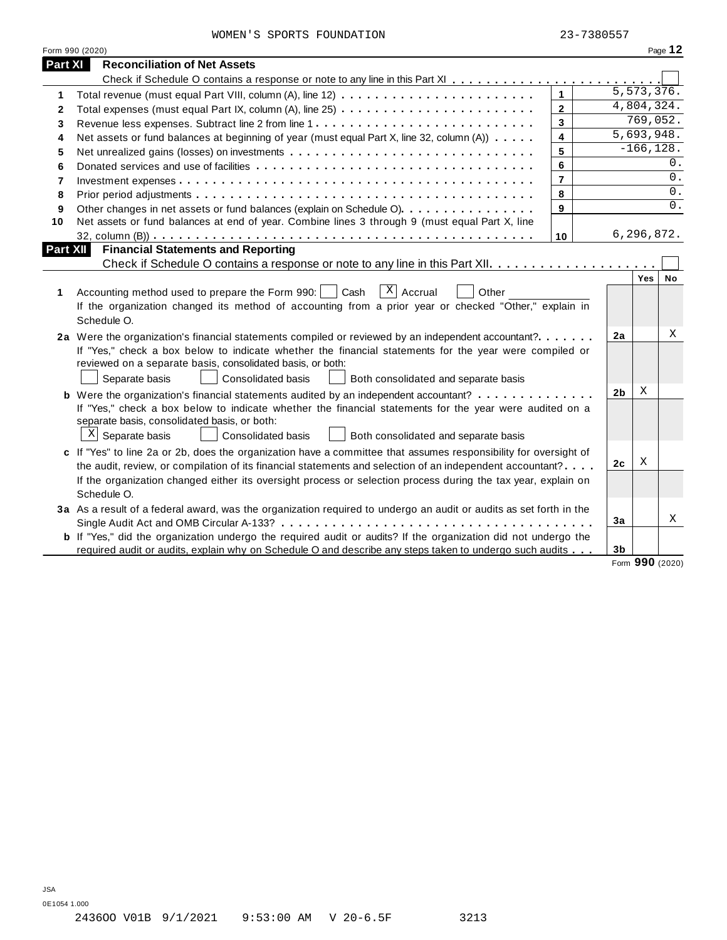|  |  | WOMEN'S SPORTS FOUNDATION |
|--|--|---------------------------|
|--|--|---------------------------|

|                 | Form 990 (2020)                                                                                                                                                                                                                                                                                                                                                   |                         |                |               | Page 12 |
|-----------------|-------------------------------------------------------------------------------------------------------------------------------------------------------------------------------------------------------------------------------------------------------------------------------------------------------------------------------------------------------------------|-------------------------|----------------|---------------|---------|
| Part XI         | <b>Reconciliation of Net Assets</b>                                                                                                                                                                                                                                                                                                                               |                         |                |               |         |
|                 |                                                                                                                                                                                                                                                                                                                                                                   |                         |                |               |         |
| 1               |                                                                                                                                                                                                                                                                                                                                                                   | $\mathbf{1}$            |                | 5,573,376.    |         |
| $\mathbf{2}$    |                                                                                                                                                                                                                                                                                                                                                                   | $\overline{2}$          |                | 4,804,324.    |         |
| 3               |                                                                                                                                                                                                                                                                                                                                                                   | $\mathbf{3}$            |                | 769,052.      |         |
| 4               | Net assets or fund balances at beginning of year (must equal Part X, line 32, column (A))                                                                                                                                                                                                                                                                         | $\overline{\mathbf{4}}$ |                | 5,693,948.    |         |
| 5               |                                                                                                                                                                                                                                                                                                                                                                   | 5                       |                | $-166, 128.$  |         |
| 6               |                                                                                                                                                                                                                                                                                                                                                                   | 6                       |                |               | 0.      |
| $\overline{7}$  |                                                                                                                                                                                                                                                                                                                                                                   | $\overline{7}$          |                |               | 0.      |
| 8               |                                                                                                                                                                                                                                                                                                                                                                   | 8                       |                |               | 0.      |
| 9               | Other changes in net assets or fund balances (explain on Schedule O)                                                                                                                                                                                                                                                                                              | 9                       |                |               | 0.      |
| 10              | Net assets or fund balances at end of year. Combine lines 3 through 9 (must equal Part X, line                                                                                                                                                                                                                                                                    |                         |                |               |         |
|                 |                                                                                                                                                                                                                                                                                                                                                                   | 10                      |                | 6, 296, 872.  |         |
| <b>Part XII</b> | <b>Financial Statements and Reporting</b>                                                                                                                                                                                                                                                                                                                         |                         |                |               |         |
|                 |                                                                                                                                                                                                                                                                                                                                                                   |                         |                |               |         |
| 1               | $\overline{X}$ Accrual<br>Accounting method used to prepare the Form 990:     Cash<br>Other<br>If the organization changed its method of accounting from a prior year or checked "Other," explain in<br>Schedule O.                                                                                                                                               |                         |                | Yes           | No      |
|                 | 2a Were the organization's financial statements compiled or reviewed by an independent accountant?<br>If "Yes," check a box below to indicate whether the financial statements for the year were compiled or<br>reviewed on a separate basis, consolidated basis, or both:<br>Separate basis<br><b>Consolidated basis</b><br>Both consolidated and separate basis |                         | 2a             |               | Χ       |
|                 | <b>b</b> Were the organization's financial statements audited by an independent accountant?                                                                                                                                                                                                                                                                       |                         | 2 <sub>b</sub> | Χ             |         |
|                 | If "Yes," check a box below to indicate whether the financial statements for the year were audited on a<br>separate basis, consolidated basis, or both:<br>$X$ Separate basis<br>Consolidated basis<br>Both consolidated and separate basis                                                                                                                       |                         |                |               |         |
|                 | c If "Yes" to line 2a or 2b, does the organization have a committee that assumes responsibility for oversight of                                                                                                                                                                                                                                                  |                         |                |               |         |
|                 | the audit, review, or compilation of its financial statements and selection of an independent accountant?                                                                                                                                                                                                                                                         |                         | 2c             | Χ             |         |
|                 | If the organization changed either its oversight process or selection process during the tax year, explain on<br>Schedule O.                                                                                                                                                                                                                                      |                         |                |               |         |
|                 | 3a As a result of a federal award, was the organization required to undergo an audit or audits as set forth in the                                                                                                                                                                                                                                                |                         |                |               |         |
|                 |                                                                                                                                                                                                                                                                                                                                                                   |                         | 3a             |               | Χ       |
|                 | <b>b</b> If "Yes," did the organization undergo the required audit or audits? If the organization did not undergo the                                                                                                                                                                                                                                             |                         |                |               |         |
|                 | required audit or audits, explain why on Schedule O and describe any steps taken to undergo such audits                                                                                                                                                                                                                                                           |                         | 3 <sub>b</sub> | $\sim$ $\sim$ |         |

Form **990** (2020)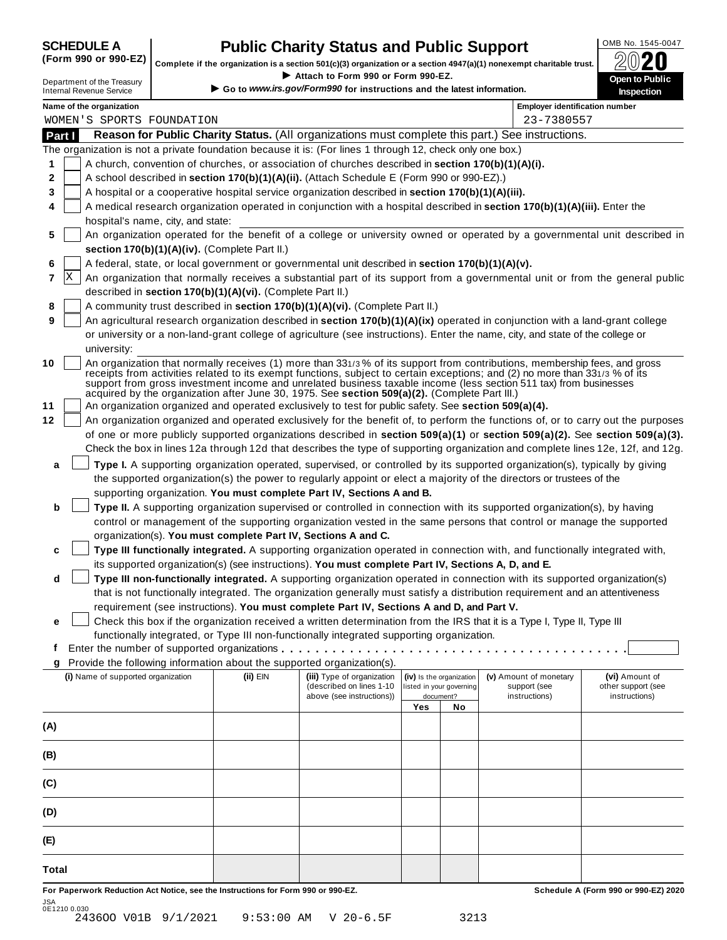## **CHEDULE A Public Charity Status and Public Support**  $\frac{100\text{dB No. }1545-0047}{000\text{dB No.}}$

(Form 990 or 990-EZ) complete if the organization is a section 501(c)(3) organization or a section 4947(a)(1) nonexempt charitable trust.  $2020$ 

|                                                               |                                    |                                                            | Complete if the organization is a section 501(c)(3) organization or a section 4947(a)(1) nonexempt charitable trust. |                          |                          |                                                                                                                                | ZWŁU                                                                                                                             |
|---------------------------------------------------------------|------------------------------------|------------------------------------------------------------|----------------------------------------------------------------------------------------------------------------------|--------------------------|--------------------------|--------------------------------------------------------------------------------------------------------------------------------|----------------------------------------------------------------------------------------------------------------------------------|
| Department of the Treasury<br><b>Internal Revenue Service</b> |                                    |                                                            | Attach to Form 990 or Form 990-EZ.<br>Go to www.irs.gov/Form990 for instructions and the latest information.         |                          |                          |                                                                                                                                | Open to Public<br><b>Inspection</b>                                                                                              |
| Name of the organization                                      |                                    |                                                            |                                                                                                                      |                          |                          | <b>Employer identification number</b>                                                                                          |                                                                                                                                  |
|                                                               | WOMEN'S SPORTS FOUNDATION          |                                                            |                                                                                                                      |                          |                          | 23-7380557                                                                                                                     |                                                                                                                                  |
| Part I                                                        |                                    |                                                            |                                                                                                                      |                          |                          | Reason for Public Charity Status. (All organizations must complete this part.) See instructions.                               |                                                                                                                                  |
|                                                               |                                    |                                                            | The organization is not a private foundation because it is: (For lines 1 through 12, check only one box.)            |                          |                          |                                                                                                                                |                                                                                                                                  |
| 1                                                             |                                    |                                                            | A church, convention of churches, or association of churches described in section 170(b)(1)(A)(i).                   |                          |                          |                                                                                                                                |                                                                                                                                  |
| 2                                                             |                                    |                                                            | A school described in section 170(b)(1)(A)(ii). (Attach Schedule E (Form 990 or 990-EZ).)                            |                          |                          |                                                                                                                                |                                                                                                                                  |
| 3                                                             |                                    |                                                            | A hospital or a cooperative hospital service organization described in section 170(b)(1)(A)(iii).                    |                          |                          |                                                                                                                                |                                                                                                                                  |
| 4                                                             |                                    |                                                            |                                                                                                                      |                          |                          | A medical research organization operated in conjunction with a hospital described in section 170(b)(1)(A)(iii). Enter the      |                                                                                                                                  |
|                                                               | hospital's name, city, and state:  |                                                            |                                                                                                                      |                          |                          |                                                                                                                                |                                                                                                                                  |
| 5                                                             |                                    |                                                            |                                                                                                                      |                          |                          |                                                                                                                                | An organization operated for the benefit of a college or university owned or operated by a governmental unit described in        |
|                                                               |                                    | section 170(b)(1)(A)(iv). (Complete Part II.)              |                                                                                                                      |                          |                          |                                                                                                                                |                                                                                                                                  |
| 6                                                             |                                    |                                                            | A federal, state, or local government or governmental unit described in section 170(b)(1)(A)(v).                     |                          |                          |                                                                                                                                |                                                                                                                                  |
| X<br>7                                                        |                                    |                                                            |                                                                                                                      |                          |                          |                                                                                                                                | An organization that normally receives a substantial part of its support from a governmental unit or from the general public     |
|                                                               |                                    | described in section 170(b)(1)(A)(vi). (Complete Part II.) |                                                                                                                      |                          |                          |                                                                                                                                |                                                                                                                                  |
| 8                                                             |                                    |                                                            | A community trust described in section 170(b)(1)(A)(vi). (Complete Part II.)                                         |                          |                          |                                                                                                                                |                                                                                                                                  |
| 9                                                             |                                    |                                                            |                                                                                                                      |                          |                          | An agricultural research organization described in section 170(b)(1)(A)(ix) operated in conjunction with a land-grant college  |                                                                                                                                  |
| university:                                                   |                                    |                                                            |                                                                                                                      |                          |                          | or university or a non-land-grant college of agriculture (see instructions). Enter the name, city, and state of the college or |                                                                                                                                  |
| 10                                                            |                                    |                                                            |                                                                                                                      |                          |                          | An organization that normally receives (1) more than 331/3% of its support from contributions, membership fees, and gross      |                                                                                                                                  |
|                                                               |                                    |                                                            |                                                                                                                      |                          |                          | receipts from activities related to its exempt functions, subject to certain exceptions; and (2) no more than 331/3 % of its   |                                                                                                                                  |
|                                                               |                                    |                                                            | acquired by the organization after June 30, 1975. See section 509(a)(2). (Complete Part III.)                        |                          |                          | support from gross investment income and unrelated business taxable income (less section 511 tax) from businesses              |                                                                                                                                  |
| 11                                                            |                                    |                                                            | An organization organized and operated exclusively to test for public safety. See section 509(a)(4).                 |                          |                          |                                                                                                                                |                                                                                                                                  |
| 12                                                            |                                    |                                                            |                                                                                                                      |                          |                          |                                                                                                                                | An organization organized and operated exclusively for the benefit of, to perform the functions of, or to carry out the purposes |
|                                                               |                                    |                                                            |                                                                                                                      |                          |                          |                                                                                                                                | of one or more publicly supported organizations described in section 509(a)(1) or section 509(a)(2). See section 509(a)(3).      |
|                                                               |                                    |                                                            |                                                                                                                      |                          |                          |                                                                                                                                | Check the box in lines 12a through 12d that describes the type of supporting organization and complete lines 12e, 12f, and 12g.  |
| a                                                             |                                    |                                                            |                                                                                                                      |                          |                          | Type I. A supporting organization operated, supervised, or controlled by its supported organization(s), typically by giving    |                                                                                                                                  |
|                                                               |                                    |                                                            |                                                                                                                      |                          |                          | the supported organization(s) the power to regularly appoint or elect a majority of the directors or trustees of the           |                                                                                                                                  |
|                                                               |                                    |                                                            | supporting organization. You must complete Part IV, Sections A and B.                                                |                          |                          |                                                                                                                                |                                                                                                                                  |
| b                                                             |                                    |                                                            |                                                                                                                      |                          |                          | Type II. A supporting organization supervised or controlled in connection with its supported organization(s), by having        |                                                                                                                                  |
|                                                               |                                    |                                                            |                                                                                                                      |                          |                          | control or management of the supporting organization vested in the same persons that control or manage the supported           |                                                                                                                                  |
|                                                               |                                    |                                                            | organization(s). You must complete Part IV, Sections A and C.                                                        |                          |                          |                                                                                                                                |                                                                                                                                  |
| c                                                             |                                    |                                                            |                                                                                                                      |                          |                          | Type III functionally integrated. A supporting organization operated in connection with, and functionally integrated with,     |                                                                                                                                  |
|                                                               |                                    |                                                            | its supported organization(s) (see instructions). You must complete Part IV, Sections A, D, and E.                   |                          |                          |                                                                                                                                |                                                                                                                                  |
| d                                                             |                                    |                                                            |                                                                                                                      |                          |                          | Type III non-functionally integrated. A supporting organization operated in connection with its supported organization(s)      |                                                                                                                                  |
|                                                               |                                    |                                                            |                                                                                                                      |                          |                          | that is not functionally integrated. The organization generally must satisfy a distribution requirement and an attentiveness   |                                                                                                                                  |
|                                                               |                                    |                                                            | requirement (see instructions). You must complete Part IV, Sections A and D, and Part V.                             |                          |                          |                                                                                                                                |                                                                                                                                  |
| е                                                             |                                    |                                                            |                                                                                                                      |                          |                          | Check this box if the organization received a written determination from the IRS that it is a Type I, Type II, Type III        |                                                                                                                                  |
| f                                                             |                                    |                                                            | functionally integrated, or Type III non-functionally integrated supporting organization.                            |                          |                          |                                                                                                                                |                                                                                                                                  |
| g                                                             |                                    |                                                            | Provide the following information about the supported organization(s).                                               |                          |                          |                                                                                                                                |                                                                                                                                  |
|                                                               | (i) Name of supported organization | (ii) EIN                                                   | (iii) Type of organization                                                                                           |                          | (iv) Is the organization | (v) Amount of monetary                                                                                                         | (vi) Amount of                                                                                                                   |
|                                                               |                                    |                                                            | (described on lines 1-10                                                                                             | listed in your governing |                          | support (see                                                                                                                   | other support (see                                                                                                               |
|                                                               |                                    |                                                            | above (see instructions))                                                                                            | Yes                      | document?<br>No          | instructions)                                                                                                                  | instructions)                                                                                                                    |
|                                                               |                                    |                                                            |                                                                                                                      |                          |                          |                                                                                                                                |                                                                                                                                  |
| (A)                                                           |                                    |                                                            |                                                                                                                      |                          |                          |                                                                                                                                |                                                                                                                                  |
|                                                               |                                    |                                                            |                                                                                                                      |                          |                          |                                                                                                                                |                                                                                                                                  |
| (B)                                                           |                                    |                                                            |                                                                                                                      |                          |                          |                                                                                                                                |                                                                                                                                  |
| (C)                                                           |                                    |                                                            |                                                                                                                      |                          |                          |                                                                                                                                |                                                                                                                                  |
|                                                               |                                    |                                                            |                                                                                                                      |                          |                          |                                                                                                                                |                                                                                                                                  |
| (D)                                                           |                                    |                                                            |                                                                                                                      |                          |                          |                                                                                                                                |                                                                                                                                  |
|                                                               |                                    |                                                            |                                                                                                                      |                          |                          |                                                                                                                                |                                                                                                                                  |
| (E)                                                           |                                    |                                                            |                                                                                                                      |                          |                          |                                                                                                                                |                                                                                                                                  |
|                                                               |                                    |                                                            |                                                                                                                      |                          |                          |                                                                                                                                |                                                                                                                                  |
| Total                                                         |                                    |                                                            |                                                                                                                      |                          |                          |                                                                                                                                |                                                                                                                                  |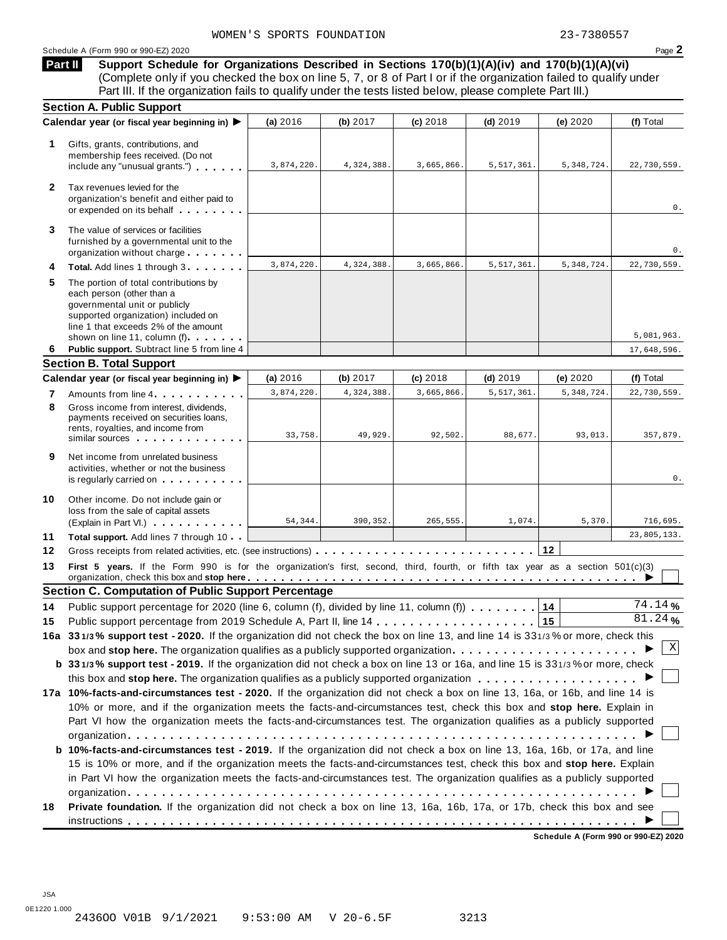#### Schedule <sup>A</sup> (Form <sup>990</sup> or 990-EZ) <sup>2020</sup> Page **2**

**Support Schedule for Organizations Described in Sections 170(b)(1)(A)(iv) and 170(b)(1)(A)(vi)** Complete only if you checked the box on line 5, 7, or 8 of Part I or if the organization failed to qualify under Part III. If the organization fails to qualify under the tests listed below, please complete Part III.) **Part II**

|                                                                                                                                                                                                 | (a) 2016                                                                                                                                                                                                                                                                   | (b) $2017$            | (c) 2018                                                                               | $(d)$ 2019             | (e) 2020                                                                                                          | (f) Total                                                                                                                                                                                                                                                                                                                                                                                                                                                                                                                                                                                                                                                                                                                                                                                                                                                                                                                                                                                                                                                                                                                                                                                                                                                                                                                                                                                                                                                            |
|-------------------------------------------------------------------------------------------------------------------------------------------------------------------------------------------------|----------------------------------------------------------------------------------------------------------------------------------------------------------------------------------------------------------------------------------------------------------------------------|-----------------------|----------------------------------------------------------------------------------------|------------------------|-------------------------------------------------------------------------------------------------------------------|----------------------------------------------------------------------------------------------------------------------------------------------------------------------------------------------------------------------------------------------------------------------------------------------------------------------------------------------------------------------------------------------------------------------------------------------------------------------------------------------------------------------------------------------------------------------------------------------------------------------------------------------------------------------------------------------------------------------------------------------------------------------------------------------------------------------------------------------------------------------------------------------------------------------------------------------------------------------------------------------------------------------------------------------------------------------------------------------------------------------------------------------------------------------------------------------------------------------------------------------------------------------------------------------------------------------------------------------------------------------------------------------------------------------------------------------------------------------|
| Gifts, grants, contributions, and<br>membership fees received. (Do not<br>include any "unusual grants.")                                                                                        | 3,874,220.                                                                                                                                                                                                                                                                 | 4,324,388.            | 3,665,866.                                                                             | 5,517,361.             | 5, 348, 724.                                                                                                      | 22,730,559.                                                                                                                                                                                                                                                                                                                                                                                                                                                                                                                                                                                                                                                                                                                                                                                                                                                                                                                                                                                                                                                                                                                                                                                                                                                                                                                                                                                                                                                          |
| Tax revenues levied for the<br>organization's benefit and either paid to<br>or expended on its behalf                                                                                           |                                                                                                                                                                                                                                                                            |                       |                                                                                        |                        |                                                                                                                   | 0.                                                                                                                                                                                                                                                                                                                                                                                                                                                                                                                                                                                                                                                                                                                                                                                                                                                                                                                                                                                                                                                                                                                                                                                                                                                                                                                                                                                                                                                                   |
| The value of services or facilities<br>furnished by a governmental unit to the<br>organization without charge                                                                                   |                                                                                                                                                                                                                                                                            |                       |                                                                                        |                        |                                                                                                                   | 0.                                                                                                                                                                                                                                                                                                                                                                                                                                                                                                                                                                                                                                                                                                                                                                                                                                                                                                                                                                                                                                                                                                                                                                                                                                                                                                                                                                                                                                                                   |
| Total. Add lines 1 through 3                                                                                                                                                                    | 3,874,220.                                                                                                                                                                                                                                                                 | 4,324,388.            | 3,665,866.                                                                             | 5,517,361.             | 5, 348, 724.                                                                                                      | 22,730,559.                                                                                                                                                                                                                                                                                                                                                                                                                                                                                                                                                                                                                                                                                                                                                                                                                                                                                                                                                                                                                                                                                                                                                                                                                                                                                                                                                                                                                                                          |
| The portion of total contributions by<br>each person (other than a<br>governmental unit or publicly<br>supported organization) included on<br>line 1 that exceeds 2% of the amount              |                                                                                                                                                                                                                                                                            |                       |                                                                                        |                        |                                                                                                                   |                                                                                                                                                                                                                                                                                                                                                                                                                                                                                                                                                                                                                                                                                                                                                                                                                                                                                                                                                                                                                                                                                                                                                                                                                                                                                                                                                                                                                                                                      |
|                                                                                                                                                                                                 |                                                                                                                                                                                                                                                                            |                       |                                                                                        |                        |                                                                                                                   | 5,081,963.                                                                                                                                                                                                                                                                                                                                                                                                                                                                                                                                                                                                                                                                                                                                                                                                                                                                                                                                                                                                                                                                                                                                                                                                                                                                                                                                                                                                                                                           |
|                                                                                                                                                                                                 |                                                                                                                                                                                                                                                                            |                       |                                                                                        |                        |                                                                                                                   | 17,648,596.                                                                                                                                                                                                                                                                                                                                                                                                                                                                                                                                                                                                                                                                                                                                                                                                                                                                                                                                                                                                                                                                                                                                                                                                                                                                                                                                                                                                                                                          |
|                                                                                                                                                                                                 |                                                                                                                                                                                                                                                                            |                       |                                                                                        |                        |                                                                                                                   | (f) Total                                                                                                                                                                                                                                                                                                                                                                                                                                                                                                                                                                                                                                                                                                                                                                                                                                                                                                                                                                                                                                                                                                                                                                                                                                                                                                                                                                                                                                                            |
|                                                                                                                                                                                                 |                                                                                                                                                                                                                                                                            |                       |                                                                                        |                        |                                                                                                                   | 22,730,559.                                                                                                                                                                                                                                                                                                                                                                                                                                                                                                                                                                                                                                                                                                                                                                                                                                                                                                                                                                                                                                                                                                                                                                                                                                                                                                                                                                                                                                                          |
| Gross income from interest, dividends.<br>payments received on securities loans,<br>rents, royalties, and income from<br>similar sources experiences                                            | 33,758.                                                                                                                                                                                                                                                                    | 49,929.               | 92,502.                                                                                | 88,677.                | 93,013.                                                                                                           | 357,879.                                                                                                                                                                                                                                                                                                                                                                                                                                                                                                                                                                                                                                                                                                                                                                                                                                                                                                                                                                                                                                                                                                                                                                                                                                                                                                                                                                                                                                                             |
| Net income from unrelated business<br>activities, whether or not the business<br>is regularly carried on the control of the set of the set of the set of the set of the set of the set of the s |                                                                                                                                                                                                                                                                            |                       |                                                                                        |                        |                                                                                                                   | 0.                                                                                                                                                                                                                                                                                                                                                                                                                                                                                                                                                                                                                                                                                                                                                                                                                                                                                                                                                                                                                                                                                                                                                                                                                                                                                                                                                                                                                                                                   |
| Other income. Do not include gain or<br>loss from the sale of capital assets<br>(Explain in Part VI.)                                                                                           | 54,344.                                                                                                                                                                                                                                                                    | 390,352.              | 265,555.                                                                               | 1,074.                 | 5,370.                                                                                                            | 716,695.                                                                                                                                                                                                                                                                                                                                                                                                                                                                                                                                                                                                                                                                                                                                                                                                                                                                                                                                                                                                                                                                                                                                                                                                                                                                                                                                                                                                                                                             |
| Total support. Add lines 7 through 10                                                                                                                                                           |                                                                                                                                                                                                                                                                            |                       |                                                                                        |                        |                                                                                                                   | 23,805,133.                                                                                                                                                                                                                                                                                                                                                                                                                                                                                                                                                                                                                                                                                                                                                                                                                                                                                                                                                                                                                                                                                                                                                                                                                                                                                                                                                                                                                                                          |
|                                                                                                                                                                                                 |                                                                                                                                                                                                                                                                            |                       |                                                                                        |                        |                                                                                                                   |                                                                                                                                                                                                                                                                                                                                                                                                                                                                                                                                                                                                                                                                                                                                                                                                                                                                                                                                                                                                                                                                                                                                                                                                                                                                                                                                                                                                                                                                      |
|                                                                                                                                                                                                 |                                                                                                                                                                                                                                                                            |                       |                                                                                        |                        |                                                                                                                   |                                                                                                                                                                                                                                                                                                                                                                                                                                                                                                                                                                                                                                                                                                                                                                                                                                                                                                                                                                                                                                                                                                                                                                                                                                                                                                                                                                                                                                                                      |
|                                                                                                                                                                                                 |                                                                                                                                                                                                                                                                            |                       |                                                                                        |                        |                                                                                                                   |                                                                                                                                                                                                                                                                                                                                                                                                                                                                                                                                                                                                                                                                                                                                                                                                                                                                                                                                                                                                                                                                                                                                                                                                                                                                                                                                                                                                                                                                      |
|                                                                                                                                                                                                 |                                                                                                                                                                                                                                                                            |                       |                                                                                        |                        |                                                                                                                   | 74.14%                                                                                                                                                                                                                                                                                                                                                                                                                                                                                                                                                                                                                                                                                                                                                                                                                                                                                                                                                                                                                                                                                                                                                                                                                                                                                                                                                                                                                                                               |
|                                                                                                                                                                                                 |                                                                                                                                                                                                                                                                            |                       |                                                                                        |                        |                                                                                                                   | 81.24%                                                                                                                                                                                                                                                                                                                                                                                                                                                                                                                                                                                                                                                                                                                                                                                                                                                                                                                                                                                                                                                                                                                                                                                                                                                                                                                                                                                                                                                               |
|                                                                                                                                                                                                 |                                                                                                                                                                                                                                                                            |                       |                                                                                        |                        |                                                                                                                   |                                                                                                                                                                                                                                                                                                                                                                                                                                                                                                                                                                                                                                                                                                                                                                                                                                                                                                                                                                                                                                                                                                                                                                                                                                                                                                                                                                                                                                                                      |
|                                                                                                                                                                                                 |                                                                                                                                                                                                                                                                            |                       |                                                                                        |                        |                                                                                                                   | Χ                                                                                                                                                                                                                                                                                                                                                                                                                                                                                                                                                                                                                                                                                                                                                                                                                                                                                                                                                                                                                                                                                                                                                                                                                                                                                                                                                                                                                                                                    |
|                                                                                                                                                                                                 |                                                                                                                                                                                                                                                                            |                       |                                                                                        |                        |                                                                                                                   |                                                                                                                                                                                                                                                                                                                                                                                                                                                                                                                                                                                                                                                                                                                                                                                                                                                                                                                                                                                                                                                                                                                                                                                                                                                                                                                                                                                                                                                                      |
|                                                                                                                                                                                                 |                                                                                                                                                                                                                                                                            |                       |                                                                                        |                        |                                                                                                                   |                                                                                                                                                                                                                                                                                                                                                                                                                                                                                                                                                                                                                                                                                                                                                                                                                                                                                                                                                                                                                                                                                                                                                                                                                                                                                                                                                                                                                                                                      |
|                                                                                                                                                                                                 |                                                                                                                                                                                                                                                                            |                       |                                                                                        |                        |                                                                                                                   |                                                                                                                                                                                                                                                                                                                                                                                                                                                                                                                                                                                                                                                                                                                                                                                                                                                                                                                                                                                                                                                                                                                                                                                                                                                                                                                                                                                                                                                                      |
|                                                                                                                                                                                                 |                                                                                                                                                                                                                                                                            |                       |                                                                                        |                        |                                                                                                                   |                                                                                                                                                                                                                                                                                                                                                                                                                                                                                                                                                                                                                                                                                                                                                                                                                                                                                                                                                                                                                                                                                                                                                                                                                                                                                                                                                                                                                                                                      |
|                                                                                                                                                                                                 |                                                                                                                                                                                                                                                                            |                       |                                                                                        |                        |                                                                                                                   |                                                                                                                                                                                                                                                                                                                                                                                                                                                                                                                                                                                                                                                                                                                                                                                                                                                                                                                                                                                                                                                                                                                                                                                                                                                                                                                                                                                                                                                                      |
|                                                                                                                                                                                                 |                                                                                                                                                                                                                                                                            |                       |                                                                                        |                        |                                                                                                                   |                                                                                                                                                                                                                                                                                                                                                                                                                                                                                                                                                                                                                                                                                                                                                                                                                                                                                                                                                                                                                                                                                                                                                                                                                                                                                                                                                                                                                                                                      |
|                                                                                                                                                                                                 |                                                                                                                                                                                                                                                                            |                       |                                                                                        |                        |                                                                                                                   |                                                                                                                                                                                                                                                                                                                                                                                                                                                                                                                                                                                                                                                                                                                                                                                                                                                                                                                                                                                                                                                                                                                                                                                                                                                                                                                                                                                                                                                                      |
|                                                                                                                                                                                                 |                                                                                                                                                                                                                                                                            |                       |                                                                                        |                        |                                                                                                                   |                                                                                                                                                                                                                                                                                                                                                                                                                                                                                                                                                                                                                                                                                                                                                                                                                                                                                                                                                                                                                                                                                                                                                                                                                                                                                                                                                                                                                                                                      |
|                                                                                                                                                                                                 |                                                                                                                                                                                                                                                                            |                       |                                                                                        |                        |                                                                                                                   |                                                                                                                                                                                                                                                                                                                                                                                                                                                                                                                                                                                                                                                                                                                                                                                                                                                                                                                                                                                                                                                                                                                                                                                                                                                                                                                                                                                                                                                                      |
|                                                                                                                                                                                                 |                                                                                                                                                                                                                                                                            |                       |                                                                                        |                        |                                                                                                                   |                                                                                                                                                                                                                                                                                                                                                                                                                                                                                                                                                                                                                                                                                                                                                                                                                                                                                                                                                                                                                                                                                                                                                                                                                                                                                                                                                                                                                                                                      |
| Private foundation. If the organization did not check a box on line 13, 16a, 16b, 17a, or 17b, check this box and see                                                                           |                                                                                                                                                                                                                                                                            |                       |                                                                                        |                        |                                                                                                                   |                                                                                                                                                                                                                                                                                                                                                                                                                                                                                                                                                                                                                                                                                                                                                                                                                                                                                                                                                                                                                                                                                                                                                                                                                                                                                                                                                                                                                                                                      |
|                                                                                                                                                                                                 | <b>Section A. Public Support</b><br>Calendar year (or fiscal year beginning in) ▶<br>shown on line 11, column (f)<br>Public support. Subtract line 5 from line 4<br><b>Section B. Total Support</b><br>Calendar year (or fiscal year beginning in)<br>Amounts from line 4. | (a) 2016<br>3,874,220 | (b) $2017$<br>4,324,388.<br><b>Section C. Computation of Public Support Percentage</b> | (c) 2018<br>3,665,866. | $(d)$ 2019<br>5,517,361<br>Public support percentage for 2020 (line 6, column (f), divided by line 11, column (f) | (e) 2020<br>5, 348, 724.<br>12<br>First 5 years. If the Form 990 is for the organization's first, second, third, fourth, or fifth tax year as a section 501(c)(3)<br>organization, check this box and stop here $\ldots \ldots \ldots \ldots \ldots \ldots \ldots \ldots \ldots \ldots \ldots \ldots \ldots$<br>14<br>15<br>16a 331/3% support test - 2020. If the organization did not check the box on line 13, and line 14 is 331/3% or more, check this<br>box and stop here. The organization qualifies as a publicly supported organization<br>b 331/3% support test - 2019. If the organization did not check a box on line 13 or 16a, and line 15 is 331/3% or more, check<br>17a 10%-facts-and-circumstances test - 2020. If the organization did not check a box on line 13, 16a, or 16b, and line 14 is<br>10% or more, and if the organization meets the facts-and-circumstances test, check this box and stop here. Explain in<br>Part VI how the organization meets the facts-and-circumstances test. The organization qualifies as a publicly supported<br><b>b 10%-facts-and-circumstances test - 2019.</b> If the organization did not check a box on line 13, 16a, 16b, or 17a, and line<br>15 is 10% or more, and if the organization meets the facts-and-circumstances test, check this box and stop here. Explain<br>in Part VI how the organization meets the facts-and-circumstances test. The organization qualifies as a publicly supported |

**Schedule A (Form 990 or 990-EZ) 2020**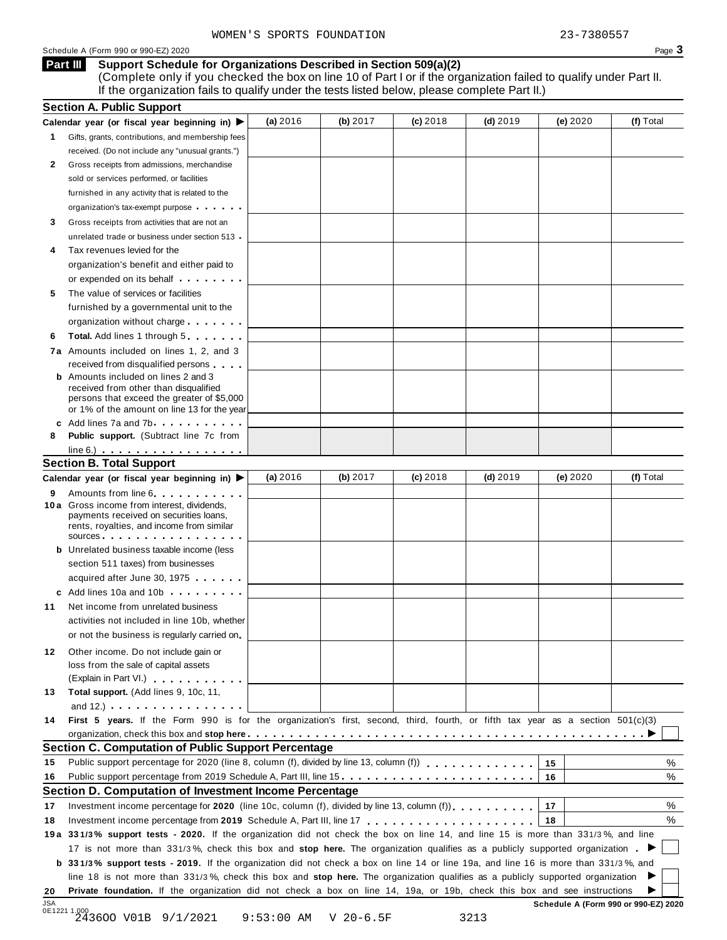Schedule A (Form 990 or 990-EZ) 2020 Page 3

#### **Support Schedule for Organizations Described in Section 509(a)(2) Part III**

(Complete only if you checked the box on line 10 of Part I or if the organization failed to qualify under Part II. If the organization fails to qualify under the tests listed below, please complete Part II.)

|     | <b>Section A. Public Support</b>                                                                                                                                                                                                                                             |              |             |            |            |                                      |           |
|-----|------------------------------------------------------------------------------------------------------------------------------------------------------------------------------------------------------------------------------------------------------------------------------|--------------|-------------|------------|------------|--------------------------------------|-----------|
|     | Calendar year (or fiscal year beginning in)                                                                                                                                                                                                                                  | (a) $2016$   | (b) $2017$  | $(c)$ 2018 | (d) $2019$ | (e) 2020                             | (f) Total |
| 1.  | Gifts, grants, contributions, and membership fees                                                                                                                                                                                                                            |              |             |            |            |                                      |           |
|     | received. (Do not include any "unusual grants.")                                                                                                                                                                                                                             |              |             |            |            |                                      |           |
| 2   | Gross receipts from admissions, merchandise                                                                                                                                                                                                                                  |              |             |            |            |                                      |           |
|     | sold or services performed, or facilities                                                                                                                                                                                                                                    |              |             |            |            |                                      |           |
|     | furnished in any activity that is related to the                                                                                                                                                                                                                             |              |             |            |            |                                      |           |
|     | organization's tax-exempt purpose                                                                                                                                                                                                                                            |              |             |            |            |                                      |           |
| 3   | Gross receipts from activities that are not an                                                                                                                                                                                                                               |              |             |            |            |                                      |           |
|     | unrelated trade or business under section 513 .                                                                                                                                                                                                                              |              |             |            |            |                                      |           |
|     | Tax revenues levied for the                                                                                                                                                                                                                                                  |              |             |            |            |                                      |           |
|     | organization's benefit and either paid to                                                                                                                                                                                                                                    |              |             |            |            |                                      |           |
|     | or expended on its behalf <b>contains the set of the set of the set of the set of the set of the set of the set of the set of the set of the set of the set of the set of the set of the set of the set of the set of the set of</b>                                         |              |             |            |            |                                      |           |
| 5   | The value of services or facilities                                                                                                                                                                                                                                          |              |             |            |            |                                      |           |
|     | furnished by a governmental unit to the                                                                                                                                                                                                                                      |              |             |            |            |                                      |           |
|     | organization without charge                                                                                                                                                                                                                                                  |              |             |            |            |                                      |           |
| 6   | <b>Total.</b> Add lines 1 through 5                                                                                                                                                                                                                                          |              |             |            |            |                                      |           |
|     | 7a Amounts included on lines 1, 2, and 3                                                                                                                                                                                                                                     |              |             |            |            |                                      |           |
|     | received from disqualified persons                                                                                                                                                                                                                                           |              |             |            |            |                                      |           |
|     | <b>b</b> Amounts included on lines 2 and 3                                                                                                                                                                                                                                   |              |             |            |            |                                      |           |
|     | received from other than disqualified                                                                                                                                                                                                                                        |              |             |            |            |                                      |           |
|     | persons that exceed the greater of \$5,000                                                                                                                                                                                                                                   |              |             |            |            |                                      |           |
|     | or 1% of the amount on line 13 for the year<br>c Add lines 7a and 7b contact the contact of the contact of the contact of the contact of the contact of the contact of the contact of the contact of the contact of the contact of the contact of the contact of the contact |              |             |            |            |                                      |           |
| 8   | Public support. (Subtract line 7c from                                                                                                                                                                                                                                       |              |             |            |            |                                      |           |
|     | $line 6.)$                                                                                                                                                                                                                                                                   |              |             |            |            |                                      |           |
|     | <b>Section B. Total Support</b>                                                                                                                                                                                                                                              |              |             |            |            |                                      |           |
|     | Calendar year (or fiscal year beginning in)                                                                                                                                                                                                                                  | (a) 2016     | (b) 2017    | $(c)$ 2018 | (d) $2019$ | (e) $2020$                           | (f) Total |
|     | Amounts from line 6                                                                                                                                                                                                                                                          |              |             |            |            |                                      |           |
| 9   | 10 a Gross income from interest, dividends,<br>payments received on securities loans,<br>rents, royalties, and income from similar                                                                                                                                           |              |             |            |            |                                      |           |
|     | SOUICES<br><b>b</b> Unrelated business taxable income (less                                                                                                                                                                                                                  |              |             |            |            |                                      |           |
|     |                                                                                                                                                                                                                                                                              |              |             |            |            |                                      |           |
|     | section 511 taxes) from businesses                                                                                                                                                                                                                                           |              |             |            |            |                                      |           |
|     | acquired after June 30, 1975                                                                                                                                                                                                                                                 |              |             |            |            |                                      |           |
|     | c Add lines 10a and 10b                                                                                                                                                                                                                                                      |              |             |            |            |                                      |           |
| 11  | Net income from unrelated business                                                                                                                                                                                                                                           |              |             |            |            |                                      |           |
|     | activities not included in line 10b, whether                                                                                                                                                                                                                                 |              |             |            |            |                                      |           |
|     | or not the business is regularly carried on                                                                                                                                                                                                                                  |              |             |            |            |                                      |           |
| 12  | Other income. Do not include gain or                                                                                                                                                                                                                                         |              |             |            |            |                                      |           |
|     | loss from the sale of capital assets                                                                                                                                                                                                                                         |              |             |            |            |                                      |           |
|     | (Explain in Part VI.)                                                                                                                                                                                                                                                        |              |             |            |            |                                      |           |
| 13  | Total support. (Add lines 9, 10c, 11,                                                                                                                                                                                                                                        |              |             |            |            |                                      |           |
|     | and 12.) $\cdots$ $\cdots$ $\cdots$ $\cdots$                                                                                                                                                                                                                                 |              |             |            |            |                                      |           |
| 14  | First 5 years. If the Form 990 is for the organization's first, second, third, fourth, or fifth tax year as a section $501(c)(3)$                                                                                                                                            |              |             |            |            |                                      |           |
|     |                                                                                                                                                                                                                                                                              |              |             |            |            |                                      |           |
|     | <b>Section C. Computation of Public Support Percentage</b>                                                                                                                                                                                                                   |              |             |            |            |                                      |           |
| 15  | Public support percentage for 2020 (line 8, column (f), divided by line 13, column (f))                                                                                                                                                                                      |              |             |            |            | 15                                   | %         |
| 16  | Public support percentage from 2019 Schedule A, Part III, line 15.                                                                                                                                                                                                           |              |             |            |            | 16                                   | %         |
|     | Section D. Computation of Investment Income Percentage                                                                                                                                                                                                                       |              |             |            |            |                                      |           |
| 17  | Investment income percentage for 2020 (line 10c, column (f), divided by line 13, column (f)), $\ldots$ , , , , , , ,                                                                                                                                                         |              |             |            |            | 17                                   | %         |
| 18  |                                                                                                                                                                                                                                                                              |              |             |            |            | 18                                   | %         |
|     | 19a 331/3% support tests - 2020. If the organization did not check the box on line 14, and line 15 is more than 331/3%, and line                                                                                                                                             |              |             |            |            |                                      |           |
|     | 17 is not more than 331/3%, check this box and stop here. The organization qualifies as a publicly supported organization.                                                                                                                                                   |              |             |            |            |                                      |           |
|     | <b>b</b> 331/3% support tests - 2019. If the organization did not check a box on line 14 or line 19a, and line 16 is more than 331/3%, and                                                                                                                                   |              |             |            |            |                                      |           |
|     | line 18 is not more than 331/3%, check this box and stop here. The organization qualifies as a publicly supported organization                                                                                                                                               |              |             |            |            |                                      |           |
| 20  | Private foundation. If the organization did not check a box on line 14, 19a, or 19b, check this box and see instructions                                                                                                                                                     |              |             |            |            |                                      |           |
| JSA |                                                                                                                                                                                                                                                                              |              |             |            |            | Schedule A (Form 990 or 990-EZ) 2020 |           |
|     | 0E1221 1.000<br>243600 V01B 9/1/2021                                                                                                                                                                                                                                         | $9:53:00$ AM | $V$ 20-6.5F |            | 3213       |                                      |           |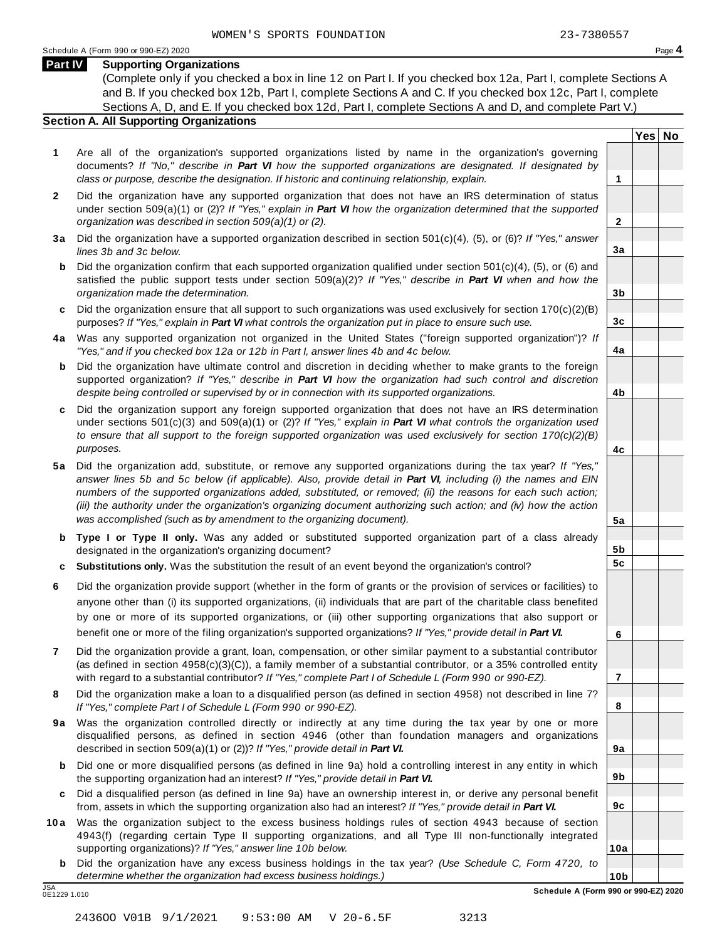**2**

**3a**

**3b**

**3c**

**4a**

**4b**

**4c**

**5a**

**5b 5c**

**6**

**7**

**8**

**9a**

**9b**

**9c**

**10a**

#### **Part IV Supporting Organizations**

(Complete only if you checked a box in line 12 on Part I. If you checked box 12a, Part I, complete Sections A and B. If you checked box 12b, Part I, complete Sections A and C. If you checked box 12c, Part I, complete Sections A, D, and E. If you checked box 12d, Part I, complete Sections A and D, and complete Part V.)

### **Section A. All Supporting Organizations**

- **1** Are all of the organization's supported organizations listed by name in the organization's governing documents? *If "No," describe in Part VI how the supported organizations are designated. If designated by class or purpose, describe the designation. If historic and continuing relationship, explain.* **1**
- **2** Did the organization have any supported organization that does not have an IRS determination of status under section 509(a)(1) or (2)? *If"Yes," explain in Part VI how the organization determined that the supported organization was described in section 509(a)(1) or (2).*
- **3 a** Did the organization have a supported organization described in section 501(c)(4), (5), or (6)? *If "Yes," answer lines 3b and 3c below.*
- **b** Did the organization confirm that each supported organization qualified under section 501(c)(4), (5), or (6) and | satisfied the public support tests under section 509(a)(2)? *If "Yes," describe in Part VI when and how the organization made the determination.*
- **c** Did the organization ensure that all support to such organizations was used exclusively for section 170(c)(2)(B) purposes? *If"Yes," explain in Part VI what controls the organization put in place to ensure such use.*
- **4 a** Was any supported organization not organized in the United States ("foreign supported organization")? *If "Yes," and if you checked box 12a or 12b in Part I, answer lines 4b and 4c below.*
- **b** Did the organization have ultimate control and discretion in deciding whether to make grants to the foreign | supported organization? *If "Yes," describe in Part VI how the organization had such control and discretion despite being controlled or supervised by or in connection with its supported organizations.*
- **c** Did the organization support any foreign supported organization that does not have an IRS determination | under sections 501(c)(3) and 509(a)(1) or (2)? *If "Yes," explain in Part VI what controls the organization used to ensure that all support to the foreign supported organization was used exclusively for section 170(c)(2)(B) purposes.*
- **5 a** Did the organization add, substitute, or remove any supported organizations during the tax year? *If "Yes,"* answer lines 5b and 5c below (if applicable). Also, provide detail in Part VI, including (i) the names and EIN *numbers of the supported organizations added, substituted, or removed; (ii) the reasons for each such action;* (iii) the authority under the organization's organizing document authorizing such action; and (iv) how the action *was accomplished (such as by amendment to the organizing document).*
- **b Type I or Type II only.** Was any added or substituted supported organization part of a class already designated in the organization's organizing document?
- **c Substitutions only.** Was the substitution the result of an event beyond the organization's control?
- **6** Did the organization provide support (whether in the form of grants or the provision of services or facilities) to anyone other than (i) its supported organizations, (ii) individuals that are part of the charitable class benefited by one or more of its supported organizations, or (iii) other supporting organizations that also support or benefit one or more of the filing organization's supported organizations? *If"Yes," provide detail in Part VI.*
- **7** Did the organization provide a grant, loan, compensation, or other similar payment to a substantial contributor (as defined in section 4958(c)(3)(C)), a family member of a substantial contributor, or a 35% controlled entity with regard to a substantial contributor? *If"Yes," complete Part I of Schedule L (Form 990 or 990-EZ).*
- **8** Did the organization make a loan to a disqualified person (as defined in section 4958) not described in line 7? *If "Yes," complete Part I of Schedule L (Form 990 or 990-EZ).*
- **9a** Was the organization controlled directly or indirectly at any time during the tax year by one or more | disqualified persons, as defined in section 4946 (other than foundation managers and organizations described in section 509(a)(1) or (2))? *If"Yes," provide detail in Part VI.*
- **b** Did one or more disqualified persons (as defined in line 9a) hold a controlling interest in any entity in which | the supporting organization had an interest? *If"Yes," provide detail in Part VI.*
- **c** Did a disqualified person (as defined in line 9a) have an ownership interest in, or derive any personal benefit from, assets in which the supporting organization also had an interest? *If"Yes," provide detail in Part VI.*
- **10a** Was the organization subject to the excess business holdings rules of section 4943 because of section | 4943(f) (regarding certain Type II supporting organizations, and all Type III non-functionally integrated supporting organizations)? *If"Yes," answer line 10b below.*
- **b** Did the organization have any excess business holdings in the tax year? *(Use Schedule C, Form 4720, to determine whether the organization had excess business holdings.)*

0E1229 1.010

**10b** JSA **Schedule A (Form 990 or 990-EZ) 2020**

**Yes No**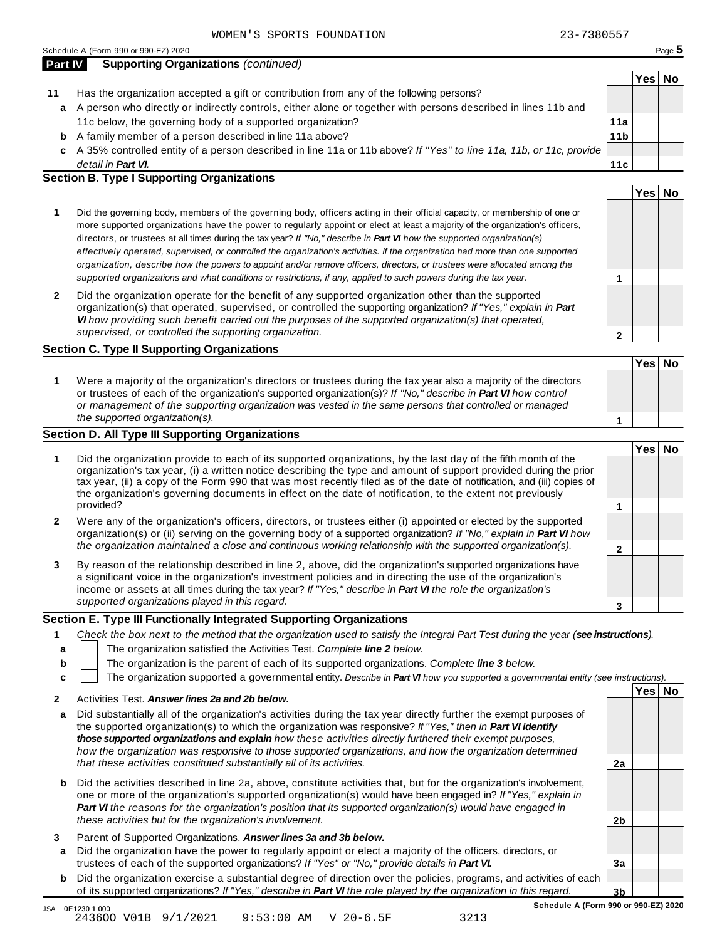| Schedule A (Form 990 or 990-EZ) 2020 | Page <b>J</b> |
|--------------------------------------|---------------|

**2**

| <b>Part IV</b> | <b>Supporting Organizations (continued)</b>                                                                        |                 |      |    |
|----------------|--------------------------------------------------------------------------------------------------------------------|-----------------|------|----|
|                |                                                                                                                    |                 | Yes⊺ | Nο |
| 11             | Has the organization accepted a gift or contribution from any of the following persons?                            |                 |      |    |
| a              | A person who directly or indirectly controls, either alone or together with persons described in lines 11b and     |                 |      |    |
|                | 11c below, the governing body of a supported organization?                                                         | 11a             |      |    |
| b              | A family member of a person described in line 11a above?                                                           | 11 <sub>b</sub> |      |    |
| c              | A 35% controlled entity of a person described in line 11a or 11b above? If "Yes" to line 11a, 11b, or 11c, provide |                 |      |    |
|                | detail in <b>Part VI.</b>                                                                                          | 11с             |      |    |
|                | Section B Tyne I Supporting Organizations                                                                          |                 |      |    |

### **Section B. Type I Supporting Organizations**

|                                                                                                                                                                                                                                                                                                                                                                                                                                                                                                                                                                                                                                                             | Yesl |  |
|-------------------------------------------------------------------------------------------------------------------------------------------------------------------------------------------------------------------------------------------------------------------------------------------------------------------------------------------------------------------------------------------------------------------------------------------------------------------------------------------------------------------------------------------------------------------------------------------------------------------------------------------------------------|------|--|
| Did the governing body, members of the governing body, officers acting in their official capacity, or membership of one or<br>more supported organizations have the power to regularly appoint or elect at least a majority of the organization's officers,<br>directors, or trustees at all times during the tax year? If "No," describe in <b>Part VI</b> how the supported organization(s)<br>effectively operated, supervised, or controlled the organization's activities. If the organization had more than one supported<br>organization, describe how the powers to appoint and/or remove officers, directors, or trustees were allocated among the |      |  |
| supported organizations and what conditions or restrictions, if any, applied to such powers during the tax year.                                                                                                                                                                                                                                                                                                                                                                                                                                                                                                                                            |      |  |
| Did the organization operate for the benefit of any supported organization other than the supported<br>organization(s) that operated, supervised, or controlled the supporting organization? If "Yes," explain in Part<br><b>VI</b> how providing such benefit carried out the purposes of the supported organization(s) that operated,                                                                                                                                                                                                                                                                                                                     |      |  |

### **Section C. Type II Supporting Organizations**

*supervised, or controlled the supporting organization.*

|                                                                                                                                                                                                                                                                                                                                                                                      | 'Yes∣ No |  |
|--------------------------------------------------------------------------------------------------------------------------------------------------------------------------------------------------------------------------------------------------------------------------------------------------------------------------------------------------------------------------------------|----------|--|
| Were a majority of the organization's directors or trustees during the tax year also a majority of the directors<br>or trustees of each of the organization's supported organization(s)? If "No," describe in <b>Part VI</b> how control<br>or management of the supporting organization was vested in the same persons that controlled or managed<br>the supported organization(s). |          |  |

### **Section D. All Type III Supporting Organizations**

|              |                                                                                                                                                                                                                                                                                                                                                                                                                                                                                          | Yes⊺ |  |
|--------------|------------------------------------------------------------------------------------------------------------------------------------------------------------------------------------------------------------------------------------------------------------------------------------------------------------------------------------------------------------------------------------------------------------------------------------------------------------------------------------------|------|--|
|              | Did the organization provide to each of its supported organizations, by the last day of the fifth month of the<br>organization's tax year, (i) a written notice describing the type and amount of support provided during the prior<br>tax year, (ii) a copy of the Form 990 that was most recently filed as of the date of notification, and (iii) copies of<br>the organization's governing documents in effect on the date of notification, to the extent not previously<br>provided? |      |  |
| $\mathbf{2}$ | Were any of the organization's officers, directors, or trustees either (i) appointed or elected by the supported<br>organization(s) or (ii) serving on the governing body of a supported organization? If "No," explain in Part VI how                                                                                                                                                                                                                                                   |      |  |
|              | the organization maintained a close and continuous working relationship with the supported organization(s).                                                                                                                                                                                                                                                                                                                                                                              |      |  |
| 3            | By reason of the relationship described in line 2, above, did the organization's supported organizations have<br>a significant voice in the organization's investment policies and in directing the use of the organization's<br>income or assets at all times during the tax year? If "Yes," describe in Part VI the role the organization's                                                                                                                                            |      |  |
|              | supported organizations played in this regard.                                                                                                                                                                                                                                                                                                                                                                                                                                           |      |  |

#### **Section E. Type III Functionally Integrated Supporting Organizations**

|    | Check the box next to the method that the organization used to satisfy the Integral Part Test during the year (see instructions). |  |  |  |  |  |  |
|----|-----------------------------------------------------------------------------------------------------------------------------------|--|--|--|--|--|--|
| a  | The organization satisfied the Activities Test. Complete line 2 below.                                                            |  |  |  |  |  |  |
| b  | The organization is the parent of each of its supported organizations. Complete line 3 below.                                     |  |  |  |  |  |  |
| c. | The organization supported a governmental entity. Describe in Part VI how you supported a governmental entity (see instructions). |  |  |  |  |  |  |
|    | Yesl<br>Nο<br>Activities Test. Answer lines 2a and 2b below.                                                                      |  |  |  |  |  |  |

| a | Did substantially all of the organization's activities during the tax year directly further the exempt purposes of |    |  |
|---|--------------------------------------------------------------------------------------------------------------------|----|--|
|   | the supported organization(s) to which the organization was responsive? If "Yes," then in <b>Part VI identify</b>  |    |  |
|   | those supported organizations and explain how these activities directly furthered their exempt purposes.           |    |  |
|   | how the organization was responsive to those supported organizations, and how the organization determined          |    |  |
|   | that these activities constituted substantially all of its activities.                                             | 2a |  |

- **b** Did the activities described in line 2a, above, constitute activities that, but for the organization's involvement, one or more of the organization's supported organization(s) would have been engaged in? *If "Yes," explain in Part VI the reasons for the organization's position that its supported organization(s) would have engaged in these activities but for the organization's involvement.*
- **3** Parent of Supported Organizations. *Answer lines 3a and 3b below.*
- **a** Did the organization have the power to regularly appoint or elect a majority of the officers, directors, or trustees of each of the supported organizations? *If"Yes" or "No," provide details in Part VI.*
- **b** Did the organization exercise a substantial degree of direction over the policies, programs, and activities of each of its supported organizations? *If"Yes," describe in Part VI the role played by the organization in this regard.*

**3b Schedule A (Form 990 or 990-EZ) 2020**

**2b**

**3a**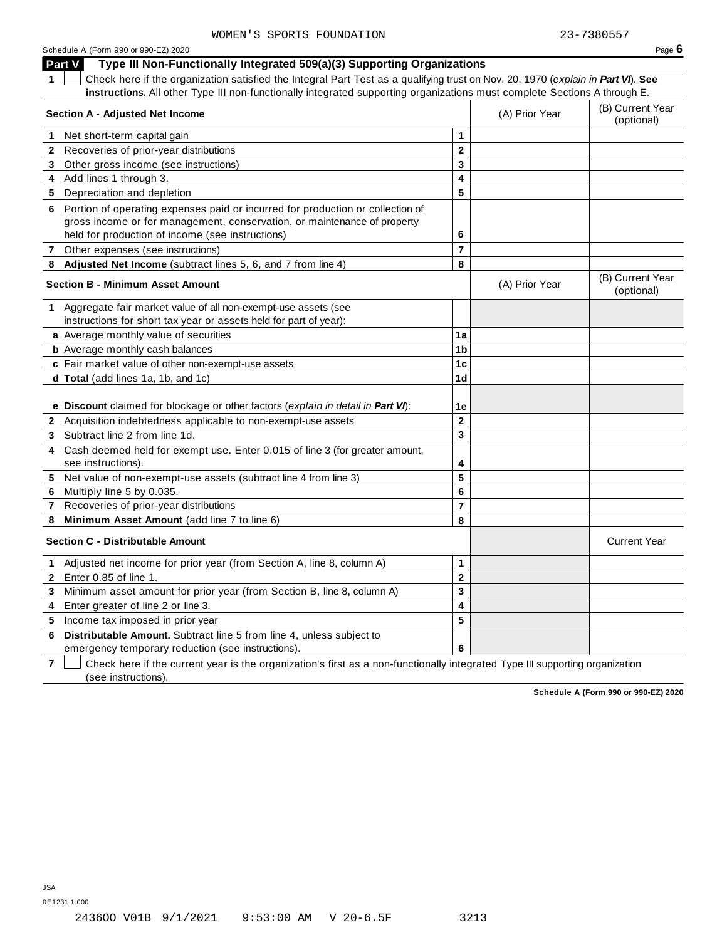| Schedule A (Form 990 or 990-EZ) 2020 | Page 6 |
|--------------------------------------|--------|
|--------------------------------------|--------|

**Part V Type III Non-Functionally Integrated 509(a)(3) Supporting Organizations 1** Check here if the organization satisfied the Integral Part Test as a qualifying trust on Nov. 20, 1970 (*explain in Part VI*). **See instructions.** All other Type III non-functionally integrated supporting organizations must complete Sections A through E. (B) Current Year **Section <sup>A</sup> - Adjusted Net Income** (A) Prior Year (optional) **1** Net short-term capital gain **1 1 2 3 4 5 2** Recoveries of prior-year distributions **3** Other gross income (see instructions) **4** Add lines 1 through 3. **5** Depreciation and depletion **6** Portion of operating expenses paid or incurred for production or collection of gross income or for management, conservation, or maintenance of property held for production of income (see instructions) **6 7** Other expenses (see instructions) **7 8 Adjusted Net Income** (subtract lines 5, 6, and 7 from line 4) **8** (B) Current Year **Section <sup>B</sup> - Minimum Asset Amount** (A) Prior Year (optional) **1** Aggregate fair market value of all non-exempt-use assets (see instructions for short tax year or assets held for part of year): **a** Average monthly value of securities **1a 1b 1c 1d 1e b** Average monthly cash balances **c** Fair market value of other non-exempt-use assets **d Total** (add lines 1a, 1b, and 1c) **e Discount** claimed for blockage or other factors (*explain in detail in Part VI*): **2** Acquisition indebtedness applicable to non-exempt-use assets **2 3 4 5 6 7 8 3** Subtract line 2 from line 1d. **4** Cash deemed held for exempt use. Enter 0.015 of line 3 (for greater amount, see instructions). **5** Net value of non-exempt-use assets (subtract line 4 from line 3) **6** Multiply line 5 by 0.035. **7** Recoveries of prior-year distributions **8 Minimum Asset Amount** (add line 7 to line 6) **Section C -** Distributable Amount **Current Year** Current Year **Current Year** Current Year **Current Year 1** Adjusted net income for prior year (from Section A, line 8, column A) **1 2 3 4 5 2** Enter 0.85 of line 1. **3** Minimum asset amount for prior year (from Section B, line 8, column A) **4** Enter greater of line 2 or line 3. **5** Income tax imposed in prior year **6 Distributable Amount.** Subtract line 5 from line 4, unless subject to

emergency temporary reduction (see instructions).

**7** Check here if the current year is the organization's first as a non-functionally integrated Type III supporting organization (see instructions).

**Schedule A (Form 990 or 990-EZ) 2020**

0E1231 1.000

**6**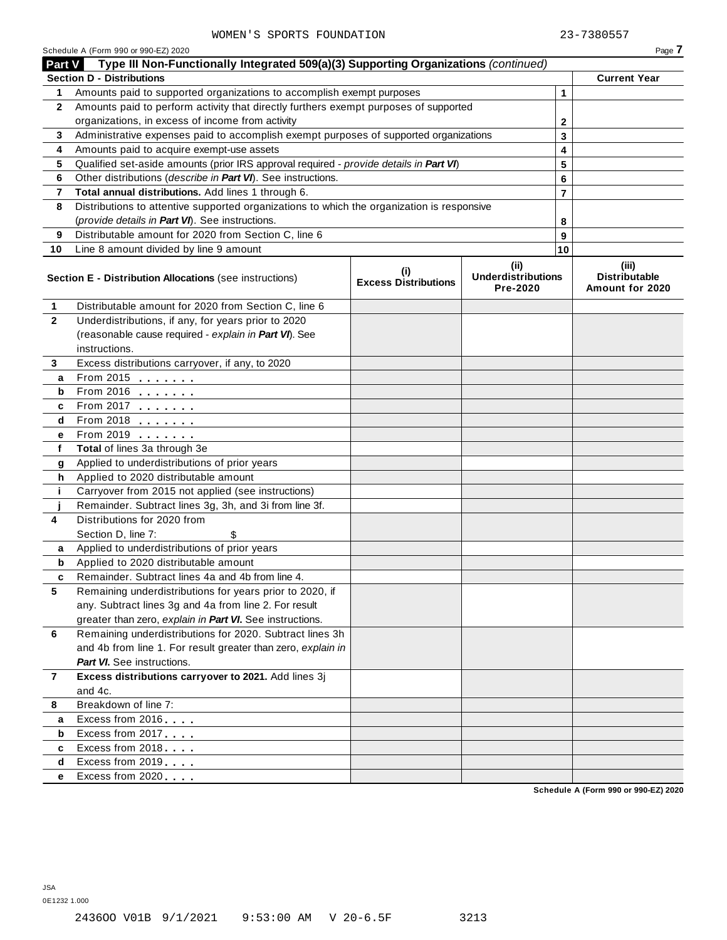|                | Schedule A (Form 990 or 990-EZ) 2020                                                       |                                    |                                               |                | Page 7                                    |
|----------------|--------------------------------------------------------------------------------------------|------------------------------------|-----------------------------------------------|----------------|-------------------------------------------|
| Part V         | Type III Non-Functionally Integrated 509(a)(3) Supporting Organizations (continued)        |                                    |                                               |                |                                           |
|                | <b>Section D - Distributions</b>                                                           |                                    |                                               |                | <b>Current Year</b>                       |
| 1.             | Amounts paid to supported organizations to accomplish exempt purposes                      |                                    |                                               | $\mathbf{1}$   |                                           |
| $\mathbf{2}$   | Amounts paid to perform activity that directly furthers exempt purposes of supported       |                                    |                                               |                |                                           |
|                | organizations, in excess of income from activity                                           |                                    |                                               | $\mathbf{2}$   |                                           |
| 3              | Administrative expenses paid to accomplish exempt purposes of supported organizations      |                                    |                                               | 3              |                                           |
| 4              | Amounts paid to acquire exempt-use assets                                                  |                                    |                                               | 4              |                                           |
| 5              | Qualified set-aside amounts (prior IRS approval required - provide details in Part VI)     |                                    |                                               | 5              |                                           |
| 6              | Other distributions (describe in Part VI). See instructions.                               |                                    |                                               | 6              |                                           |
| 7              | Total annual distributions. Add lines 1 through 6.                                         |                                    |                                               | $\overline{7}$ |                                           |
| 8              | Distributions to attentive supported organizations to which the organization is responsive |                                    |                                               |                |                                           |
|                | (provide details in Part VI). See instructions.                                            |                                    |                                               | 8              |                                           |
| 9              | Distributable amount for 2020 from Section C, line 6                                       |                                    |                                               | 9              |                                           |
| 10             | Line 8 amount divided by line 9 amount                                                     |                                    |                                               | 10             |                                           |
|                | <b>Section E - Distribution Allocations (see instructions)</b>                             | (i)<br><b>Excess Distributions</b> | (ii)<br><b>Underdistributions</b><br>Pre-2020 |                | (iii)<br>Distributable<br>Amount for 2020 |
| 1              | Distributable amount for 2020 from Section C, line 6                                       |                                    |                                               |                |                                           |
| $\overline{2}$ | Underdistributions, if any, for years prior to 2020                                        |                                    |                                               |                |                                           |
|                | (reasonable cause required - explain in Part VI). See                                      |                                    |                                               |                |                                           |
|                | instructions.                                                                              |                                    |                                               |                |                                           |
| 3              | Excess distributions carryover, if any, to 2020                                            |                                    |                                               |                |                                           |
| а              | From 2015                                                                                  |                                    |                                               |                |                                           |
| b              |                                                                                            |                                    |                                               |                |                                           |
| c              | From 2017                                                                                  |                                    |                                               |                |                                           |
| d              |                                                                                            |                                    |                                               |                |                                           |
| е              | From 2019                                                                                  |                                    |                                               |                |                                           |
| f              | Total of lines 3a through 3e                                                               |                                    |                                               |                |                                           |
| g              | Applied to underdistributions of prior years                                               |                                    |                                               |                |                                           |
| h              | Applied to 2020 distributable amount                                                       |                                    |                                               |                |                                           |
| j.             | Carryover from 2015 not applied (see instructions)                                         |                                    |                                               |                |                                           |
|                | Remainder. Subtract lines 3g, 3h, and 3i from line 3f.                                     |                                    |                                               |                |                                           |
| 4              | Distributions for 2020 from                                                                |                                    |                                               |                |                                           |
|                | Section D, line 7:<br>Applied to underdistributions of prior years                         |                                    |                                               |                |                                           |
| a<br>b         | Applied to 2020 distributable amount                                                       |                                    |                                               |                |                                           |
|                | Remainder. Subtract lines 4a and 4b from line 4.                                           |                                    |                                               |                |                                           |
| 5              | Remaining underdistributions for years prior to 2020, if                                   |                                    |                                               |                |                                           |
|                | any. Subtract lines 3g and 4a from line 2. For result                                      |                                    |                                               |                |                                           |
|                | greater than zero, explain in Part VI. See instructions.                                   |                                    |                                               |                |                                           |
| 6              | Remaining underdistributions for 2020. Subtract lines 3h                                   |                                    |                                               |                |                                           |
|                | and 4b from line 1. For result greater than zero, explain in                               |                                    |                                               |                |                                           |
|                | <b>Part VI.</b> See instructions.                                                          |                                    |                                               |                |                                           |
| $\mathbf{7}$   | Excess distributions carryover to 2021. Add lines 3j                                       |                                    |                                               |                |                                           |
|                | and 4c.                                                                                    |                                    |                                               |                |                                           |
| 8              | Breakdown of line 7:                                                                       |                                    |                                               |                |                                           |
| a              | Excess from 2016                                                                           |                                    |                                               |                |                                           |
| b              | Excess from 2017                                                                           |                                    |                                               |                |                                           |
| C              | Excess from 2018                                                                           |                                    |                                               |                |                                           |
| d              | Excess from 2019                                                                           |                                    |                                               |                |                                           |
| е              | Excess from 2020                                                                           |                                    |                                               |                |                                           |
|                |                                                                                            |                                    |                                               |                | Schedule A (Form 990 or 990-EZ) 2020      |

**Schedule A (Form 990 or 990-EZ) 2020**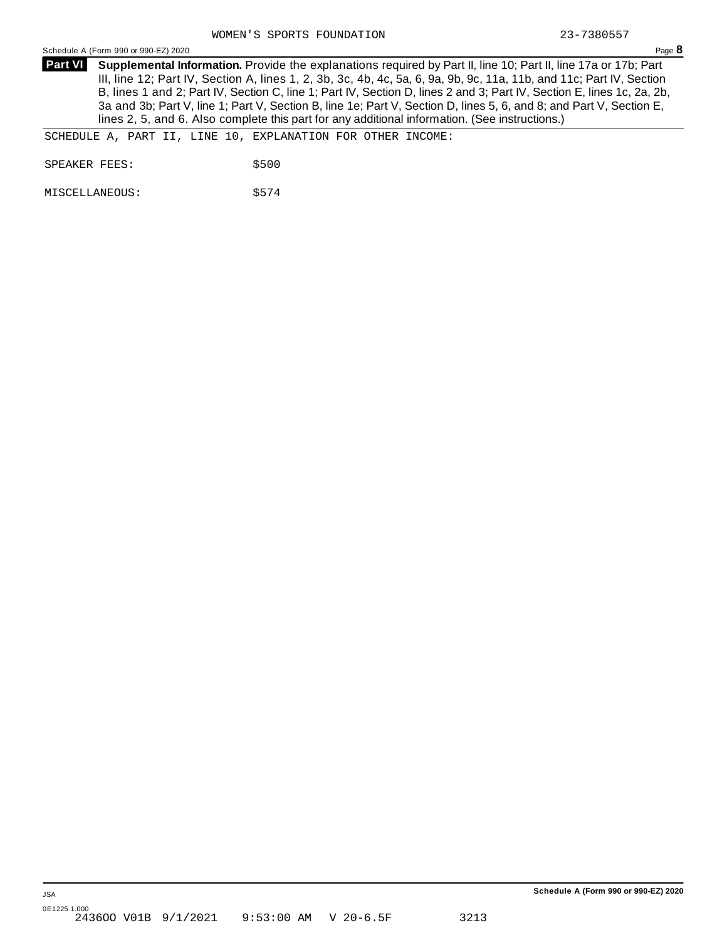Schedule <sup>A</sup> (Form <sup>990</sup> or 990-EZ) <sup>2020</sup> Page **8**

**Supplemental Information.** Provide the explanations required by Part II, line 10; Part II, line 17a or 17b; Part **Part VI** III, line 12; Part IV, Section A, lines 1, 2, 3b, 3c, 4b, 4c, 5a, 6, 9a, 9b, 9c, 11a, 11b, and 11c; Part IV, Section B, lines 1 and 2; Part IV, Section C, line 1; Part IV, Section D, lines 2 and 3; Part IV, Section E, lines 1c, 2a, 2b, 3a and 3b; Part V, line 1; Part V, Section B, line 1e; Part V, Section D, lines 5, 6, and 8; and Part V, Section E, lines 2, 5, and 6. Also complete this part for any additional information. (See instructions.)

SCHEDULE A, PART II, LINE 10, EXPLANATION FOR OTHER INCOME:

SPEAKER FEES: \$500

MISCELLANEOUS:  $$574$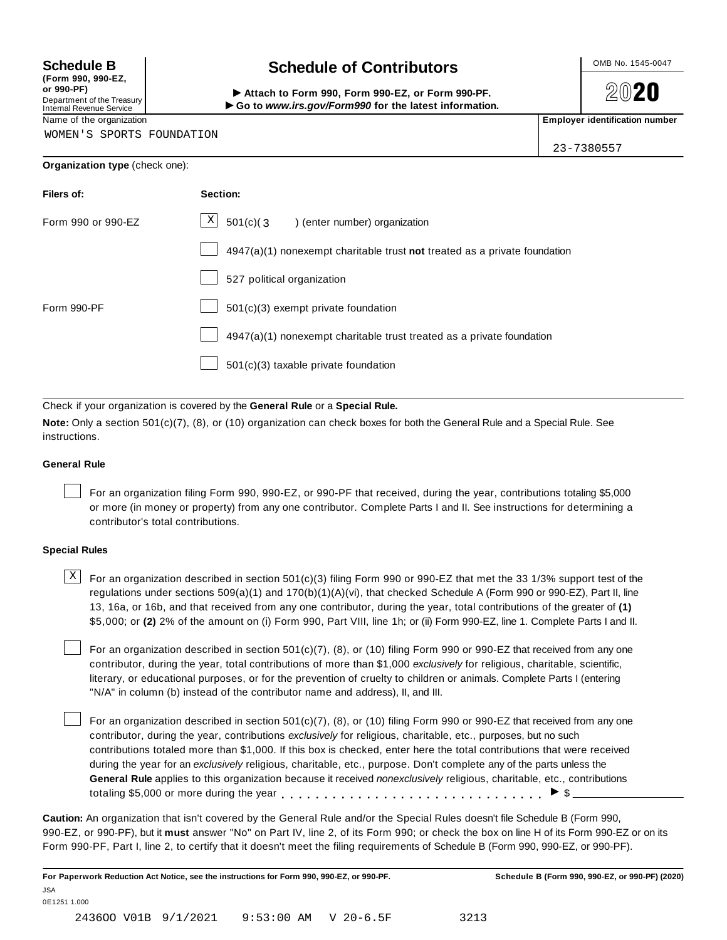**(Form 990, 990-EZ, or 990-PF)** Department of the Treasury<br>Internal Revenue Service

## **Schedule B chedule of Contributors**

(Form 990, 990-EZ,<br>
or 990-PF,<br>
Department of the Treasury **COLOCY**<br>
Internal Revenue Service **COLOCY**<br>
Name of the organization<br>
Name of the organization

**2020** 

23-7380557

WOMEN'S SPORTS FOUNDATION

| Organization type (check one): |  |  |
|--------------------------------|--|--|
|--------------------------------|--|--|

| <b>Filers of:</b>  | Section:                                                                    |
|--------------------|-----------------------------------------------------------------------------|
| Form 990 or 990-EZ | $\mathbf{x}$<br>501(c)(3) (enter number) organization                       |
|                    | $4947(a)(1)$ nonexempt charitable trust not treated as a private foundation |
|                    | 527 political organization                                                  |
| Form 990-PF        | 501(c)(3) exempt private foundation                                         |
|                    | 4947(a)(1) nonexempt charitable trust treated as a private foundation       |
|                    | 501(c)(3) taxable private foundation                                        |

Check if your organization is covered by the **General Rule** or a **Special Rule.**

**Note:** Only a section 501(c)(7), (8), or (10) organization can check boxes for both the General Rule and a Special Rule. See instructions.

#### **General Rule**

For an organization filing Form 990, 990-EZ, or 990-PF that received, during the year, contributions totaling \$5,000 or more (in money or property) from any one contributor. Complete Parts I and II. See instructions for determining a contributor's total contributions.

#### **Special Rules**

 $\text{X}$  For an organization described in section 501(c)(3) filing Form 990 or 990-EZ that met the 33 1/3% support test of the regulations under sections 509(a)(1) and 170(b)(1)(A)(vi), that checked Schedule A (Form 990 or 990-EZ), Part II, line 13, 16a, or 16b, and that received from any one contributor, during the year, total contributions of the greater of **(1)** \$5,000; or **(2)** 2% of the amount on (i) Form 990, Part VIII, line 1h; or (ii) Form 990-EZ, line 1. Complete Parts I and II.

For an organization described in section 501(c)(7), (8), or (10) filing Form 990 or 990-EZ that received from any one contributor, during the year, total contributions of more than \$1,000 *exclusively* for religious, charitable, scientific, literary, or educational purposes, or for the prevention of cruelty to children or animals. Complete Parts I (entering "N/A" in column (b) instead of the contributor name and address), II, and III.

For an organization described in section 501(c)(7), (8), or (10) filing Form 990 or 990-EZ that received from any one contributor, during the year, contributions *exclusively* for religious, charitable, etc., purposes, but no such contributions totaled more than \$1,000. If this box is checked, enter here the total contributions that were received during the year for an *exclusively* religious, charitable, etc., purpose. Don't complete any of the parts unless the **General Rule** applies to this organization because it received *nonexclusively* religious, charitable, etc., contributions totaling \$5,000 or more during the year  $\ldots \ldots \ldots \ldots \ldots \ldots \ldots \ldots \ldots \vdots$ 

**Caution:** An organization that isn't covered by the General Rule and/or the Special Rules doesn't file Schedule B (Form 990, 990-EZ, or 990-PF), but it **must** answer "No" on Part IV, line 2, of its Form 990; or check the box on line H of its Form 990-EZ or on its Form 990-PF, Part I, line 2, to certify that it doesn't meet the filing requirements of Schedule B (Form 990, 990-EZ, or 990-PF).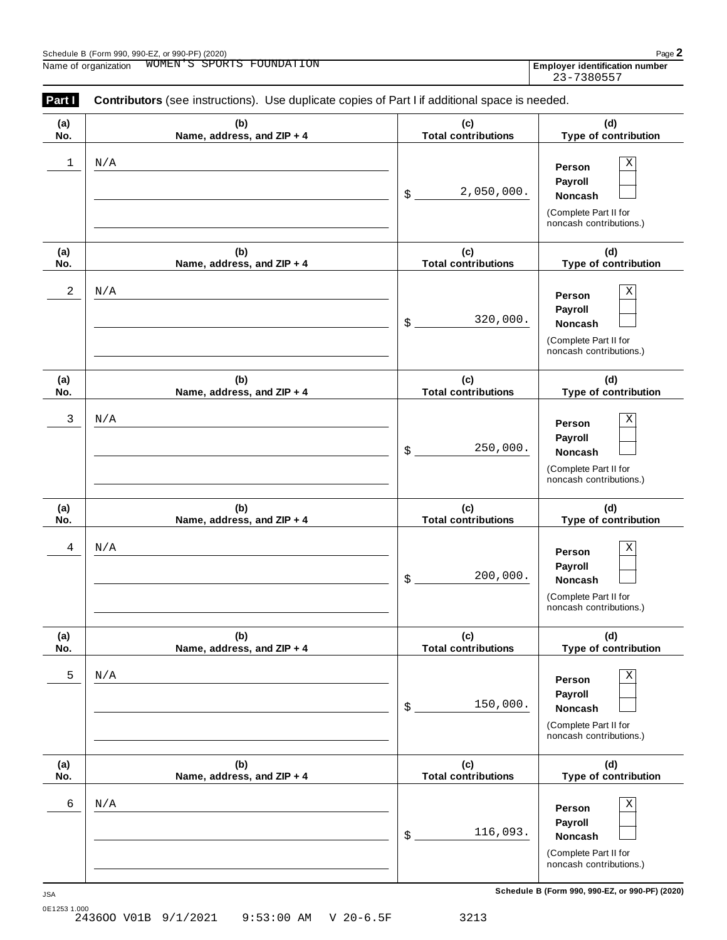| Schedule B (Form 990, 990-EZ, or 990-PF) (2020) |                                     | $Page$ .                                        |
|-------------------------------------------------|-------------------------------------|-------------------------------------------------|
| Name<br>organization                            | <b>WOMEN</b><br>SPOR<br>. JUNIJA''' | $\cdots$<br>Emplover<br>r identification number |

| Part I     | Contributors (see instructions). Use duplicate copies of Part I if additional space is needed. |                                   |                                                                                              |  |  |  |
|------------|------------------------------------------------------------------------------------------------|-----------------------------------|----------------------------------------------------------------------------------------------|--|--|--|
| (a)<br>No. | (b)<br>Name, address, and ZIP + 4                                                              | (c)<br><b>Total contributions</b> | (d)<br>Type of contribution                                                                  |  |  |  |
| 1          | N/A                                                                                            | 2,050,000.<br>\$                  | Х<br>Person<br>Payroll<br>Noncash<br>(Complete Part II for<br>noncash contributions.)        |  |  |  |
| (a)<br>No. | (b)<br>Name, address, and ZIP + 4                                                              | (c)<br><b>Total contributions</b> | (d)<br>Type of contribution                                                                  |  |  |  |
| 2          | N/A                                                                                            | 320,000.<br>\$                    | Х<br>Person<br>Payroll<br>Noncash<br>(Complete Part II for<br>noncash contributions.)        |  |  |  |
| (a)<br>No. | (b)<br>Name, address, and ZIP + 4                                                              | (c)<br><b>Total contributions</b> | (d)<br>Type of contribution                                                                  |  |  |  |
| 3          | N/A                                                                                            | 250,000.<br>\$                    | Х<br>Person<br>Payroll<br>Noncash<br>(Complete Part II for<br>noncash contributions.)        |  |  |  |
| (a)<br>No. | (b)<br>Name, address, and ZIP + 4                                                              | (c)<br><b>Total contributions</b> | (d)<br>Type of contribution                                                                  |  |  |  |
| 4          | N/A                                                                                            | 200,000.<br>\$                    | Χ<br>Person<br>Payroll<br>Noncash<br>(Complete Part II for<br>noncash contributions.)        |  |  |  |
| (a)<br>No. | (b)<br>Name, address, and ZIP + 4                                                              | (c)<br><b>Total contributions</b> | (d)<br>Type of contribution                                                                  |  |  |  |
| 5          | N/A                                                                                            | 150,000.<br>\$                    | Χ<br>Person<br>Payroll<br><b>Noncash</b><br>(Complete Part II for<br>noncash contributions.) |  |  |  |
| (a)<br>No. | (b)<br>Name, address, and ZIP + 4                                                              | (c)<br><b>Total contributions</b> | (d)<br>Type of contribution                                                                  |  |  |  |
| 6          | N/A                                                                                            | 116,093.<br>\$                    | Χ<br>Person<br>Payroll<br><b>Noncash</b><br>(Complete Part II for<br>noncash contributions.) |  |  |  |

**Schedule B (Form 990, 990-EZ, or 990-PF) (2020)** JSA 0E1253 1.000 2436OO V01B 9/1/2021 9:53:00 AM V 20-6.5F 3213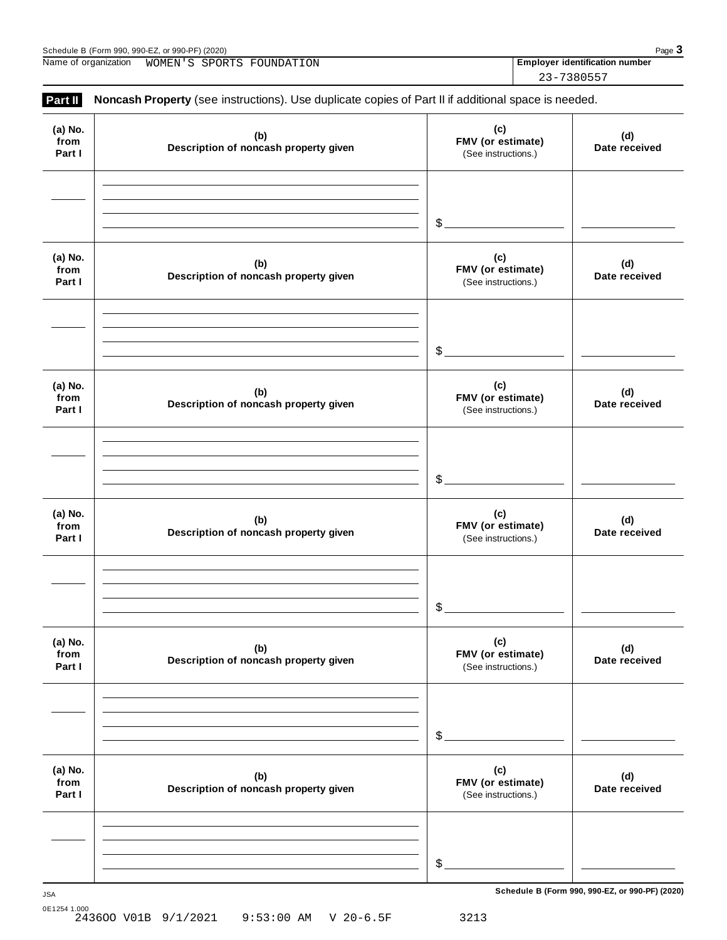| $. or 990-PF'$<br>990-E<br>(2020)<br>Schedule B<br>990.<br>Page<br>(Form<br>- - |  |
|---------------------------------------------------------------------------------|--|
|---------------------------------------------------------------------------------|--|

Name of organization **WOMEN'S SPORTS FOUNDATION Employer identification number** 

23-7380557

| Part II                   | Noncash Property (see instructions). Use duplicate copies of Part II if additional space is needed. |                                                 |                      |
|---------------------------|-----------------------------------------------------------------------------------------------------|-------------------------------------------------|----------------------|
| (a) No.<br>from<br>Part I | (b)<br>Description of noncash property given                                                        | (c)<br>FMV (or estimate)<br>(See instructions.) | (d)<br>Date received |
|                           |                                                                                                     | $\delta$                                        |                      |
| (a) No.<br>from<br>Part I | (b)<br>Description of noncash property given                                                        | (c)<br>FMV (or estimate)<br>(See instructions.) | (d)<br>Date received |
|                           |                                                                                                     | $\delta$                                        |                      |
| (a) No.<br>from<br>Part I | (b)<br>Description of noncash property given                                                        | (c)<br>FMV (or estimate)<br>(See instructions.) | (d)<br>Date received |
|                           |                                                                                                     | $\mathcal{L}_{-}$                               |                      |
| (a) No.<br>from<br>Part I | (b)<br>Description of noncash property given                                                        | (c)<br>FMV (or estimate)<br>(See instructions.) | (d)<br>Date received |
|                           |                                                                                                     | \$                                              |                      |
| (a) No.<br>from<br>Part I | (b)<br>Description of noncash property given                                                        | (c)<br>FMV (or estimate)<br>(See instructions.) | (d)<br>Date received |
|                           |                                                                                                     | \$                                              |                      |
| (a) No.<br>from<br>Part I | (b)<br>Description of noncash property given                                                        | (c)<br>FMV (or estimate)<br>(See instructions.) | (d)<br>Date received |
|                           |                                                                                                     | $$$ .                                           |                      |

**Schedule B (Form 990, 990-EZ, or 990-PF) (2020)** JSA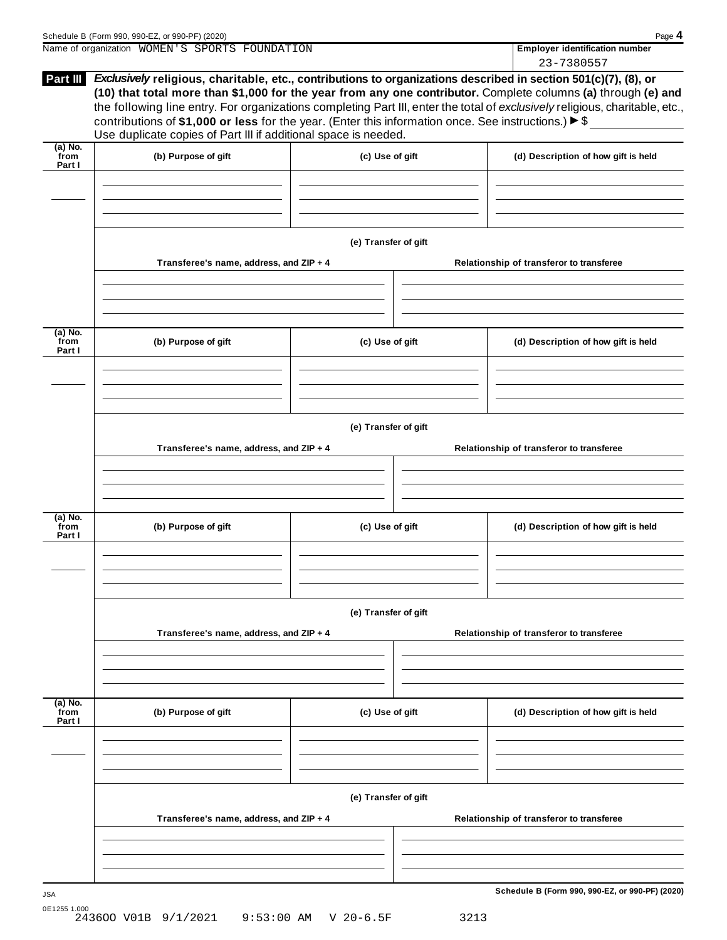|                             | Schedule B (Form 990, 990-EZ, or 990-PF) (2020)                                                                                                                                                                                        |                      |  | Page 4                                                                                                                                                                                                                                                      |
|-----------------------------|----------------------------------------------------------------------------------------------------------------------------------------------------------------------------------------------------------------------------------------|----------------------|--|-------------------------------------------------------------------------------------------------------------------------------------------------------------------------------------------------------------------------------------------------------------|
|                             | Name of organization WOMEN'S SPORTS FOUNDATION                                                                                                                                                                                         |                      |  | <b>Employer identification number</b>                                                                                                                                                                                                                       |
| Part III                    | Exclusively religious, charitable, etc., contributions to organizations described in section 501(c)(7), (8), or<br>contributions of \$1,000 or less for the year. (Enter this information once. See instructions.) $\triangleright$ \$ |                      |  | 23-7380557<br>(10) that total more than \$1,000 for the year from any one contributor. Complete columns (a) through (e) and<br>the following line entry. For organizations completing Part III, enter the total of exclusively religious, charitable, etc., |
|                             | Use duplicate copies of Part III if additional space is needed.                                                                                                                                                                        |                      |  |                                                                                                                                                                                                                                                             |
| $(a)$ No.<br>from<br>Part I | (b) Purpose of gift                                                                                                                                                                                                                    | (c) Use of gift      |  | (d) Description of how gift is held                                                                                                                                                                                                                         |
|                             | Transferee's name, address, and ZIP + 4                                                                                                                                                                                                | (e) Transfer of gift |  | Relationship of transferor to transferee                                                                                                                                                                                                                    |
|                             |                                                                                                                                                                                                                                        |                      |  |                                                                                                                                                                                                                                                             |
| $(a)$ No.<br>from<br>Part I | (b) Purpose of gift                                                                                                                                                                                                                    | (c) Use of gift      |  | (d) Description of how gift is held                                                                                                                                                                                                                         |
|                             | Transferee's name, address, and ZIP + 4                                                                                                                                                                                                | (e) Transfer of gift |  | Relationship of transferor to transferee                                                                                                                                                                                                                    |
| $(a)$ No.<br>from<br>Part I | (b) Purpose of gift                                                                                                                                                                                                                    | (c) Use of gift      |  | (d) Description of how gift is held                                                                                                                                                                                                                         |
|                             | Transferee's name, address, and ZIP + 4                                                                                                                                                                                                | (e) Transfer of gift |  | Relationship of transferor to transferee                                                                                                                                                                                                                    |
|                             |                                                                                                                                                                                                                                        |                      |  |                                                                                                                                                                                                                                                             |
| $(a)$ No.<br>from<br>Part I | (b) Purpose of gift                                                                                                                                                                                                                    | (c) Use of gift      |  | (d) Description of how gift is held                                                                                                                                                                                                                         |
|                             |                                                                                                                                                                                                                                        | (e) Transfer of gift |  |                                                                                                                                                                                                                                                             |
|                             | Transferee's name, address, and ZIP + 4                                                                                                                                                                                                |                      |  | Relationship of transferor to transferee                                                                                                                                                                                                                    |
|                             |                                                                                                                                                                                                                                        |                      |  | Schedule B (Form 990, 990-EZ, or 990-PF) (2020)                                                                                                                                                                                                             |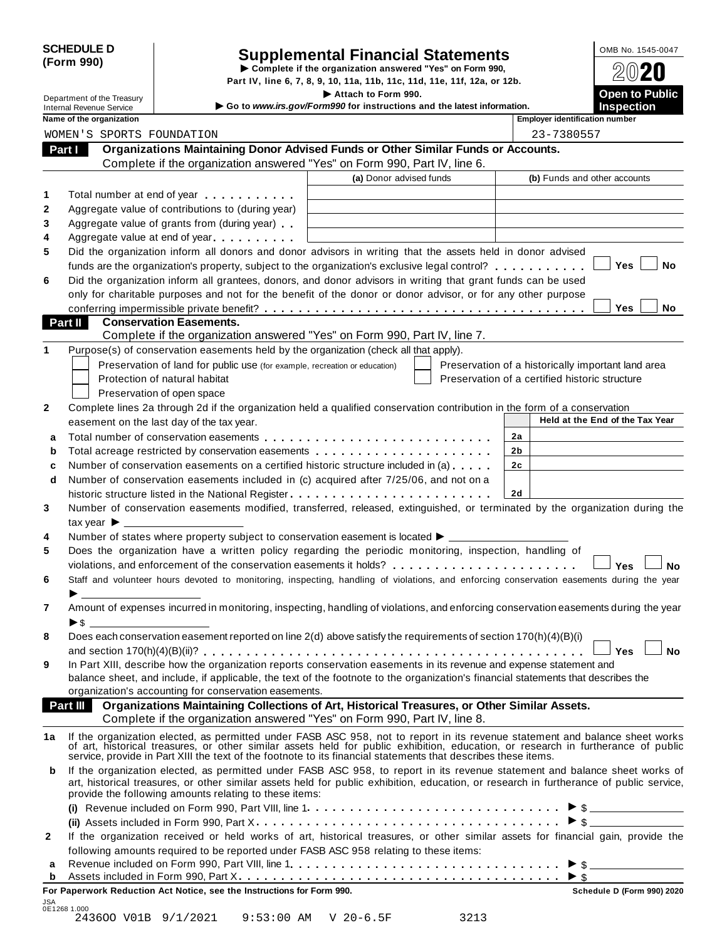|            | <b>SCHEDULE D</b> |
|------------|-------------------|
| (Form 990) |                   |

| <b>SCHEDULE D</b> |                                               |                                                                            | <b>Supplemental Financial Statements</b>                                                                                                                                                                                                                               |                                                    | OMB No. 1545-0047               |
|-------------------|-----------------------------------------------|----------------------------------------------------------------------------|------------------------------------------------------------------------------------------------------------------------------------------------------------------------------------------------------------------------------------------------------------------------|----------------------------------------------------|---------------------------------|
|                   | (Form 990)                                    |                                                                            | Complete if the organization answered "Yes" on Form 990,                                                                                                                                                                                                               |                                                    | $20$ 20                         |
|                   |                                               |                                                                            | Part IV, line 6, 7, 8, 9, 10, 11a, 11b, 11c, 11d, 11e, 11f, 12a, or 12b.                                                                                                                                                                                               |                                                    |                                 |
|                   | Department of the Treasury                    |                                                                            | Attach to Form 990.                                                                                                                                                                                                                                                    |                                                    | Open to Public                  |
|                   | <b>Internal Revenue Service</b>               |                                                                            | Go to www.irs.gov/Form990 for instructions and the latest information.                                                                                                                                                                                                 |                                                    | <b>Inspection</b>               |
|                   | Name of the organization                      |                                                                            |                                                                                                                                                                                                                                                                        | <b>Employer identification number</b>              |                                 |
|                   | WOMEN'S SPORTS FOUNDATION                     |                                                                            |                                                                                                                                                                                                                                                                        | 23-7380557                                         |                                 |
| Part I            |                                               |                                                                            | Organizations Maintaining Donor Advised Funds or Other Similar Funds or Accounts.                                                                                                                                                                                      |                                                    |                                 |
|                   |                                               |                                                                            | Complete if the organization answered "Yes" on Form 990, Part IV, line 6.                                                                                                                                                                                              |                                                    |                                 |
|                   |                                               |                                                                            | (a) Donor advised funds                                                                                                                                                                                                                                                |                                                    | (b) Funds and other accounts    |
| 1                 |                                               | Total number at end of year entitled as a set of year                      |                                                                                                                                                                                                                                                                        |                                                    |                                 |
| 2                 |                                               | Aggregate value of contributions to (during year)                          |                                                                                                                                                                                                                                                                        |                                                    |                                 |
| 3                 |                                               | Aggregate value of grants from (during year)                               |                                                                                                                                                                                                                                                                        |                                                    |                                 |
| 4                 |                                               | Aggregate value at end of year                                             |                                                                                                                                                                                                                                                                        |                                                    |                                 |
| 5                 |                                               |                                                                            | Did the organization inform all donors and donor advisors in writing that the assets held in donor advised                                                                                                                                                             |                                                    |                                 |
|                   |                                               |                                                                            | funds are the organization's property, subject to the organization's exclusive legal control?                                                                                                                                                                          |                                                    | Yes<br>No                       |
| 6                 |                                               |                                                                            | Did the organization inform all grantees, donors, and donor advisors in writing that grant funds can be used                                                                                                                                                           |                                                    |                                 |
|                   |                                               |                                                                            | only for charitable purposes and not for the benefit of the donor or donor advisor, or for any other purpose                                                                                                                                                           |                                                    |                                 |
|                   |                                               |                                                                            |                                                                                                                                                                                                                                                                        |                                                    | Yes<br><b>No</b>                |
| Part II           |                                               | <b>Conservation Easements.</b>                                             |                                                                                                                                                                                                                                                                        |                                                    |                                 |
|                   |                                               |                                                                            | Complete if the organization answered "Yes" on Form 990, Part IV, line 7.                                                                                                                                                                                              |                                                    |                                 |
| 1                 |                                               |                                                                            | Purpose(s) of conservation easements held by the organization (check all that apply).                                                                                                                                                                                  |                                                    |                                 |
|                   |                                               | Preservation of land for public use (for example, recreation or education) |                                                                                                                                                                                                                                                                        | Preservation of a historically important land area |                                 |
|                   |                                               | Protection of natural habitat                                              |                                                                                                                                                                                                                                                                        | Preservation of a certified historic structure     |                                 |
|                   |                                               | Preservation of open space                                                 |                                                                                                                                                                                                                                                                        |                                                    |                                 |
| 2                 |                                               |                                                                            | Complete lines 2a through 2d if the organization held a qualified conservation contribution in the form of a conservation                                                                                                                                              |                                                    |                                 |
|                   |                                               | easement on the last day of the tax year.                                  |                                                                                                                                                                                                                                                                        |                                                    | Held at the End of the Tax Year |
| a                 |                                               |                                                                            |                                                                                                                                                                                                                                                                        | 2a                                                 |                                 |
| b                 |                                               |                                                                            |                                                                                                                                                                                                                                                                        | 2 <sub>b</sub>                                     |                                 |
| c                 |                                               |                                                                            | Number of conservation easements on a certified historic structure included in (a) $\dots$                                                                                                                                                                             | 2 <sub>c</sub>                                     |                                 |
| d                 |                                               |                                                                            | Number of conservation easements included in (c) acquired after 7/25/06, and not on a                                                                                                                                                                                  |                                                    |                                 |
|                   |                                               |                                                                            | historic structure listed in the National Register                                                                                                                                                                                                                     | 2d                                                 |                                 |
| 3                 |                                               |                                                                            | Number of conservation easements modified, transferred, released, extinguished, or terminated by the organization during the                                                                                                                                           |                                                    |                                 |
|                   | tax year $\blacktriangleright$ $\blacksquare$ |                                                                            |                                                                                                                                                                                                                                                                        |                                                    |                                 |
| 4                 |                                               |                                                                            | Number of states where property subject to conservation easement is located $\blacktriangleright$ ____                                                                                                                                                                 |                                                    |                                 |
| 5                 |                                               |                                                                            | Does the organization have a written policy regarding the periodic monitoring, inspection, handling of                                                                                                                                                                 |                                                    |                                 |
|                   |                                               |                                                                            | violations, and enforcement of the conservation easements it holds?                                                                                                                                                                                                    |                                                    | Yes<br>No                       |
| 6                 |                                               |                                                                            | Staff and volunteer hours devoted to monitoring, inspecting, handling of violations, and enforcing conservation easements during the year                                                                                                                              |                                                    |                                 |
|                   |                                               |                                                                            |                                                                                                                                                                                                                                                                        |                                                    |                                 |
| 7                 |                                               |                                                                            | Amount of expenses incurred in monitoring, inspecting, handling of violations, and enforcing conservation easements during the year                                                                                                                                    |                                                    |                                 |
|                   | $\triangleright$ \$                           |                                                                            |                                                                                                                                                                                                                                                                        |                                                    |                                 |
| 8                 |                                               |                                                                            | Does each conservation easement reported on line 2(d) above satisfy the requirements of section 170(h)(4)(B)(i)                                                                                                                                                        |                                                    |                                 |
|                   |                                               |                                                                            |                                                                                                                                                                                                                                                                        |                                                    | Yes<br><b>No</b>                |
| 9                 |                                               |                                                                            | In Part XIII, describe how the organization reports conservation easements in its revenue and expense statement and                                                                                                                                                    |                                                    |                                 |
|                   |                                               |                                                                            | balance sheet, and include, if applicable, the text of the footnote to the organization's financial statements that describes the                                                                                                                                      |                                                    |                                 |
|                   | Part III                                      | organization's accounting for conservation easements.                      | Organizations Maintaining Collections of Art, Historical Treasures, or Other Similar Assets.                                                                                                                                                                           |                                                    |                                 |
|                   |                                               |                                                                            | Complete if the organization answered "Yes" on Form 990, Part IV, line 8.                                                                                                                                                                                              |                                                    |                                 |
|                   |                                               |                                                                            |                                                                                                                                                                                                                                                                        |                                                    |                                 |
| 1a                |                                               |                                                                            | If the organization elected, as permitted under FASB ASC 958, not to report in its revenue statement and balance sheet works of art, historical treasures, or other similar assets held for public exhibition, education, or r                                         |                                                    |                                 |
| b                 |                                               | provide the following amounts relating to these items:                     | If the organization elected, as permitted under FASB ASC 958, to report in its revenue statement and balance sheet works of<br>art, historical treasures, or other similar assets held for public exhibition, education, or research in furtherance of public service, |                                                    |                                 |
|                   |                                               |                                                                            | (i) Revenue included on Form 990, Part VIII, line $1, \ldots, \ldots, \ldots, \ldots, \ldots, \ldots, \ldots, \ldots, \ldots$                                                                                                                                          |                                                    | $\triangleright$ \$             |
|                   |                                               |                                                                            |                                                                                                                                                                                                                                                                        |                                                    | $\triangleright$ \$             |
| 2                 |                                               |                                                                            | If the organization received or held works of art, historical treasures, or other similar assets for financial gain, provide the                                                                                                                                       |                                                    |                                 |
|                   |                                               |                                                                            |                                                                                                                                                                                                                                                                        |                                                    |                                 |

following amounts required to be reported under FASB ASC 958 relating to these items:<br>**a** Revenue included on Form 990, Part VIII, line 1 **And much minutes in metallic on the metallic Security of S** 

| <b>b</b> Assets included in Form 990, Part X $\ldots$ $\ldots$ $\ldots$ $\ldots$ $\ldots$ $\ldots$ $\ldots$ $\ldots$ $\ldots$ $\ldots$ $\blacktriangleright$ \$ |                            |
|-----------------------------------------------------------------------------------------------------------------------------------------------------------------|----------------------------|
| For Paperwork Reduction Act Notice, see the Instructions for Form 990.                                                                                          | Schedule D (Form 990) 2020 |

| JSA                  |                      |      |
|----------------------|----------------------|------|
| 0E1268 1.000         |                      |      |
| 243600 V01B 9/1/2021 | 9:53:00 AM V 20-6.5F | 3213 |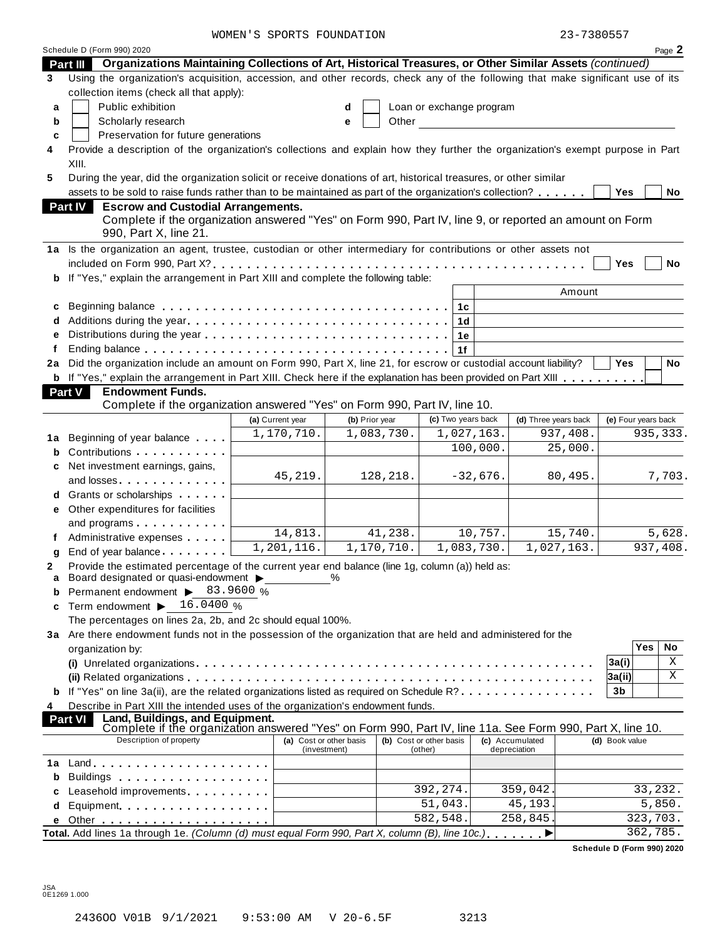| 23-7380557 |  |  |  |  |  |
|------------|--|--|--|--|--|
|            |  |  |  |  |  |

|        |                                                                                                                                                                                                                            | WOMEN'S SPORTS FOUNDATION               |      |                |                                    |            |                                 | 23-7380557          |          |                      |
|--------|----------------------------------------------------------------------------------------------------------------------------------------------------------------------------------------------------------------------------|-----------------------------------------|------|----------------|------------------------------------|------------|---------------------------------|---------------------|----------|----------------------|
|        | Schedule D (Form 990) 2020                                                                                                                                                                                                 |                                         |      |                |                                    |            |                                 |                     |          | Page 2               |
|        | Organizations Maintaining Collections of Art, Historical Treasures, or Other Similar Assets (continued)<br>Part III                                                                                                        |                                         |      |                |                                    |            |                                 |                     |          |                      |
| 3      | Using the organization's acquisition, accession, and other records, check any of the following that make significant use of its                                                                                            |                                         |      |                |                                    |            |                                 |                     |          |                      |
|        | collection items (check all that apply):                                                                                                                                                                                   |                                         |      |                |                                    |            |                                 |                     |          |                      |
| a      | Public exhibition                                                                                                                                                                                                          |                                         | d    |                | Loan or exchange program           |            |                                 |                     |          |                      |
| b      | Scholarly research                                                                                                                                                                                                         |                                         | е    | Other          |                                    |            |                                 |                     |          |                      |
| c      | Preservation for future generations                                                                                                                                                                                        |                                         |      |                |                                    |            |                                 |                     |          |                      |
| 4      | Provide a description of the organization's collections and explain how they further the organization's exempt purpose in Part                                                                                             |                                         |      |                |                                    |            |                                 |                     |          |                      |
|        |                                                                                                                                                                                                                            |                                         |      |                |                                    |            |                                 |                     |          |                      |
|        | XIII.                                                                                                                                                                                                                      |                                         |      |                |                                    |            |                                 |                     |          |                      |
| 5      | During the year, did the organization solicit or receive donations of art, historical treasures, or other similar                                                                                                          |                                         |      |                |                                    |            |                                 |                     |          |                      |
|        | assets to be sold to raise funds rather than to be maintained as part of the organization's collection?                                                                                                                    |                                         |      |                |                                    |            |                                 | Yes                 |          | No                   |
|        | Part IV<br><b>Escrow and Custodial Arrangements.</b><br>Complete if the organization answered "Yes" on Form 990, Part IV, line 9, or reported an amount on Form<br>990, Part X, line 21.                                   |                                         |      |                |                                    |            |                                 |                     |          |                      |
| 1a     | Is the organization an agent, trustee, custodian or other intermediary for contributions or other assets not                                                                                                               |                                         |      |                |                                    |            |                                 |                     |          |                      |
|        |                                                                                                                                                                                                                            |                                         |      |                |                                    |            |                                 | Yes                 |          | No                   |
|        | If "Yes," explain the arrangement in Part XIII and complete the following table:                                                                                                                                           |                                         |      |                |                                    |            |                                 |                     |          |                      |
|        |                                                                                                                                                                                                                            |                                         |      |                |                                    |            |                                 | Amount              |          |                      |
| c      |                                                                                                                                                                                                                            |                                         |      |                | 1c                                 |            |                                 |                     |          |                      |
|        |                                                                                                                                                                                                                            |                                         |      |                | 1 <sub>d</sub>                     |            |                                 |                     |          |                      |
| e      |                                                                                                                                                                                                                            |                                         |      |                | 1e                                 |            |                                 |                     |          |                      |
|        |                                                                                                                                                                                                                            |                                         |      |                | 1f                                 |            |                                 |                     |          |                      |
| 2a     | Did the organization include an amount on Form 990, Part X, line 21, for escrow or custodial account liability?                                                                                                            |                                         |      |                |                                    |            |                                 | <b>Yes</b>          |          | No                   |
|        | b If "Yes," explain the arrangement in Part XIII. Check here if the explanation has been provided on Part XIII                                                                                                             |                                         |      |                |                                    |            |                                 |                     |          |                      |
|        | Part V<br><b>Endowment Funds.</b>                                                                                                                                                                                          |                                         |      |                |                                    |            |                                 |                     |          |                      |
|        | Complete if the organization answered "Yes" on Form 990, Part IV, line 10.                                                                                                                                                 |                                         |      |                |                                    |            |                                 |                     |          |                      |
|        |                                                                                                                                                                                                                            |                                         |      |                | (c) Two years back                 |            |                                 |                     |          |                      |
|        |                                                                                                                                                                                                                            | (a) Current year                        |      | (b) Prior year |                                    |            | (d) Three years back            | (e) Four years back |          |                      |
| 1a     | Beginning of year balance                                                                                                                                                                                                  | 1,170,710.                              |      | 1,083,730.     |                                    | 1,027,163. | 937,408.                        |                     |          | 935, 333.            |
|        | Contributions <b>Contributions</b>                                                                                                                                                                                         |                                         |      |                |                                    | 100,000.   | 25,000.                         |                     |          |                      |
| c      | Net investment earnings, gains,                                                                                                                                                                                            |                                         |      |                |                                    |            |                                 |                     |          |                      |
|        | and losses experiences and losses                                                                                                                                                                                          | 45,219.                                 |      | 128,218.       |                                    | $-32,676.$ | 80,495.                         |                     |          | 7,703.               |
|        | Grants or scholarships                                                                                                                                                                                                     |                                         |      |                |                                    |            |                                 |                     |          |                      |
| е      | Other expenditures for facilities                                                                                                                                                                                          |                                         |      |                |                                    |            |                                 |                     |          |                      |
|        | and programs experience and programs                                                                                                                                                                                       |                                         |      |                |                                    |            |                                 |                     |          |                      |
|        | Administrative expenses                                                                                                                                                                                                    | 14,813.                                 |      | 41,238.        |                                    | 10,757.    | 15,740.                         |                     |          | $\overline{5,628}$ . |
|        |                                                                                                                                                                                                                            | 1,201,116.                              |      | 1,170,710.     |                                    | 1,083,730. | 1,027,163.                      |                     |          | 937,408.             |
|        | End of year balance expansion of year balance                                                                                                                                                                              |                                         |      |                |                                    |            |                                 |                     |          |                      |
| 2<br>a | Provide the estimated percentage of the current year end balance (line 1g, column (a)) held as:<br>Board designated or quasi-endowment $\blacktriangleright$                                                               |                                         | $\%$ |                |                                    |            |                                 |                     |          |                      |
| b      | Permanent endowment > 83.9600 %                                                                                                                                                                                            |                                         |      |                |                                    |            |                                 |                     |          |                      |
| c      | Term endowment $\blacktriangleright$ 16.0400 %                                                                                                                                                                             |                                         |      |                |                                    |            |                                 |                     |          |                      |
|        | The percentages on lines 2a, 2b, and 2c should equal 100%.                                                                                                                                                                 |                                         |      |                |                                    |            |                                 |                     |          |                      |
|        |                                                                                                                                                                                                                            |                                         |      |                |                                    |            |                                 |                     |          |                      |
|        | 3a Are there endowment funds not in the possession of the organization that are held and administered for the                                                                                                              |                                         |      |                |                                    |            |                                 |                     | Yes      | No                   |
|        | organization by:                                                                                                                                                                                                           |                                         |      |                |                                    |            |                                 |                     |          |                      |
|        |                                                                                                                                                                                                                            |                                         |      |                |                                    |            |                                 | 3a(i)               |          | Χ                    |
|        |                                                                                                                                                                                                                            |                                         |      |                |                                    |            |                                 | 3a(ii)              |          | Χ                    |
|        | <b>b</b> If "Yes" on line 3a(ii), are the related organizations listed as required on Schedule R?                                                                                                                          |                                         |      |                |                                    |            |                                 | 3 <sub>b</sub>      |          |                      |
| 4      | Describe in Part XIII the intended uses of the organization's endowment funds.                                                                                                                                             |                                         |      |                |                                    |            |                                 |                     |          |                      |
|        | Land, Buildings, and Equipment.<br><b>Part VI</b>                                                                                                                                                                          |                                         |      |                |                                    |            |                                 |                     |          |                      |
|        | Complete if the organization answered "Yes" on Form 990, Part IV, line 11a. See Form 990, Part X, line 10.<br>Description of property                                                                                      |                                         |      |                |                                    |            |                                 | (d) Book value      |          |                      |
|        |                                                                                                                                                                                                                            | (a) Cost or other basis<br>(investment) |      |                | (b) Cost or other basis<br>(other) |            | (c) Accumulated<br>depreciation |                     |          |                      |
| 1a     |                                                                                                                                                                                                                            |                                         |      |                |                                    |            |                                 |                     |          |                      |
| b      | Buildings                                                                                                                                                                                                                  |                                         |      |                |                                    |            |                                 |                     |          |                      |
| c      | Leasehold improvements <b>contained contained contained contained contained contained as a set of the contained and contained as a set of the contained and contained and contained and contained and contained and co</b> |                                         |      |                | 392, 274.                          |            | 359,042.                        |                     |          | 33,232.              |
|        |                                                                                                                                                                                                                            |                                         |      |                | 51,043.                            |            | 45,193.                         |                     |          | 5,850.               |
| d      | Equipment                                                                                                                                                                                                                  |                                         |      |                | 582, 548.                          |            | 258,845.                        |                     | 323,703. |                      |
|        |                                                                                                                                                                                                                            |                                         |      |                |                                    |            |                                 |                     |          |                      |
|        | Total. Add lines 1a through 1e. (Column (d) must equal Form 990, Part X, column (B), line 10c.),                                                                                                                           |                                         |      |                |                                    |            |                                 |                     | 362,785. |                      |

**Schedule D (Form 990) 2020**

JSA 0E1269 1.000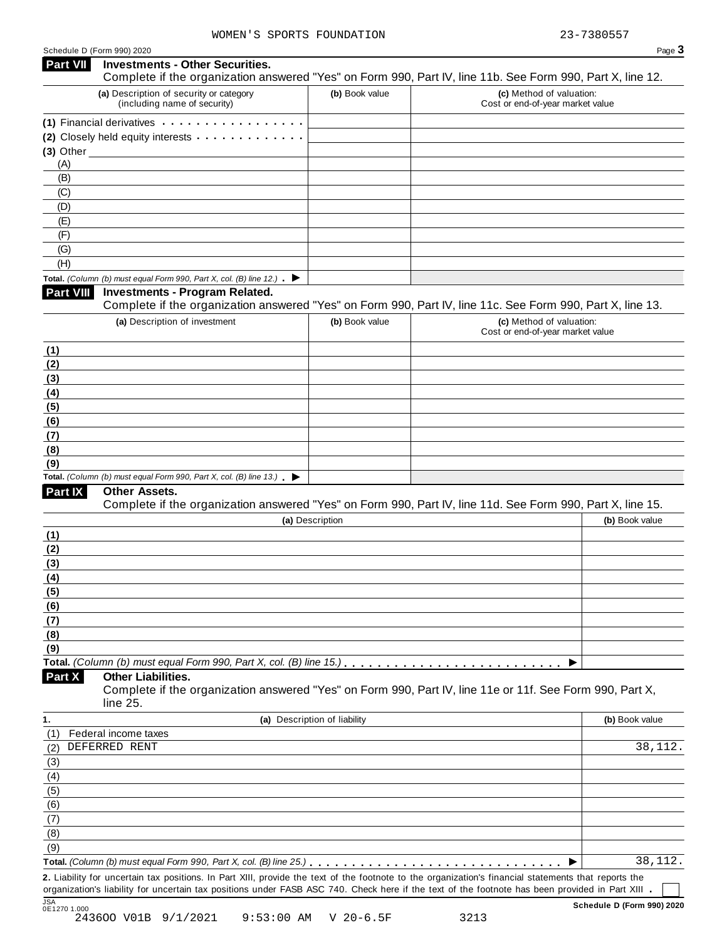| <b>Part VII</b>  | <b>Investments - Other Securities.</b><br>Complete if the organization answered "Yes" on Form 990, Part IV, line 11b. See Form 990, Part X, line 12.                                                                           |                              |                                                              |                |
|------------------|--------------------------------------------------------------------------------------------------------------------------------------------------------------------------------------------------------------------------------|------------------------------|--------------------------------------------------------------|----------------|
|                  | (a) Description of security or category<br>(including name of security)                                                                                                                                                        | (b) Book value               | (c) Method of valuation:<br>Cost or end-of-year market value |                |
|                  | (1) Financial derivatives expansion of the state of the state of the state of the state of the state of the state of the state of the state of the state of the state of the state of the state of the state of the state of t |                              |                                                              |                |
|                  | (2) Closely held equity interests                                                                                                                                                                                              |                              |                                                              |                |
| $(3)$ Other      |                                                                                                                                                                                                                                |                              |                                                              |                |
| (A)              |                                                                                                                                                                                                                                |                              |                                                              |                |
| (B)              |                                                                                                                                                                                                                                |                              |                                                              |                |
| (C)              |                                                                                                                                                                                                                                |                              |                                                              |                |
| (D)              |                                                                                                                                                                                                                                |                              |                                                              |                |
| (E)              |                                                                                                                                                                                                                                |                              |                                                              |                |
| (F)<br>(G)       |                                                                                                                                                                                                                                |                              |                                                              |                |
| (H)              |                                                                                                                                                                                                                                |                              |                                                              |                |
|                  | Total. (Column (b) must equal Form 990, Part X, col. (B) line 12.) $\blacktriangleright$                                                                                                                                       |                              |                                                              |                |
| <b>Part VIII</b> | <b>Investments - Program Related.</b><br>Complete if the organization answered "Yes" on Form 990, Part IV, line 11c. See Form 990, Part X, line 13.                                                                            |                              |                                                              |                |
|                  | (a) Description of investment                                                                                                                                                                                                  | (b) Book value               | (c) Method of valuation:                                     |                |
|                  |                                                                                                                                                                                                                                |                              | Cost or end-of-year market value                             |                |
| (1)              |                                                                                                                                                                                                                                |                              |                                                              |                |
| (2)              |                                                                                                                                                                                                                                |                              |                                                              |                |
| (3)<br>(4)       |                                                                                                                                                                                                                                |                              |                                                              |                |
| (5)              |                                                                                                                                                                                                                                |                              |                                                              |                |
| (6)              |                                                                                                                                                                                                                                |                              |                                                              |                |
| (7)              |                                                                                                                                                                                                                                |                              |                                                              |                |
| (8)              |                                                                                                                                                                                                                                |                              |                                                              |                |
| (9)              |                                                                                                                                                                                                                                |                              |                                                              |                |
|                  | Total. (Column (b) must equal Form 990, Part X, col. (B) line $13$ .)                                                                                                                                                          |                              |                                                              |                |
| <b>Part IX</b>   | Other Assets.                                                                                                                                                                                                                  |                              |                                                              |                |
|                  | Complete if the organization answered "Yes" on Form 990, Part IV, line 11d. See Form 990, Part X, line 15.                                                                                                                     |                              |                                                              |                |
|                  |                                                                                                                                                                                                                                | (a) Description              |                                                              | (b) Book value |
| (1)              |                                                                                                                                                                                                                                |                              |                                                              |                |
| (2)              |                                                                                                                                                                                                                                |                              |                                                              |                |
| (3)              |                                                                                                                                                                                                                                |                              |                                                              |                |
| (4)              |                                                                                                                                                                                                                                |                              |                                                              |                |
| (5)              |                                                                                                                                                                                                                                |                              |                                                              |                |
| (6)              |                                                                                                                                                                                                                                |                              |                                                              |                |
| <u>(7)</u>       |                                                                                                                                                                                                                                |                              |                                                              |                |
| (8)              |                                                                                                                                                                                                                                |                              |                                                              |                |
| (9)              |                                                                                                                                                                                                                                |                              |                                                              |                |
|                  | <b>Other Liabilities.</b>                                                                                                                                                                                                      |                              |                                                              |                |
| Part X           | Complete if the organization answered "Yes" on Form 990, Part IV, line 11e or 11f. See Form 990, Part X,<br>line 25.                                                                                                           |                              |                                                              |                |
| 1.               |                                                                                                                                                                                                                                | (a) Description of liability |                                                              | (b) Book value |
| (1)              | Federal income taxes                                                                                                                                                                                                           |                              |                                                              |                |
| (2)              | DEFERRED RENT                                                                                                                                                                                                                  |                              |                                                              | 38,112.        |
| (3)              |                                                                                                                                                                                                                                |                              |                                                              |                |
| (4)              |                                                                                                                                                                                                                                |                              |                                                              |                |
| (5)              |                                                                                                                                                                                                                                |                              |                                                              |                |
| (6)              |                                                                                                                                                                                                                                |                              |                                                              |                |
| (7)              |                                                                                                                                                                                                                                |                              |                                                              |                |
| (8)              |                                                                                                                                                                                                                                |                              |                                                              |                |
| (9)              |                                                                                                                                                                                                                                |                              |                                                              |                |
|                  |                                                                                                                                                                                                                                |                              |                                                              | 38,112.        |
|                  | 2. Liability for uncertain tax positions. In Part XIII, provide the text of the footnote to the organization's financial statements that reports the                                                                           |                              |                                                              |                |
|                  | organization's liability for uncertain tax positions under FASB ASC 740. Check here if the text of the footnote has been provided in Part XIII .                                                                               |                              |                                                              |                |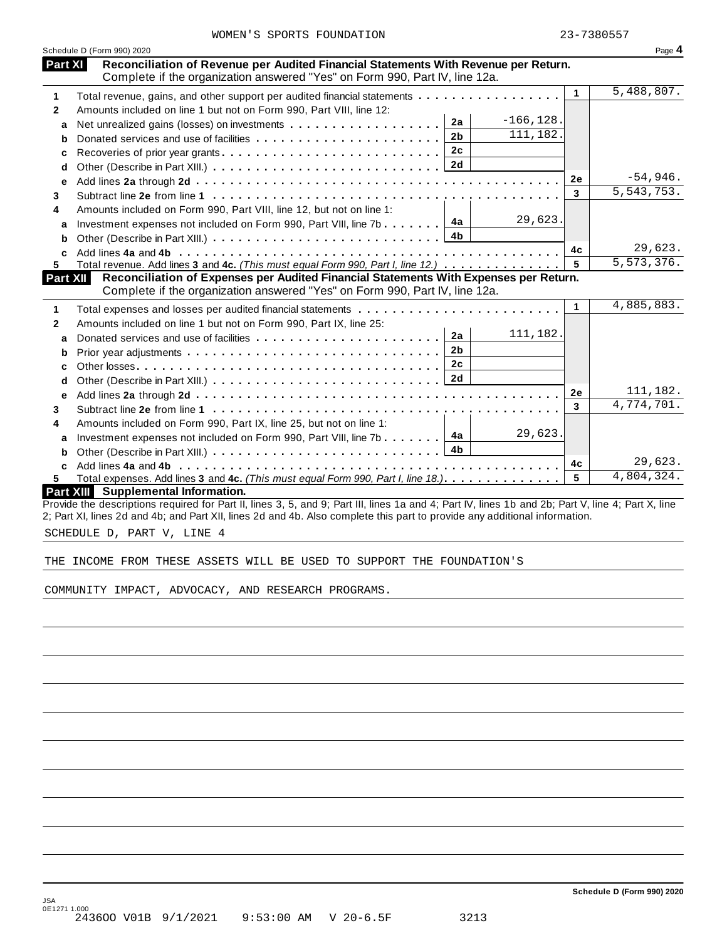|  |  | WOMEN'S SPORTS FOUNDATION |
|--|--|---------------------------|
|--|--|---------------------------|

|              | Schedule D (Form 990) 2020                                                                                                                                                                                                                                                       |              |                      | Page 4       |
|--------------|----------------------------------------------------------------------------------------------------------------------------------------------------------------------------------------------------------------------------------------------------------------------------------|--------------|----------------------|--------------|
| Part XI      | Reconciliation of Revenue per Audited Financial Statements With Revenue per Return.<br>Complete if the organization answered "Yes" on Form 990, Part IV, line 12a.                                                                                                               |              |                      |              |
| 1            | Total revenue, gains, and other support per audited financial statements                                                                                                                                                                                                         |              | $\blacktriangleleft$ | 5,488,807.   |
| $\mathbf{2}$ | Amounts included on line 1 but not on Form 990, Part VIII, line 12:                                                                                                                                                                                                              |              |                      |              |
| a            | 2a                                                                                                                                                                                                                                                                               | $-166, 128.$ |                      |              |
| b            | 2 <sub>b</sub>                                                                                                                                                                                                                                                                   | 111,182.     |                      |              |
| c            | 2c                                                                                                                                                                                                                                                                               |              |                      |              |
| d            |                                                                                                                                                                                                                                                                                  |              |                      |              |
| е            |                                                                                                                                                                                                                                                                                  |              | 2e                   | $-54,946.$   |
|              |                                                                                                                                                                                                                                                                                  |              | 3                    | 5, 543, 753. |
| 3<br>4       | Amounts included on Form 990, Part VIII, line 12, but not on line 1:                                                                                                                                                                                                             |              |                      |              |
|              |                                                                                                                                                                                                                                                                                  | 29,623.      |                      |              |
| a            | Investment expenses not included on Form 990, Part VIII, line 7b 4a<br>4b                                                                                                                                                                                                        |              |                      |              |
| b            |                                                                                                                                                                                                                                                                                  |              | 4c                   | 29,623.      |
| c<br>5.      | Total revenue. Add lines 3 and 4c. (This must equal Form 990, Part I, line 12.)                                                                                                                                                                                                  |              | 5                    | 5,573,376.   |
| Part XII     | Reconciliation of Expenses per Audited Financial Statements With Expenses per Return.                                                                                                                                                                                            |              |                      |              |
|              | Complete if the organization answered "Yes" on Form 990, Part IV, line 12a.                                                                                                                                                                                                      |              |                      |              |
|              |                                                                                                                                                                                                                                                                                  |              | $\mathbf{1}$         | 4,885,883.   |
| 1            | Total expenses and losses per audited financial statements                                                                                                                                                                                                                       |              |                      |              |
| $\mathbf{2}$ | Amounts included on line 1 but not on Form 990, Part IX, line 25:<br>2a                                                                                                                                                                                                          | 111,182.     |                      |              |
| a            | Donated services and use of facilities<br>2 <sub>b</sub>                                                                                                                                                                                                                         |              |                      |              |
| b            | 2c                                                                                                                                                                                                                                                                               |              |                      |              |
| c            |                                                                                                                                                                                                                                                                                  |              |                      |              |
| d            |                                                                                                                                                                                                                                                                                  |              |                      | 111,182.     |
| e            |                                                                                                                                                                                                                                                                                  |              | 2e                   | 4,774,701.   |
| 3            |                                                                                                                                                                                                                                                                                  |              | 3                    |              |
| 4            | Amounts included on Form 990, Part IX, line 25, but not on line 1:                                                                                                                                                                                                               |              |                      |              |
| a            | 4a<br>Investment expenses not included on Form 990, Part VIII, line 7b                                                                                                                                                                                                           | 29,623.      |                      |              |
| b            | 4 <sub>b</sub>                                                                                                                                                                                                                                                                   |              |                      |              |
| C            |                                                                                                                                                                                                                                                                                  |              | 4c                   | 29,623.      |
| 5.           | Total expenses. Add lines 3 and 4c. (This must equal Form 990, Part I, line 18.)                                                                                                                                                                                                 |              | 5                    | 4,804,324.   |
|              | <b>Part XIII</b> Supplemental Information.                                                                                                                                                                                                                                       |              |                      |              |
|              | Provide the descriptions required for Part II, lines 3, 5, and 9; Part III, lines 1a and 4; Part IV, lines 1b and 2b; Part V, line 4; Part X, line<br>2; Part XI, lines 2d and 4b; and Part XII, lines 2d and 4b. Also complete this part to provide any additional information. |              |                      |              |

SCHEDULE D, PART V, LINE 4

THE INCOME FROM THESE ASSETS WILL BE USED TO SUPPORT THE FOUNDATION'S

COMMUNITY IMPACT, ADVOCACY, AND RESEARCH PROGRAMS.

**Schedule D (Form 990) 2020**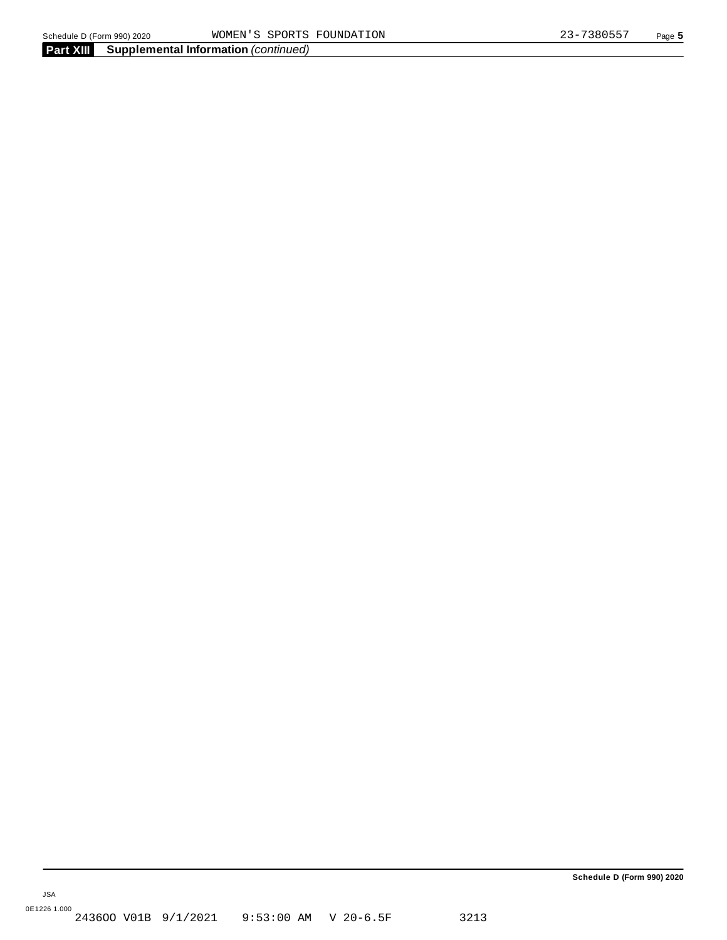JSA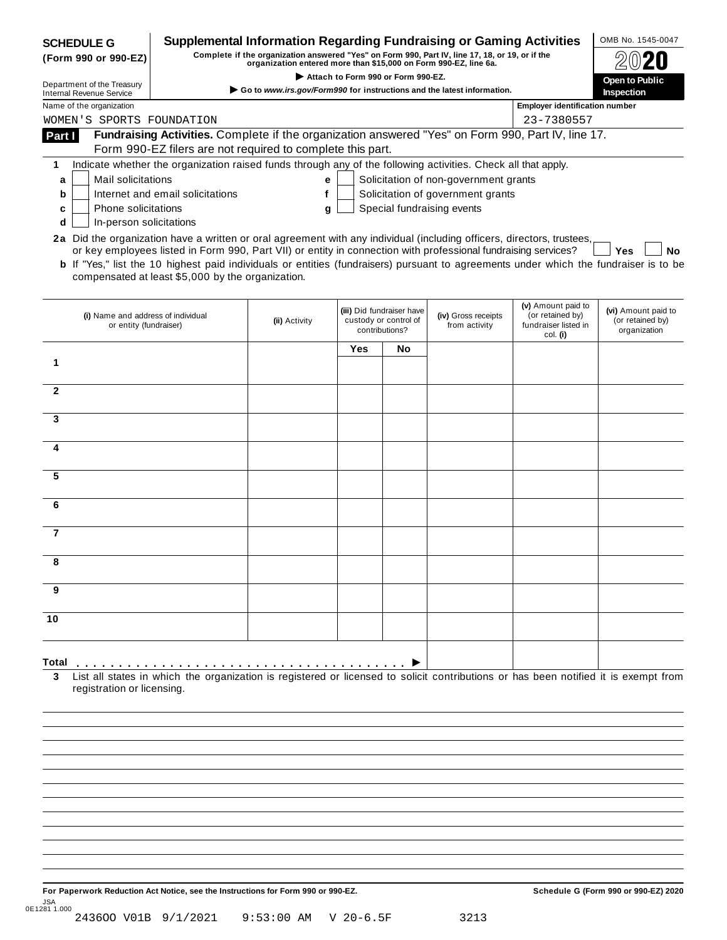| <b>SCHEDULE G</b><br>(Form 990 or 990-EZ)                                                                              | Supplemental Information Regarding Fundraising or Gaming Activities<br>Complete if the organization answered "Yes" on Form 990, Part IV, line 17, 18, or 19, or if the<br>organization entered more than \$15,000 on Form 990-EZ, line 6a.<br>Attach to Form 990 or Form 990-EZ. |                                                                        |     |                                                                      |                                       |                                                                            |                                                         |  |  |  |  |  |
|------------------------------------------------------------------------------------------------------------------------|----------------------------------------------------------------------------------------------------------------------------------------------------------------------------------------------------------------------------------------------------------------------------------|------------------------------------------------------------------------|-----|----------------------------------------------------------------------|---------------------------------------|----------------------------------------------------------------------------|---------------------------------------------------------|--|--|--|--|--|
| Department of the Treasury<br><b>Internal Revenue Service</b>                                                          |                                                                                                                                                                                                                                                                                  | Go to www.irs.gov/Form990 for instructions and the latest information. |     |                                                                      |                                       |                                                                            | Open to Public<br><b>Inspection</b>                     |  |  |  |  |  |
| Name of the organization                                                                                               |                                                                                                                                                                                                                                                                                  |                                                                        |     |                                                                      |                                       | <b>Employer identification number</b>                                      |                                                         |  |  |  |  |  |
| WOMEN'S SPORTS FOUNDATION                                                                                              |                                                                                                                                                                                                                                                                                  |                                                                        |     |                                                                      |                                       | 23-7380557                                                                 |                                                         |  |  |  |  |  |
| Part I                                                                                                                 | Fundraising Activities. Complete if the organization answered "Yes" on Form 990, Part IV, line 17.<br>Form 990-EZ filers are not required to complete this part.                                                                                                                 |                                                                        |     |                                                                      |                                       |                                                                            |                                                         |  |  |  |  |  |
| 1                                                                                                                      | Indicate whether the organization raised funds through any of the following activities. Check all that apply.                                                                                                                                                                    |                                                                        |     |                                                                      |                                       |                                                                            |                                                         |  |  |  |  |  |
| Mail solicitations<br>а                                                                                                |                                                                                                                                                                                                                                                                                  | e                                                                      |     |                                                                      | Solicitation of non-government grants |                                                                            |                                                         |  |  |  |  |  |
| b                                                                                                                      | Solicitation of government grants<br>Internet and email solicitations<br>f                                                                                                                                                                                                       |                                                                        |     |                                                                      |                                       |                                                                            |                                                         |  |  |  |  |  |
| c<br>d                                                                                                                 | Special fundraising events<br>Phone solicitations<br>g<br>In-person solicitations                                                                                                                                                                                                |                                                                        |     |                                                                      |                                       |                                                                            |                                                         |  |  |  |  |  |
| 2a Did the organization have a written or oral agreement with any individual (including officers, directors, trustees, | or key employees listed in Form 990, Part VII) or entity in connection with professional fundraising services?<br><b>b</b> If "Yes," list the 10 highest paid individuals or entities (fundraisers) pursuant to agreements under which the fundraiser is to be                   |                                                                        |     |                                                                      |                                       |                                                                            | Yes<br>No                                               |  |  |  |  |  |
|                                                                                                                        | compensated at least \$5,000 by the organization.                                                                                                                                                                                                                                |                                                                        |     |                                                                      |                                       |                                                                            |                                                         |  |  |  |  |  |
| (i) Name and address of individual<br>or entity (fundraiser)                                                           |                                                                                                                                                                                                                                                                                  | (ii) Activity                                                          |     | (iii) Did fundraiser have<br>custody or control of<br>contributions? | (iv) Gross receipts<br>from activity  | (v) Amount paid to<br>(or retained by)<br>fundraiser listed in<br>col. (i) | (vi) Amount paid to<br>(or retained by)<br>organization |  |  |  |  |  |
|                                                                                                                        |                                                                                                                                                                                                                                                                                  |                                                                        | Yes | No                                                                   |                                       |                                                                            |                                                         |  |  |  |  |  |
| 1                                                                                                                      |                                                                                                                                                                                                                                                                                  |                                                                        |     |                                                                      |                                       |                                                                            |                                                         |  |  |  |  |  |
| $\overline{2}$                                                                                                         |                                                                                                                                                                                                                                                                                  |                                                                        |     |                                                                      |                                       |                                                                            |                                                         |  |  |  |  |  |
| 3                                                                                                                      |                                                                                                                                                                                                                                                                                  |                                                                        |     |                                                                      |                                       |                                                                            |                                                         |  |  |  |  |  |
| 4                                                                                                                      |                                                                                                                                                                                                                                                                                  |                                                                        |     |                                                                      |                                       |                                                                            |                                                         |  |  |  |  |  |
| 5                                                                                                                      |                                                                                                                                                                                                                                                                                  |                                                                        |     |                                                                      |                                       |                                                                            |                                                         |  |  |  |  |  |
| 6                                                                                                                      |                                                                                                                                                                                                                                                                                  |                                                                        |     |                                                                      |                                       |                                                                            |                                                         |  |  |  |  |  |
| 7                                                                                                                      |                                                                                                                                                                                                                                                                                  |                                                                        |     |                                                                      |                                       |                                                                            |                                                         |  |  |  |  |  |
|                                                                                                                        |                                                                                                                                                                                                                                                                                  |                                                                        |     |                                                                      |                                       |                                                                            |                                                         |  |  |  |  |  |
| 9                                                                                                                      |                                                                                                                                                                                                                                                                                  |                                                                        |     |                                                                      |                                       |                                                                            |                                                         |  |  |  |  |  |
| 10                                                                                                                     |                                                                                                                                                                                                                                                                                  |                                                                        |     |                                                                      |                                       |                                                                            |                                                         |  |  |  |  |  |
| Total                                                                                                                  |                                                                                                                                                                                                                                                                                  |                                                                        |     |                                                                      |                                       |                                                                            |                                                         |  |  |  |  |  |
| $\mathbf{3}$<br>registration or licensing.                                                                             | List all states in which the organization is registered or licensed to solicit contributions or has been notified it is exempt from                                                                                                                                              |                                                                        |     |                                                                      |                                       |                                                                            |                                                         |  |  |  |  |  |
|                                                                                                                        |                                                                                                                                                                                                                                                                                  |                                                                        |     |                                                                      |                                       |                                                                            |                                                         |  |  |  |  |  |
|                                                                                                                        |                                                                                                                                                                                                                                                                                  |                                                                        |     |                                                                      |                                       |                                                                            |                                                         |  |  |  |  |  |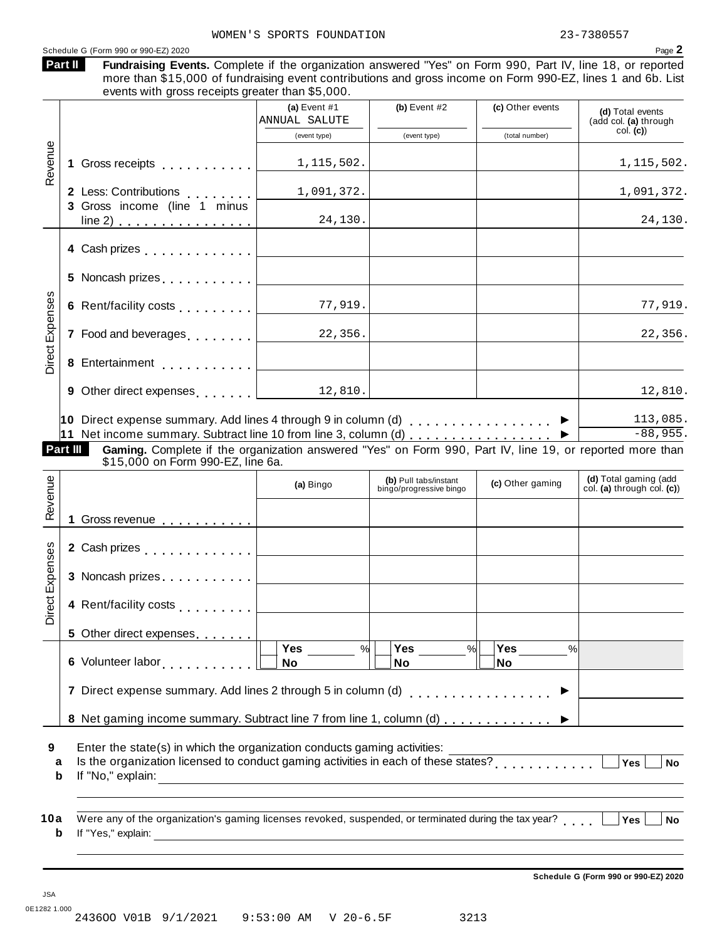|                            | Schedule G (Form 990 or 990-EZ) 2020<br>Part II<br>Fundraising Events. Complete if the organization answered "Yes" on Form 990, Part IV, line 18, or reported<br>more than \$15,000 of fundraising event contributions and gross income on Form 990-EZ, lines 1 and 6b. List<br>events with gross receipts greater than \$5,000. |                                 |                                                  |                                                                                          | Page 2                                    |
|----------------------------|----------------------------------------------------------------------------------------------------------------------------------------------------------------------------------------------------------------------------------------------------------------------------------------------------------------------------------|---------------------------------|--------------------------------------------------|------------------------------------------------------------------------------------------|-------------------------------------------|
|                            |                                                                                                                                                                                                                                                                                                                                  | (a) Event $#1$<br>ANNUAL SALUTE | (b) Event $#2$                                   | (c) Other events                                                                         | (d) Total events<br>(add col. (a) through |
|                            |                                                                                                                                                                                                                                                                                                                                  | (event type)                    | (event type)                                     | (total number)                                                                           | col. (c)                                  |
| Revenue                    |                                                                                                                                                                                                                                                                                                                                  | 1, 115, 502.                    |                                                  |                                                                                          | 1,115,502.                                |
|                            | 2 Less: Contributions                                                                                                                                                                                                                                                                                                            | 1,091,372.                      |                                                  |                                                                                          | 1,091,372.                                |
|                            | 3 Gross income (line 1 minus<br><u>line 2)  </u>                                                                                                                                                                                                                                                                                 | 24,130.                         |                                                  |                                                                                          | 24,130.                                   |
|                            |                                                                                                                                                                                                                                                                                                                                  |                                 |                                                  |                                                                                          |                                           |
|                            | 5 Noncash prizes [1,1,1,1,1,1,1]                                                                                                                                                                                                                                                                                                 |                                 |                                                  |                                                                                          |                                           |
| <b>Direct Expenses</b>     | 6 Rent/facility costs                                                                                                                                                                                                                                                                                                            | 77,919.                         |                                                  |                                                                                          | 77,919.                                   |
|                            | 7 Food and beverages [1,1,1,1,1,1]                                                                                                                                                                                                                                                                                               | 22,356.                         |                                                  |                                                                                          | 22,356.                                   |
|                            | 8 Entertainment                                                                                                                                                                                                                                                                                                                  |                                 |                                                  |                                                                                          |                                           |
|                            | 9 Other direct expenses                                                                                                                                                                                                                                                                                                          | 12,810.                         |                                                  |                                                                                          | 12,810.                                   |
|                            | 11 Net income summary. Subtract line 10 from line 3, column (d)<br>Gaming. Complete if the organization answered "Yes" on Form 990, Part IV, line 19, or reported more than<br>Part III                                                                                                                                          |                                 |                                                  | 10 Direct expense summary. Add lines 4 through 9 in column (d) $\ldots$ ,,,,,,,,,,,,,,,, |                                           |
|                            | \$15,000 on Form 990-EZ, line 6a.                                                                                                                                                                                                                                                                                                | (a) Bingo                       | (b) Pull tabs/instant<br>bingo/progressive bingo | (c) Other gaming                                                                         | (d) Total gaming (add                     |
|                            |                                                                                                                                                                                                                                                                                                                                  |                                 |                                                  |                                                                                          |                                           |
|                            |                                                                                                                                                                                                                                                                                                                                  |                                 |                                                  |                                                                                          |                                           |
|                            | 2 Cash prizes $\ldots \ldots \ldots$<br>3 Noncash prizes                                                                                                                                                                                                                                                                         |                                 |                                                  |                                                                                          |                                           |
| Revenue<br>Direct Expenses | 4 Rent/facility costs                                                                                                                                                                                                                                                                                                            |                                 |                                                  |                                                                                          | $-88,955.$<br>col. (a) through col. (c))  |
|                            | 5 Other direct expenses [1,1,1,1,1,1]                                                                                                                                                                                                                                                                                            |                                 |                                                  |                                                                                          |                                           |
|                            |                                                                                                                                                                                                                                                                                                                                  | %<br>No                         | %<br>No                                          | Yes $\qquad \qquad \qquad$<br>%<br>No l                                                  |                                           |
|                            | 7 Direct expense summary. Add lines 2 through 5 in column (d)                                                                                                                                                                                                                                                                    |                                 |                                                  | . <b>.</b> .                                                                             |                                           |
|                            | 8 Net gaming income summary. Subtract line 7 from line 1, column (d)                                                                                                                                                                                                                                                             |                                 |                                                  |                                                                                          |                                           |
| 9<br>a<br>b                | Enter the state(s) in which the organization conducts gaming activities:<br>Enter the state(s) in which the organization conducts gaming activities:<br>Is the organization licensed to conduct gaming activities in each of these states?<br>$\begin{array}{ccc}\n & \dots & \dots & \dots\n\end{array}$                        |                                 |                                                  |                                                                                          | $\overline{Yes}$<br><b>No</b>             |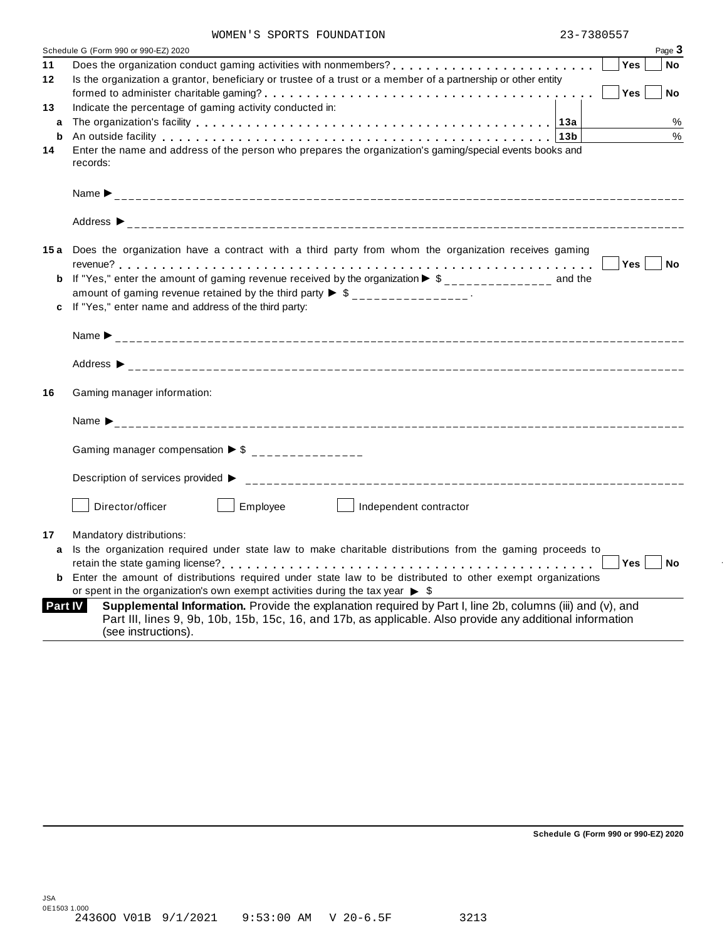|         | MOMEN O OPORIO FOUNDAIIOI                                                                                                                                                                                                     |                      |
|---------|-------------------------------------------------------------------------------------------------------------------------------------------------------------------------------------------------------------------------------|----------------------|
|         | Schedule G (Form 990 or 990-EZ) 2020                                                                                                                                                                                          | Page 3               |
| 11      |                                                                                                                                                                                                                               | Yes<br>No            |
| 12      | Is the organization a grantor, beneficiary or trustee of a trust or a member of a partnership or other entity                                                                                                                 |                      |
|         |                                                                                                                                                                                                                               | Yes<br><b>No</b>     |
| 13      | Indicate the percentage of gaming activity conducted in:                                                                                                                                                                      |                      |
| a       |                                                                                                                                                                                                                               | %                    |
| b       | An outside facility enterpretation of the control of the control of the control of the control of the control of the control of the control of the control of the control of the control of the control of the control of the | %                    |
| 14      | Enter the name and address of the person who prepares the organization's gaming/special events books and                                                                                                                      |                      |
|         | records:                                                                                                                                                                                                                      |                      |
|         |                                                                                                                                                                                                                               |                      |
|         |                                                                                                                                                                                                                               |                      |
|         |                                                                                                                                                                                                                               |                      |
|         |                                                                                                                                                                                                                               |                      |
|         |                                                                                                                                                                                                                               |                      |
|         | 15a Does the organization have a contract with a third party from whom the organization receives gaming                                                                                                                       |                      |
|         |                                                                                                                                                                                                                               | Yes $ $<br><b>No</b> |
|         | <b>b</b> If "Yes," enter the amount of gaming revenue received by the organization $\triangleright$ \$_______________ and the                                                                                                 |                      |
|         | amount of gaming revenue retained by the third party $\triangleright$ \$ _______________.                                                                                                                                     |                      |
|         | c If "Yes," enter name and address of the third party:                                                                                                                                                                        |                      |
|         |                                                                                                                                                                                                                               |                      |
|         |                                                                                                                                                                                                                               |                      |
|         |                                                                                                                                                                                                                               |                      |
|         |                                                                                                                                                                                                                               |                      |
|         |                                                                                                                                                                                                                               |                      |
| 16      | Gaming manager information:                                                                                                                                                                                                   |                      |
|         |                                                                                                                                                                                                                               |                      |
|         |                                                                                                                                                                                                                               |                      |
|         |                                                                                                                                                                                                                               |                      |
|         | Gaming manager compensation $\triangleright$ \$ ______________                                                                                                                                                                |                      |
|         |                                                                                                                                                                                                                               |                      |
|         |                                                                                                                                                                                                                               |                      |
|         | Employee<br>Director/officer<br>Independent contractor                                                                                                                                                                        |                      |
|         |                                                                                                                                                                                                                               |                      |
| 17      | Mandatory distributions:                                                                                                                                                                                                      |                      |
| a       | Is the organization required under state law to make charitable distributions from the gaming proceeds to                                                                                                                     |                      |
|         |                                                                                                                                                                                                                               | Yes<br><b>No</b>     |
| b       | Enter the amount of distributions required under state law to be distributed to other exempt organizations                                                                                                                    |                      |
|         | or spent in the organization's own exempt activities during the tax year $\triangleright$ \$                                                                                                                                  |                      |
|         | Supplemental Information. Provide the explanation required by Part I, line 2b, columns (iii) and (v), and                                                                                                                     |                      |
| Part IV | Part III, lines 9, 9b, 10b, 15b, 15c, 16, and 17b, as applicable. Also provide any additional information                                                                                                                     |                      |
|         | (see instructions).                                                                                                                                                                                                           |                      |
|         |                                                                                                                                                                                                                               |                      |

**Schedule G (Form 990 or 990-EZ) 2020**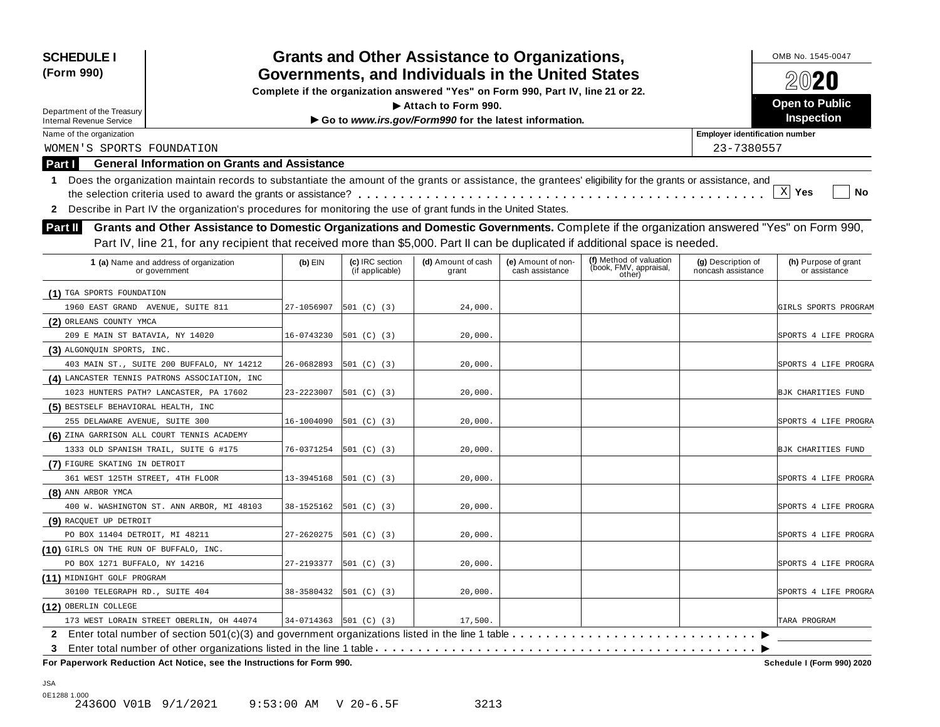| <b>SCHEDULE I</b>                                                                                                                                               |                                                   |                                    | <b>Grants and Other Assistance to Organizations,</b>                             |                                       |                                                             |                                          | OMB No. 1545-0047                     |
|-----------------------------------------------------------------------------------------------------------------------------------------------------------------|---------------------------------------------------|------------------------------------|----------------------------------------------------------------------------------|---------------------------------------|-------------------------------------------------------------|------------------------------------------|---------------------------------------|
| (Form 990)                                                                                                                                                      | Governments, and Individuals in the United States |                                    |                                                                                  |                                       |                                                             |                                          | $20\mathbf{20}$                       |
|                                                                                                                                                                 |                                                   |                                    | Complete if the organization answered "Yes" on Form 990, Part IV, line 21 or 22. |                                       |                                                             |                                          |                                       |
| Department of the Treasury                                                                                                                                      |                                                   |                                    | Attach to Form 990.                                                              |                                       |                                                             |                                          | <b>Open to Public</b>                 |
| <b>Internal Revenue Service</b>                                                                                                                                 |                                                   |                                    | Go to www.irs.gov/Form990 for the latest information.                            |                                       |                                                             |                                          | <b>Inspection</b>                     |
| Name of the organization                                                                                                                                        |                                                   |                                    |                                                                                  |                                       |                                                             | <b>Employer identification number</b>    |                                       |
| WOMEN'S SPORTS FOUNDATION                                                                                                                                       |                                                   |                                    |                                                                                  |                                       |                                                             | 23-7380557                               |                                       |
| <b>General Information on Grants and Assistance</b><br>Part I                                                                                                   |                                                   |                                    |                                                                                  |                                       |                                                             |                                          |                                       |
| Does the organization maintain records to substantiate the amount of the grants or assistance, the grantees' eligibility for the grants or assistance, and<br>1 |                                                   |                                    |                                                                                  |                                       |                                                             |                                          |                                       |
|                                                                                                                                                                 |                                                   |                                    |                                                                                  |                                       |                                                             |                                          | X <br>Yes<br>No                       |
| Describe in Part IV the organization's procedures for monitoring the use of grant funds in the United States.<br>2                                              |                                                   |                                    |                                                                                  |                                       |                                                             |                                          |                                       |
| Grants and Other Assistance to Domestic Organizations and Domestic Governments. Complete if the organization answered "Yes" on Form 990,<br><b>Part II</b>      |                                                   |                                    |                                                                                  |                                       |                                                             |                                          |                                       |
| Part IV, line 21, for any recipient that received more than \$5,000. Part II can be duplicated if additional space is needed.                                   |                                                   |                                    |                                                                                  |                                       |                                                             |                                          |                                       |
|                                                                                                                                                                 |                                                   |                                    |                                                                                  |                                       |                                                             |                                          |                                       |
| 1 (a) Name and address of organization<br>or government                                                                                                         | $(b)$ EIN                                         | (c) IRC section<br>(if applicable) | (d) Amount of cash<br>grant                                                      | (e) Amount of non-<br>cash assistance | (f) Method of valuation<br>(book, FMV, appraisal,<br>other) | (g) Description of<br>noncash assistance | (h) Purpose of grant<br>or assistance |
| (1) TGA SPORTS FOUNDATION                                                                                                                                       |                                                   |                                    |                                                                                  |                                       |                                                             |                                          |                                       |
| 1960 EAST GRAND AVENUE, SUITE 811                                                                                                                               | 27-1056907                                        | 501 (C) (3)                        | 24,000.                                                                          |                                       |                                                             |                                          | GIRLS SPORTS PROGRAM                  |
| (2) ORLEANS COUNTY YMCA                                                                                                                                         |                                                   |                                    |                                                                                  |                                       |                                                             |                                          |                                       |
| 209 E MAIN ST BATAVIA, NY 14020                                                                                                                                 | 16-0743230                                        | 501 (C) (3)                        | 20,000.                                                                          |                                       |                                                             |                                          | SPORTS 4 LIFE PROGRA                  |
| (3) ALGONQUIN SPORTS, INC.                                                                                                                                      |                                                   |                                    |                                                                                  |                                       |                                                             |                                          |                                       |
| 403 MAIN ST., SUITE 200 BUFFALO, NY 14212                                                                                                                       | 26-0682893                                        | 501 (C) (3)                        | 20,000.                                                                          |                                       |                                                             |                                          | SPORTS 4 LIFE PROGRA                  |
| (4) LANCASTER TENNIS PATRONS ASSOCIATION, INC                                                                                                                   |                                                   |                                    |                                                                                  |                                       |                                                             |                                          |                                       |
| 1023 HUNTERS PATH? LANCASTER, PA 17602                                                                                                                          | 23-2223007                                        | 501 (C) (3)                        | 20,000.                                                                          |                                       |                                                             |                                          | BJK CHARITIES FUND                    |
| (5) BESTSELF BEHAVIORAL HEALTH, INC                                                                                                                             |                                                   |                                    |                                                                                  |                                       |                                                             |                                          |                                       |
| 255 DELAWARE AVENUE, SUITE 300                                                                                                                                  | 16-1004090                                        | 501 (C) (3)                        | 20,000.                                                                          |                                       |                                                             |                                          | SPORTS 4 LIFE PROGRA                  |
| (6) ZINA GARRISON ALL COURT TENNIS ACADEMY                                                                                                                      |                                                   |                                    |                                                                                  |                                       |                                                             |                                          |                                       |
| 1333 OLD SPANISH TRAIL, SUITE G #175                                                                                                                            | 76-0371254                                        | [501 (C) (3)                       | 20,000.                                                                          |                                       |                                                             |                                          | BJK CHARITIES FUND                    |
| (7) FIGURE SKATING IN DETROIT                                                                                                                                   |                                                   |                                    |                                                                                  |                                       |                                                             |                                          |                                       |
| 361 WEST 125TH STREET, 4TH FLOOR                                                                                                                                | 13-3945168                                        | 501 (C) (3)                        | 20,000.                                                                          |                                       |                                                             |                                          | SPORTS 4 LIFE PROGRA                  |
| (8) ANN ARBOR YMCA                                                                                                                                              |                                                   |                                    |                                                                                  |                                       |                                                             |                                          |                                       |
| 400 W. WASHINGTON ST. ANN ARBOR, MI 48103                                                                                                                       | 38-1525162                                        | [501 (C) (3)                       | 20,000.                                                                          |                                       |                                                             |                                          | SPORTS 4 LIFE PROGRA                  |
| (9) RACQUET UP DETROIT                                                                                                                                          |                                                   |                                    |                                                                                  |                                       |                                                             |                                          |                                       |
| PO BOX 11404 DETROIT, MI 48211                                                                                                                                  | 27-2620275                                        | [501 (C) (3)                       | 20,000.                                                                          |                                       |                                                             |                                          | SPORTS 4 LIFE PROGRA                  |
| (10) GIRLS ON THE RUN OF BUFFALO, INC.                                                                                                                          |                                                   |                                    |                                                                                  |                                       |                                                             |                                          |                                       |
| PO BOX 1271 BUFFALO, NY 14216                                                                                                                                   | 27-2193377                                        | 501 (C) (3)                        | 20,000.                                                                          |                                       |                                                             |                                          | SPORTS 4 LIFE PROGRA                  |
| (11) MIDNIGHT GOLF PROGRAM                                                                                                                                      |                                                   |                                    |                                                                                  |                                       |                                                             |                                          |                                       |
| 30100 TELEGRAPH RD., SUITE 404                                                                                                                                  | 38-3580432                                        | 501 (C) (3)                        | 20,000.                                                                          |                                       |                                                             |                                          | SPORTS 4 LIFE PROGRA                  |
| (12) OBERLIN COLLEGE                                                                                                                                            |                                                   |                                    |                                                                                  |                                       |                                                             |                                          |                                       |
| 173 WEST LORAIN STREET OBERLIN, OH 44074                                                                                                                        | 34-0714363                                        | 501 (C) (3)                        | 17,500.                                                                          |                                       |                                                             |                                          | TARA PROGRAM                          |
| 2                                                                                                                                                               |                                                   |                                    |                                                                                  |                                       |                                                             |                                          |                                       |
| 3                                                                                                                                                               |                                                   |                                    |                                                                                  |                                       |                                                             |                                          |                                       |
| For Paperwork Reduction Act Notice, see the Instructions for Form 990.                                                                                          |                                                   |                                    |                                                                                  |                                       |                                                             |                                          | <b>Schedule I (Form 990) 2020</b>     |

0E1288 1.000<br>243600 V01B 9/1/2021 9:53:00 AM V 20-6.5F 3213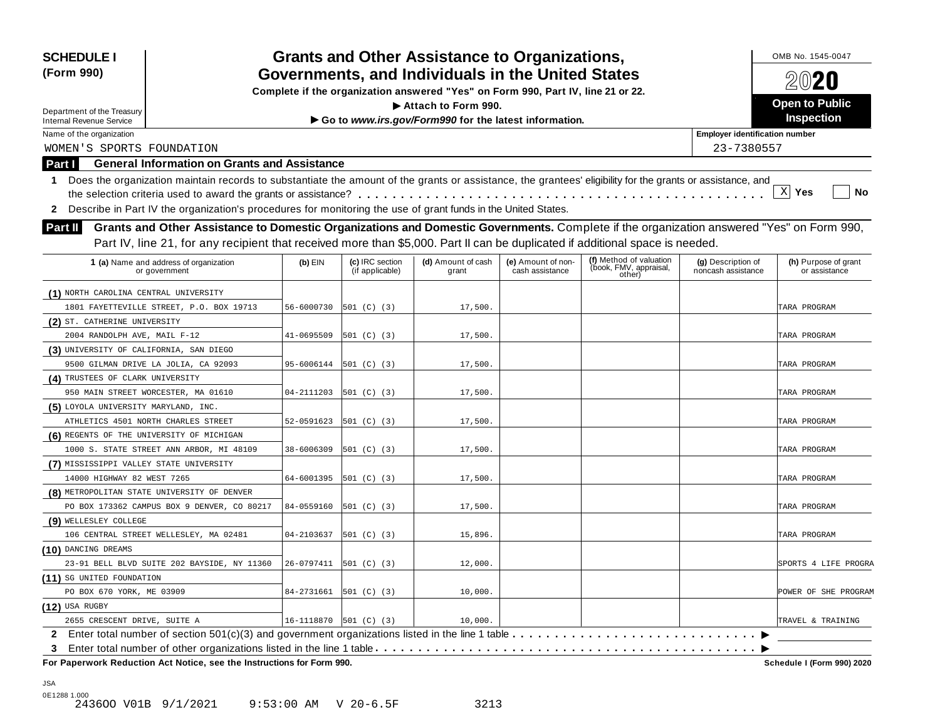| <b>SCHEDULE I</b><br>(Form 990)                                                                                                                                  |                                                                                                                                          |  |                                    | <b>Grants and Other Assistance to Organizations,</b>  |                                       |                                                             |                                          | OMB No. 1545-0047<br>$20$ 20          |  |
|------------------------------------------------------------------------------------------------------------------------------------------------------------------|------------------------------------------------------------------------------------------------------------------------------------------|--|------------------------------------|-------------------------------------------------------|---------------------------------------|-------------------------------------------------------------|------------------------------------------|---------------------------------------|--|
|                                                                                                                                                                  | Governments, and Individuals in the United States<br>Complete if the organization answered "Yes" on Form 990, Part IV, line 21 or 22.    |  |                                    |                                                       |                                       |                                                             |                                          |                                       |  |
|                                                                                                                                                                  |                                                                                                                                          |  |                                    |                                                       |                                       |                                                             |                                          | <b>Open to Public</b>                 |  |
| Department of the Treasury                                                                                                                                       |                                                                                                                                          |  |                                    | Attach to Form 990.                                   |                                       |                                                             |                                          | Inspection                            |  |
| <b>Internal Revenue Service</b>                                                                                                                                  |                                                                                                                                          |  |                                    | Go to www.irs.gov/Form990 for the latest information. |                                       |                                                             |                                          |                                       |  |
| Name of the organization                                                                                                                                         |                                                                                                                                          |  |                                    |                                                       |                                       |                                                             | <b>Employer identification number</b>    |                                       |  |
| WOMEN'S SPORTS FOUNDATION                                                                                                                                        | <b>General Information on Grants and Assistance</b>                                                                                      |  |                                    |                                                       |                                       |                                                             | 23-7380557                               |                                       |  |
| <b>Part I</b>                                                                                                                                                    |                                                                                                                                          |  |                                    |                                                       |                                       |                                                             |                                          |                                       |  |
| Does the organization maintain records to substantiate the amount of the grants or assistance, the grantees' eligibility for the grants or assistance, and<br>1. |                                                                                                                                          |  |                                    |                                                       |                                       |                                                             |                                          | $\mathbf{x}$<br>Yes<br>No             |  |
|                                                                                                                                                                  |                                                                                                                                          |  |                                    |                                                       |                                       |                                                             |                                          |                                       |  |
| 2 Describe in Part IV the organization's procedures for monitoring the use of grant funds in the United States.                                                  |                                                                                                                                          |  |                                    |                                                       |                                       |                                                             |                                          |                                       |  |
| <b>Part II</b>                                                                                                                                                   | Grants and Other Assistance to Domestic Organizations and Domestic Governments. Complete if the organization answered "Yes" on Form 990, |  |                                    |                                                       |                                       |                                                             |                                          |                                       |  |
|                                                                                                                                                                  | Part IV, line 21, for any recipient that received more than \$5,000. Part II can be duplicated if additional space is needed.            |  |                                    |                                                       |                                       |                                                             |                                          |                                       |  |
| 1 (a) Name and address of organization<br>or government                                                                                                          | $(b)$ EIN                                                                                                                                |  | (c) IRC section<br>(if applicable) | (d) Amount of cash<br>grant                           | (e) Amount of non-<br>cash assistance | (f) Method of valuation<br>(book, FMV, appraisal,<br>other) | (g) Description of<br>noncash assistance | (h) Purpose of grant<br>or assistance |  |
| (1) NORTH CAROLINA CENTRAL UNIVERSITY                                                                                                                            |                                                                                                                                          |  |                                    |                                                       |                                       |                                                             |                                          |                                       |  |
| 1801 FAYETTEVILLE STREET, P.O. BOX 19713                                                                                                                         | 56-6000730                                                                                                                               |  | 501 (C) (3)                        | 17,500.                                               |                                       |                                                             |                                          | TARA PROGRAM                          |  |
| (2) ST. CATHERINE UNIVERSITY                                                                                                                                     |                                                                                                                                          |  |                                    |                                                       |                                       |                                                             |                                          |                                       |  |
| 2004 RANDOLPH AVE, MAIL F-12                                                                                                                                     | 41-0695509                                                                                                                               |  | 501 (C) (3)                        | 17,500.                                               |                                       |                                                             |                                          | TARA PROGRAM                          |  |
| (3) UNIVERSITY OF CALIFORNIA, SAN DIEGO                                                                                                                          |                                                                                                                                          |  |                                    |                                                       |                                       |                                                             |                                          |                                       |  |
| 9500 GILMAN DRIVE LA JOLIA, CA 92093                                                                                                                             | 95-6006144                                                                                                                               |  | 501 (C) (3)                        | 17,500.                                               |                                       |                                                             |                                          | TARA PROGRAM                          |  |
| (4) TRUSTEES OF CLARK UNIVERSITY                                                                                                                                 |                                                                                                                                          |  |                                    |                                                       |                                       |                                                             |                                          |                                       |  |
| 950 MAIN STREET WORCESTER, MA 01610                                                                                                                              | 04-2111203                                                                                                                               |  | 501 (C) (3)                        | 17,500.                                               |                                       |                                                             |                                          | TARA PROGRAM                          |  |
| (5) LOYOLA UNIVERSITY MARYLAND, INC.                                                                                                                             |                                                                                                                                          |  |                                    |                                                       |                                       |                                                             |                                          |                                       |  |
| ATHLETICS 4501 NORTH CHARLES STREET                                                                                                                              | 52-0591623                                                                                                                               |  | 501 (C) (3)                        | 17,500.                                               |                                       |                                                             |                                          | TARA PROGRAM                          |  |
| (6) REGENTS OF THE UNIVERSITY OF MICHIGAN                                                                                                                        |                                                                                                                                          |  |                                    |                                                       |                                       |                                                             |                                          |                                       |  |
| 1000 S. STATE STREET ANN ARBOR, MI 48109                                                                                                                         | 38-6006309                                                                                                                               |  | 501 (C) (3)                        | 17,500.                                               |                                       |                                                             |                                          | TARA PROGRAM                          |  |
| (7) MISSISSIPPI VALLEY STATE UNIVERSITY                                                                                                                          |                                                                                                                                          |  |                                    |                                                       |                                       |                                                             |                                          |                                       |  |
| 14000 HIGHWAY 82 WEST 7265                                                                                                                                       | 64-6001395                                                                                                                               |  | 501 (C) (3)                        | 17,500.                                               |                                       |                                                             |                                          | TARA PROGRAM                          |  |
| (8) METROPOLITAN STATE UNIVERSITY OF DENVER                                                                                                                      |                                                                                                                                          |  |                                    |                                                       |                                       |                                                             |                                          |                                       |  |
| PO BOX 173362 CAMPUS BOX 9 DENVER, CO 80217                                                                                                                      | 84-0559160                                                                                                                               |  | 501 (C) (3)                        | 17,500.                                               |                                       |                                                             |                                          | TARA PROGRAM                          |  |
| (9) WELLESLEY COLLEGE                                                                                                                                            |                                                                                                                                          |  |                                    |                                                       |                                       |                                                             |                                          |                                       |  |
| 106 CENTRAL STREET WELLESLEY, MA 02481                                                                                                                           | 04-2103637                                                                                                                               |  | 501 (C) (3)                        | 15,896.                                               |                                       |                                                             |                                          | TARA PROGRAM                          |  |
| (10) DANCING DREAMS                                                                                                                                              |                                                                                                                                          |  |                                    |                                                       |                                       |                                                             |                                          |                                       |  |
| 23-91 BELL BLVD SUITE 202 BAYSIDE, NY 11360                                                                                                                      | 26-0797411                                                                                                                               |  | 501 (C) (3)                        | 12,000.                                               |                                       |                                                             |                                          | SPORTS 4 LIFE PROGRA                  |  |
| (11) SG UNITED FOUNDATION                                                                                                                                        |                                                                                                                                          |  |                                    |                                                       |                                       |                                                             |                                          |                                       |  |
| PO BOX 670 YORK, ME 03909                                                                                                                                        | 84-2731661                                                                                                                               |  | 501 (C) (3)                        | 10,000.                                               |                                       |                                                             |                                          | POWER OF SHE PROGRAM                  |  |
| $(12)$ USA RUGBY                                                                                                                                                 |                                                                                                                                          |  |                                    |                                                       |                                       |                                                             |                                          |                                       |  |
| 2655 CRESCENT DRIVE, SUITE A                                                                                                                                     |                                                                                                                                          |  | $16-1118870$ 501 (C) (3)           | 10,000.                                               |                                       |                                                             |                                          | TRAVEL & TRAINING                     |  |
|                                                                                                                                                                  |                                                                                                                                          |  |                                    |                                                       |                                       |                                                             |                                          |                                       |  |
| 3                                                                                                                                                                |                                                                                                                                          |  |                                    |                                                       |                                       |                                                             |                                          |                                       |  |
| For Paperwork Reduction Act Notice, see the Instructions for Form 990.                                                                                           |                                                                                                                                          |  |                                    |                                                       |                                       |                                                             |                                          | <b>Schedule I (Form 990) 2020</b>     |  |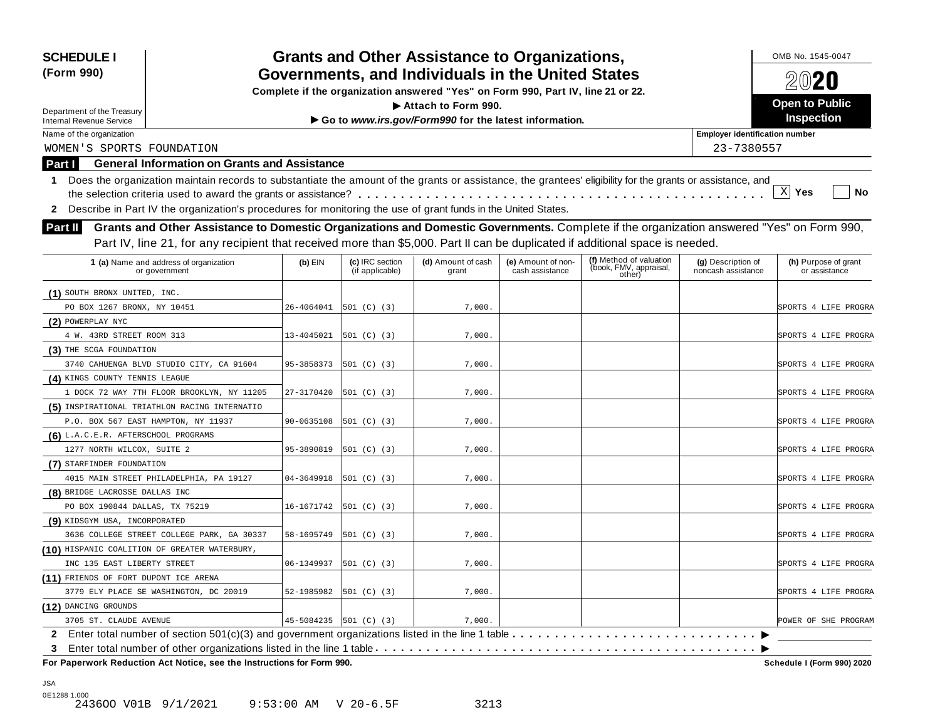| <b>SCHEDULE I</b><br>(Form 990)       |                                                                                                                                                                                                                                                                           |            |                                    | <b>Grants and Other Assistance to Organizations,</b><br>Governments, and Individuals in the United States |                                       |                                                             |                                          | OMB No. 1545-0047<br>$20$ 20          |
|---------------------------------------|---------------------------------------------------------------------------------------------------------------------------------------------------------------------------------------------------------------------------------------------------------------------------|------------|------------------------------------|-----------------------------------------------------------------------------------------------------------|---------------------------------------|-------------------------------------------------------------|------------------------------------------|---------------------------------------|
|                                       |                                                                                                                                                                                                                                                                           |            |                                    | Complete if the organization answered "Yes" on Form 990, Part IV, line 21 or 22.                          |                                       |                                                             |                                          |                                       |
| Department of the Treasury            |                                                                                                                                                                                                                                                                           |            |                                    | Attach to Form 990.                                                                                       |                                       |                                                             |                                          | <b>Open to Public</b>                 |
| <b>Internal Revenue Service</b>       |                                                                                                                                                                                                                                                                           |            |                                    | Go to www.irs.gov/Form990 for the latest information.                                                     |                                       |                                                             |                                          | <b>Inspection</b>                     |
| Name of the organization              |                                                                                                                                                                                                                                                                           |            |                                    |                                                                                                           |                                       |                                                             | <b>Employer identification number</b>    |                                       |
| WOMEN'S SPORTS FOUNDATION             |                                                                                                                                                                                                                                                                           |            |                                    |                                                                                                           |                                       |                                                             | 23-7380557                               |                                       |
| <b>Part I</b>                         | <b>General Information on Grants and Assistance</b>                                                                                                                                                                                                                       |            |                                    |                                                                                                           |                                       |                                                             |                                          |                                       |
| 1.                                    | Does the organization maintain records to substantiate the amount of the grants or assistance, the grantees' eligibility for the grants or assistance, and                                                                                                                |            |                                    |                                                                                                           |                                       |                                                             |                                          |                                       |
|                                       |                                                                                                                                                                                                                                                                           |            |                                    |                                                                                                           |                                       |                                                             |                                          | X <br>Yes<br>No                       |
|                                       | 2 Describe in Part IV the organization's procedures for monitoring the use of grant funds in the United States.                                                                                                                                                           |            |                                    |                                                                                                           |                                       |                                                             |                                          |                                       |
| Part II                               | Grants and Other Assistance to Domestic Organizations and Domestic Governments. Complete if the organization answered "Yes" on Form 990,<br>Part IV, line 21, for any recipient that received more than \$5,000. Part II can be duplicated if additional space is needed. |            |                                    |                                                                                                           |                                       |                                                             |                                          |                                       |
|                                       | 1 (a) Name and address of organization<br>or government                                                                                                                                                                                                                   | $(b)$ EIN  | (c) IRC section<br>(if applicable) | (d) Amount of cash<br>grant                                                                               | (e) Amount of non-<br>cash assistance | (f) Method of valuation<br>(book, FMV, appraisal,<br>other) | (g) Description of<br>noncash assistance | (h) Purpose of grant<br>or assistance |
| (1) SOUTH BRONX UNITED, INC.          |                                                                                                                                                                                                                                                                           |            |                                    |                                                                                                           |                                       |                                                             |                                          |                                       |
| PO BOX 1267 BRONX, NY 10451           |                                                                                                                                                                                                                                                                           | 26-4064041 | 501 (C) (3)                        | 7,000.                                                                                                    |                                       |                                                             |                                          | SPORTS 4 LIFE PROGRA                  |
| (2) POWERPLAY NYC                     |                                                                                                                                                                                                                                                                           |            |                                    |                                                                                                           |                                       |                                                             |                                          |                                       |
| 4 W. 43RD STREET ROOM 313             |                                                                                                                                                                                                                                                                           | 13-4045021 | 501 (C) (3)                        | 7,000.                                                                                                    |                                       |                                                             |                                          | SPORTS 4 LIFE PROGRA                  |
| (3) THE SCGA FOUNDATION               |                                                                                                                                                                                                                                                                           |            |                                    |                                                                                                           |                                       |                                                             |                                          |                                       |
|                                       | 3740 CAHUENGA BLVD STUDIO CITY, CA 91604                                                                                                                                                                                                                                  | 95-3858373 | 501 (C) (3)                        | 7,000.                                                                                                    |                                       |                                                             |                                          | SPORTS 4 LIFE PROGRA                  |
| (4) KINGS COUNTY TENNIS LEAGUE        |                                                                                                                                                                                                                                                                           |            |                                    |                                                                                                           |                                       |                                                             |                                          |                                       |
|                                       | 1 DOCK 72 WAY 7TH FLOOR BROOKLYN, NY 11205                                                                                                                                                                                                                                | 27-3170420 | 501 (C) (3)                        | 7,000.                                                                                                    |                                       |                                                             |                                          | SPORTS 4 LIFE PROGRA                  |
|                                       | (5) INSPIRATIONAL TRIATHLON RACING INTERNATIO                                                                                                                                                                                                                             |            |                                    |                                                                                                           |                                       |                                                             |                                          |                                       |
|                                       | P.O. BOX 567 EAST HAMPTON, NY 11937                                                                                                                                                                                                                                       | 90-0635108 | 501 (C) (3)                        | 7,000.                                                                                                    |                                       |                                                             |                                          | SPORTS 4 LIFE PROGRA                  |
| (6) L.A.C.E.R. AFTERSCHOOL PROGRAMS   |                                                                                                                                                                                                                                                                           |            |                                    |                                                                                                           |                                       |                                                             |                                          |                                       |
| 1277 NORTH WILCOX, SUITE 2            |                                                                                                                                                                                                                                                                           | 95-3890819 | 501 (C) (3)                        | 7,000.                                                                                                    |                                       |                                                             |                                          | SPORTS 4 LIFE PROGRA                  |
| (7) STARFINDER FOUNDATION             |                                                                                                                                                                                                                                                                           |            |                                    |                                                                                                           |                                       |                                                             |                                          |                                       |
|                                       | 4015 MAIN STREET PHILADELPHIA, PA 19127                                                                                                                                                                                                                                   | 04-3649918 | 501 (C) (3)                        | 7,000.                                                                                                    |                                       |                                                             |                                          | SPORTS 4 LIFE PROGRA                  |
| (8) BRIDGE LACROSSE DALLAS INC        |                                                                                                                                                                                                                                                                           |            |                                    |                                                                                                           |                                       |                                                             |                                          |                                       |
| PO BOX 190844 DALLAS, TX 75219        |                                                                                                                                                                                                                                                                           | 16-1671742 | 501 (C) (3)                        | 7,000.                                                                                                    |                                       |                                                             |                                          | SPORTS 4 LIFE PROGRA                  |
| (9) KIDSGYM USA, INCORPORATED         |                                                                                                                                                                                                                                                                           |            |                                    |                                                                                                           |                                       |                                                             |                                          |                                       |
|                                       | 3636 COLLEGE STREET COLLEGE PARK, GA 30337                                                                                                                                                                                                                                | 58-1695749 | 501 (C) (3)                        | 7,000.                                                                                                    |                                       |                                                             |                                          | SPORTS 4 LIFE PROGRA                  |
|                                       | (10) HISPANIC COALITION OF GREATER WATERBURY,                                                                                                                                                                                                                             |            |                                    |                                                                                                           |                                       |                                                             |                                          |                                       |
| INC 135 EAST LIBERTY STREET           |                                                                                                                                                                                                                                                                           | 06-1349937 | 501 (C) (3)                        | 7,000.                                                                                                    |                                       |                                                             |                                          | SPORTS 4 LIFE PROGRA                  |
| (11) FRIENDS OF FORT DUPONT ICE ARENA |                                                                                                                                                                                                                                                                           |            |                                    |                                                                                                           |                                       |                                                             |                                          |                                       |
|                                       | 3779 ELY PLACE SE WASHINGTON, DC 20019                                                                                                                                                                                                                                    |            | $52-1985982$ $ 501 (C) (3)$        | 7,000.                                                                                                    |                                       |                                                             |                                          | SPORTS 4 LIFE PROGRA                  |
| (12) DANCING GROUNDS                  |                                                                                                                                                                                                                                                                           |            |                                    |                                                                                                           |                                       |                                                             |                                          |                                       |
| 3705 ST. CLAUDE AVENUE                |                                                                                                                                                                                                                                                                           |            | 45-5084235 501 (C) (3)             | 7,000.                                                                                                    |                                       |                                                             |                                          | POWER OF SHE PROGRAM                  |
|                                       | 2 Enter total number of section 501(c)(3) and government organizations listed in the line 1 table                                                                                                                                                                         |            |                                    |                                                                                                           |                                       |                                                             |                                          |                                       |
| 3                                     |                                                                                                                                                                                                                                                                           |            |                                    |                                                                                                           |                                       |                                                             |                                          |                                       |
|                                       | For Paperwork Reduction Act Notice, see the Instructions for Form 990.                                                                                                                                                                                                    |            |                                    |                                                                                                           |                                       |                                                             |                                          | Schedule I (Form 990) 2020            |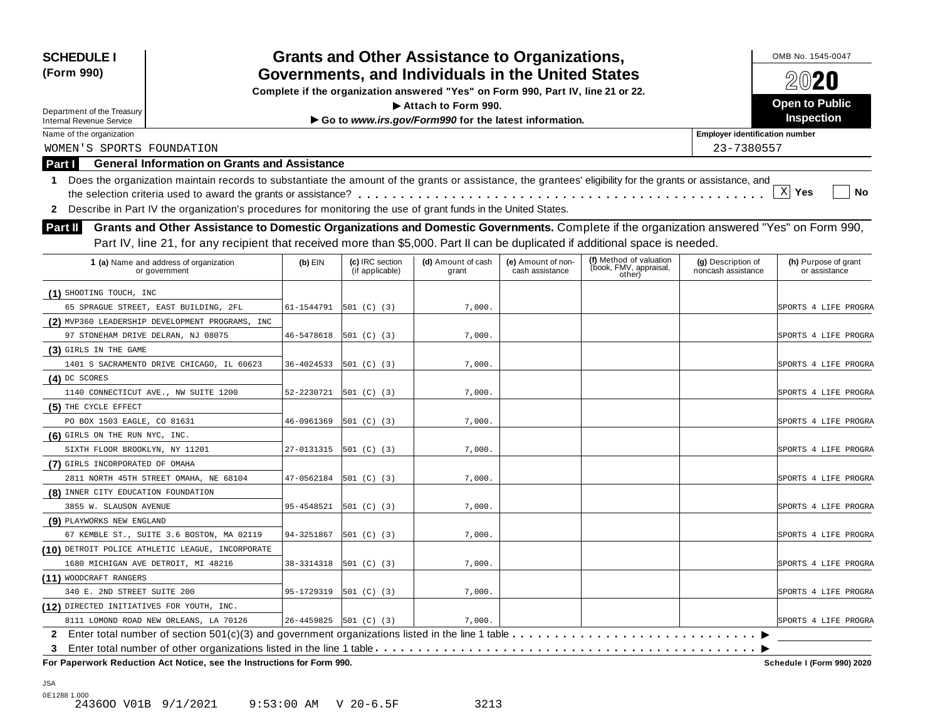| <b>SCHEDULE I</b><br>(Form 990)                                                                                                                                 |            |                 | <b>Grants and Other Assistance to Organizations,</b><br>Governments, and Individuals in the United States |                    |                                  |                                       | OMB No. 1545-0047                 |
|-----------------------------------------------------------------------------------------------------------------------------------------------------------------|------------|-----------------|-----------------------------------------------------------------------------------------------------------|--------------------|----------------------------------|---------------------------------------|-----------------------------------|
|                                                                                                                                                                 |            |                 | $20\mathbf{20}$                                                                                           |                    |                                  |                                       |                                   |
|                                                                                                                                                                 |            |                 | Complete if the organization answered "Yes" on Form 990, Part IV, line 21 or 22.                          |                    |                                  |                                       | <b>Open to Public</b>             |
| Department of the Treasury                                                                                                                                      |            |                 | Attach to Form 990.                                                                                       |                    |                                  |                                       | <b>Inspection</b>                 |
| <b>Internal Revenue Service</b>                                                                                                                                 |            |                 | Go to www.irs.gov/Form990 for the latest information.                                                     |                    |                                  |                                       |                                   |
| Name of the organization                                                                                                                                        |            |                 |                                                                                                           |                    |                                  | <b>Employer identification number</b> |                                   |
| WOMEN'S SPORTS FOUNDATION                                                                                                                                       |            |                 |                                                                                                           |                    |                                  | 23-7380557                            |                                   |
| <b>General Information on Grants and Assistance</b><br>Part I                                                                                                   |            |                 |                                                                                                           |                    |                                  |                                       |                                   |
| Does the organization maintain records to substantiate the amount of the grants or assistance, the grantees' eligibility for the grants or assistance, and<br>1 |            |                 |                                                                                                           |                    |                                  |                                       |                                   |
|                                                                                                                                                                 |            |                 |                                                                                                           |                    |                                  |                                       | X <br>Yes<br>No                   |
| Describe in Part IV the organization's procedures for monitoring the use of grant funds in the United States.<br>2                                              |            |                 |                                                                                                           |                    |                                  |                                       |                                   |
| Grants and Other Assistance to Domestic Organizations and Domestic Governments. Complete if the organization answered "Yes" on Form 990,<br><b>Part II</b>      |            |                 |                                                                                                           |                    |                                  |                                       |                                   |
| Part IV, line 21, for any recipient that received more than \$5,000. Part II can be duplicated if additional space is needed.                                   |            |                 |                                                                                                           |                    |                                  |                                       |                                   |
|                                                                                                                                                                 |            | (c) IRC section | (d) Amount of cash                                                                                        | (e) Amount of non- | (f) Method of valuation          | (g) Description of                    | (h) Purpose of grant              |
| 1 (a) Name and address of organization<br>or government                                                                                                         | $(b)$ EIN  | (if applicable) | grant                                                                                                     | cash assistance    | (book, FMV, appraisal,<br>other) | noncash assistance                    | or assistance                     |
| (1) SHOOTING TOUCH, INC                                                                                                                                         |            |                 |                                                                                                           |                    |                                  |                                       |                                   |
| 65 SPRAGUE STREET, EAST BUILDING, 2FL                                                                                                                           | 61-1544791 | [501 (C) (3)    | 7,000.                                                                                                    |                    |                                  |                                       | SPORTS 4 LIFE PROGRA              |
| (2) MVP360 LEADERSHIP DEVELOPMENT PROGRAMS, INC                                                                                                                 |            |                 |                                                                                                           |                    |                                  |                                       |                                   |
| 97 STONEHAM DRIVE DELRAN, NJ 08075                                                                                                                              | 46-5478618 | [501 (C) (3)    | 7,000.                                                                                                    |                    |                                  |                                       | SPORTS 4 LIFE PROGRA              |
| (3) GIRLS IN THE GAME                                                                                                                                           |            |                 |                                                                                                           |                    |                                  |                                       |                                   |
| 1401 S SACRAMENTO DRIVE CHICAGO, IL 60623                                                                                                                       | 36-4024533 | [501 (C) (3)    | 7,000.                                                                                                    |                    |                                  |                                       | SPORTS 4 LIFE PROGRA              |
| $(4)$ DC SCORES                                                                                                                                                 |            |                 |                                                                                                           |                    |                                  |                                       |                                   |
| 1140 CONNECTICUT AVE., NW SUITE 1200                                                                                                                            | 52-2230721 | [501 (C) (3)    | 7,000.                                                                                                    |                    |                                  |                                       | SPORTS 4 LIFE PROGRA              |
| (5) THE CYCLE EFFECT                                                                                                                                            |            |                 |                                                                                                           |                    |                                  |                                       |                                   |
| PO BOX 1503 EAGLE, CO 81631                                                                                                                                     | 46-0961369 | 501 (C) (3)     | 7,000.                                                                                                    |                    |                                  |                                       | SPORTS 4 LIFE PROGRA              |
| (6) GIRLS ON THE RUN NYC, INC.                                                                                                                                  |            |                 |                                                                                                           |                    |                                  |                                       |                                   |
| SIXTH FLOOR BROOKLYN, NY 11201                                                                                                                                  | 27-0131315 | [501 (C) (3)    | 7,000.                                                                                                    |                    |                                  |                                       | SPORTS 4 LIFE PROGRA              |
| (7) GIRLS INCORPORATED OF OMAHA                                                                                                                                 |            |                 |                                                                                                           |                    |                                  |                                       |                                   |
| 2811 NORTH 45TH STREET OMAHA, NE 68104                                                                                                                          | 47-0562184 | [501 (C) (3)    | 7,000.                                                                                                    |                    |                                  |                                       | SPORTS 4 LIFE PROGRA              |
| (8) INNER CITY EDUCATION FOUNDATION                                                                                                                             |            |                 |                                                                                                           |                    |                                  |                                       |                                   |
| 3855 W. SLAUSON AVENUE                                                                                                                                          | 95-4548521 | [501 (C) (3)    | 7,000.                                                                                                    |                    |                                  |                                       | SPORTS 4 LIFE PROGRA              |
| (9) PLAYWORKS NEW ENGLAND                                                                                                                                       |            |                 |                                                                                                           |                    |                                  |                                       |                                   |
| 67 KEMBLE ST., SUITE 3.6 BOSTON, MA 02119                                                                                                                       | 94-3251867 | [501 (C) (3)    | 7,000.                                                                                                    |                    |                                  |                                       | SPORTS 4 LIFE PROGRA              |
| (10) DETROIT POLICE ATHLETIC LEAGUE, INCORPORATE                                                                                                                |            |                 |                                                                                                           |                    |                                  |                                       |                                   |
| 1680 MICHIGAN AVE DETROIT, MI 48216                                                                                                                             | 38-3314318 | 501 (C) (3)     | 7,000.                                                                                                    |                    |                                  |                                       | SPORTS 4 LIFE PROGRA              |
| (11) WOODCRAFT RANGERS                                                                                                                                          |            |                 |                                                                                                           |                    |                                  |                                       |                                   |
| 340 E. 2ND STREET SUITE 200                                                                                                                                     | 95-1729319 | 501 (C) (3)     | 7,000.                                                                                                    |                    |                                  |                                       | SPORTS 4 LIFE PROGRA              |
| (12) DIRECTED INITIATIVES FOR YOUTH, INC.                                                                                                                       |            |                 |                                                                                                           |                    |                                  |                                       |                                   |
| 8111 LOMOND ROAD NEW ORLEANS, LA 70126                                                                                                                          | 26-4459825 | 501 (C) (3)     | 7,000.                                                                                                    |                    |                                  |                                       | SPORTS 4 LIFE PROGRA              |
|                                                                                                                                                                 |            |                 |                                                                                                           |                    |                                  |                                       |                                   |
| 3                                                                                                                                                               |            |                 |                                                                                                           |                    |                                  |                                       |                                   |
| For Paperwork Reduction Act Notice, see the Instructions for Form 990.                                                                                          |            |                 |                                                                                                           |                    |                                  |                                       | <b>Schedule I (Form 990) 2020</b> |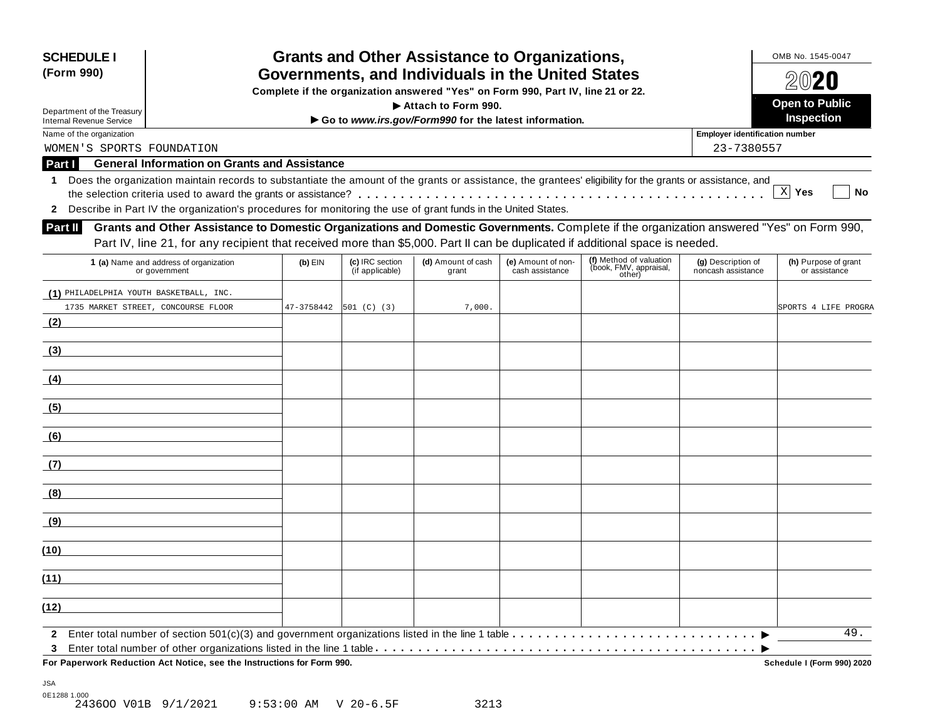| <b>SCHEDULE I</b><br>(Form 990)                               |                                                                                                                                                                                                                                                                                                                                      |            |                                    | <b>Grants and Other Assistance to Organizations,</b><br>Governments, and Individuals in the United States<br>Complete if the organization answered "Yes" on Form 990, Part IV, line 21 or 22.<br>Attach to Form 990. |                                       |                                                             |                                          | OMB No. 1545-0047<br>$20$ 20<br><b>Open to Public</b> |
|---------------------------------------------------------------|--------------------------------------------------------------------------------------------------------------------------------------------------------------------------------------------------------------------------------------------------------------------------------------------------------------------------------------|------------|------------------------------------|----------------------------------------------------------------------------------------------------------------------------------------------------------------------------------------------------------------------|---------------------------------------|-------------------------------------------------------------|------------------------------------------|-------------------------------------------------------|
| Department of the Treasury<br><b>Internal Revenue Service</b> |                                                                                                                                                                                                                                                                                                                                      |            |                                    | Go to www.irs.gov/Form990 for the latest information.                                                                                                                                                                |                                       |                                                             |                                          | Inspection                                            |
| Name of the organization                                      |                                                                                                                                                                                                                                                                                                                                      |            |                                    |                                                                                                                                                                                                                      |                                       |                                                             | Employer identification number           |                                                       |
| WOMEN'S SPORTS FOUNDATION                                     |                                                                                                                                                                                                                                                                                                                                      |            |                                    |                                                                                                                                                                                                                      |                                       |                                                             | 23-7380557                               |                                                       |
| Part I<br>1                                                   | <b>General Information on Grants and Assistance</b><br>Does the organization maintain records to substantiate the amount of the grants or assistance, the grantees' eligibility for the grants or assistance, and<br>2 Describe in Part IV the organization's procedures for monitoring the use of grant funds in the United States. |            |                                    |                                                                                                                                                                                                                      |                                       |                                                             |                                          | X <br>Yes<br>No                                       |
| Part II                                                       | Grants and Other Assistance to Domestic Organizations and Domestic Governments. Complete if the organization answered "Yes" on Form 990,<br>Part IV, line 21, for any recipient that received more than \$5,000. Part II can be duplicated if additional space is needed.                                                            |            |                                    |                                                                                                                                                                                                                      |                                       |                                                             |                                          |                                                       |
|                                                               | 1 (a) Name and address of organization<br>or government                                                                                                                                                                                                                                                                              | $(b)$ EIN  | (c) IRC section<br>(if applicable) | (d) Amount of cash<br>grant                                                                                                                                                                                          | (e) Amount of non-<br>cash assistance | (f) Method of valuation<br>(book, FMV, appraisal,<br>other) | (g) Description of<br>noncash assistance | (h) Purpose of grant<br>or assistance                 |
| (1) PHILADELPHIA YOUTH BASKETBALL, INC.<br>(2)                | 1735 MARKET STREET, CONCOURSE FLOOR                                                                                                                                                                                                                                                                                                  | 47-3758442 | 501 (C) (3)                        | 7,000.                                                                                                                                                                                                               |                                       |                                                             |                                          | SPORTS 4 LIFE PROGRA                                  |
| (3)                                                           |                                                                                                                                                                                                                                                                                                                                      |            |                                    |                                                                                                                                                                                                                      |                                       |                                                             |                                          |                                                       |
| (4)                                                           |                                                                                                                                                                                                                                                                                                                                      |            |                                    |                                                                                                                                                                                                                      |                                       |                                                             |                                          |                                                       |
| (5)                                                           |                                                                                                                                                                                                                                                                                                                                      |            |                                    |                                                                                                                                                                                                                      |                                       |                                                             |                                          |                                                       |
| (6)                                                           |                                                                                                                                                                                                                                                                                                                                      |            |                                    |                                                                                                                                                                                                                      |                                       |                                                             |                                          |                                                       |
| (7)                                                           |                                                                                                                                                                                                                                                                                                                                      |            |                                    |                                                                                                                                                                                                                      |                                       |                                                             |                                          |                                                       |
| (8)                                                           |                                                                                                                                                                                                                                                                                                                                      |            |                                    |                                                                                                                                                                                                                      |                                       |                                                             |                                          |                                                       |
| (9)                                                           |                                                                                                                                                                                                                                                                                                                                      |            |                                    |                                                                                                                                                                                                                      |                                       |                                                             |                                          |                                                       |
| (10)                                                          |                                                                                                                                                                                                                                                                                                                                      |            |                                    |                                                                                                                                                                                                                      |                                       |                                                             |                                          |                                                       |
| (11)                                                          |                                                                                                                                                                                                                                                                                                                                      |            |                                    |                                                                                                                                                                                                                      |                                       |                                                             |                                          |                                                       |
| (12)                                                          |                                                                                                                                                                                                                                                                                                                                      |            |                                    |                                                                                                                                                                                                                      |                                       |                                                             |                                          |                                                       |
| 3                                                             |                                                                                                                                                                                                                                                                                                                                      |            |                                    |                                                                                                                                                                                                                      |                                       |                                                             |                                          | 49.                                                   |
|                                                               | For Paperwork Reduction Act Notice, see the Instructions for Form 990.                                                                                                                                                                                                                                                               |            |                                    |                                                                                                                                                                                                                      |                                       |                                                             |                                          | Schedule I (Form 990) 2020                            |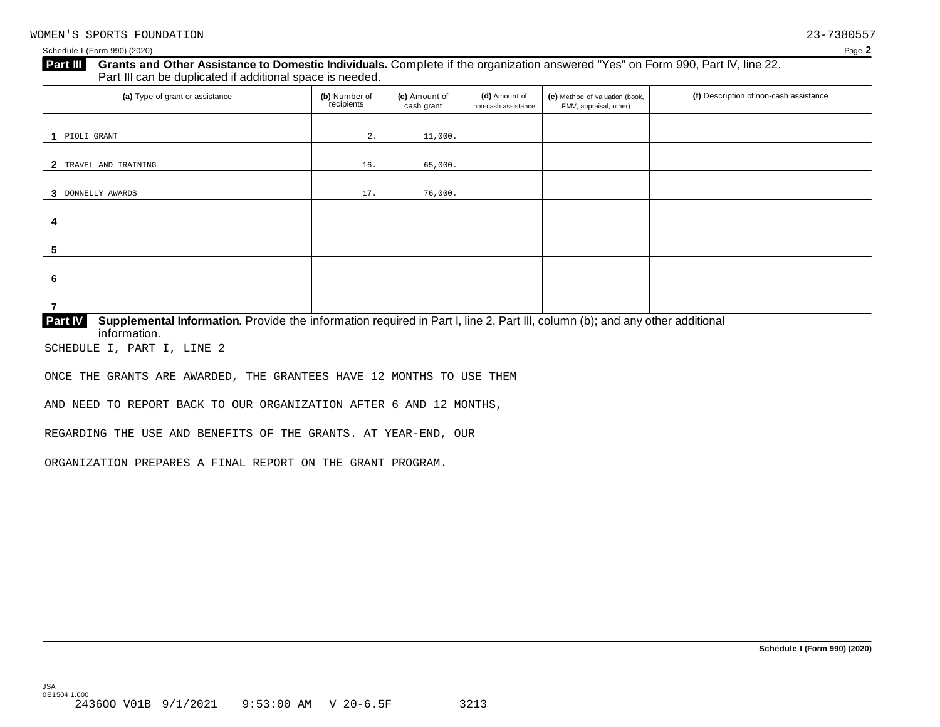Schedule I (Form 990) (2020) Page **2**

#### **Grants and Other Assistance to Domestic Individuals.** Complete ifthe organization answered "Yes" on Form 990, Part IV, line 22. **Part III** Grants and Other Assistance to Domestic Individuals<br>Part III can be duplicated if additional space is needed.

| (a) Type of grant or assistance                                                                                                                | (b) Number of<br>recipients | (c) Amount of<br>cash grant | (d) Amount of<br>non-cash assistance | (e) Method of valuation (book,<br>FMV, appraisal, other) | (f) Description of non-cash assistance |  |  |  |
|------------------------------------------------------------------------------------------------------------------------------------------------|-----------------------------|-----------------------------|--------------------------------------|----------------------------------------------------------|----------------------------------------|--|--|--|
|                                                                                                                                                |                             |                             |                                      |                                                          |                                        |  |  |  |
| PIOLI GRANT<br>-1                                                                                                                              | 2.                          | 11,000.                     |                                      |                                                          |                                        |  |  |  |
|                                                                                                                                                |                             |                             |                                      |                                                          |                                        |  |  |  |
| TRAVEL AND TRAINING<br>$\mathbf{2}$                                                                                                            | 16.                         | 65,000.                     |                                      |                                                          |                                        |  |  |  |
|                                                                                                                                                |                             |                             |                                      |                                                          |                                        |  |  |  |
| 3 DONNELLY AWARDS                                                                                                                              | 17.                         | 76,000.                     |                                      |                                                          |                                        |  |  |  |
|                                                                                                                                                |                             |                             |                                      |                                                          |                                        |  |  |  |
|                                                                                                                                                |                             |                             |                                      |                                                          |                                        |  |  |  |
|                                                                                                                                                |                             |                             |                                      |                                                          |                                        |  |  |  |
|                                                                                                                                                |                             |                             |                                      |                                                          |                                        |  |  |  |
|                                                                                                                                                |                             |                             |                                      |                                                          |                                        |  |  |  |
| -6                                                                                                                                             |                             |                             |                                      |                                                          |                                        |  |  |  |
|                                                                                                                                                |                             |                             |                                      |                                                          |                                        |  |  |  |
|                                                                                                                                                |                             |                             |                                      |                                                          |                                        |  |  |  |
| <b>Part IV</b><br>Supplemental Information. Provide the information required in Part I, line 2, Part III, column (b); and any other additional |                             |                             |                                      |                                                          |                                        |  |  |  |

 $information$ . SCHEDULE I, PART I, LINE 2

ONCE THE GRANTS ARE AWARDED, THE GRANTEES HAVE 12 MONTHS TO USE THEM

AND NEED TO REPORT BACK TO OUR ORGANIZATION AFTER 6 AND 12 MONTHS,

REGARDING THE USE AND BENEFITS OF THE GRANTS. AT YEAR-END, OUR

ORGANIZATION PREPARES A FINAL REPORT ON THE GRANT PROGRAM.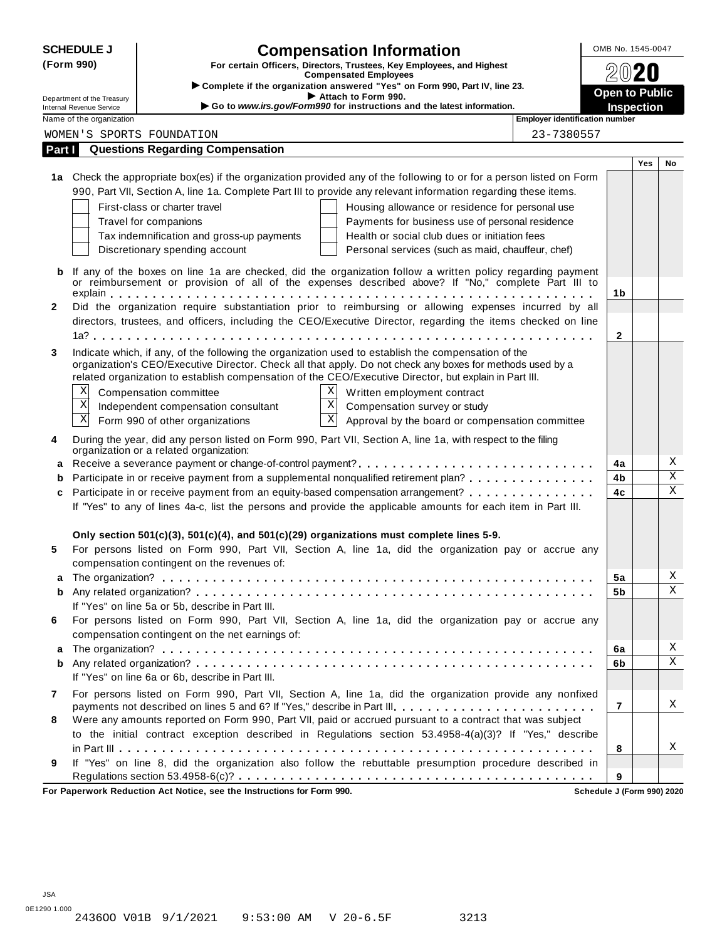|                                                                                                                     | <b>SCHEDULE J</b><br><b>Compensation Information</b>                                                          |                                                                                                                                                                                                                   | OMB No. 1545-0047     |     |              |  |  |
|---------------------------------------------------------------------------------------------------------------------|---------------------------------------------------------------------------------------------------------------|-------------------------------------------------------------------------------------------------------------------------------------------------------------------------------------------------------------------|-----------------------|-----|--------------|--|--|
| (Form 990)<br>For certain Officers, Directors, Trustees, Key Employees, and Highest<br><b>Compensated Employees</b> |                                                                                                               |                                                                                                                                                                                                                   |                       |     |              |  |  |
|                                                                                                                     |                                                                                                               | > Complete if the organization answered "Yes" on Form 990, Part IV, line 23.                                                                                                                                      | <b>Open to Public</b> |     |              |  |  |
|                                                                                                                     | Attach to Form 990.<br>Department of the Treasury                                                             |                                                                                                                                                                                                                   |                       |     |              |  |  |
|                                                                                                                     | Internal Revenue Service                                                                                      | Go to www.irs.gov/Form990 for instructions and the latest information.<br>Employer identification number                                                                                                          | <b>Inspection</b>     |     |              |  |  |
|                                                                                                                     | Name of the organization                                                                                      | WOMEN'S SPORTS FOUNDATION<br>23-7380557                                                                                                                                                                           |                       |     |              |  |  |
| Part I                                                                                                              |                                                                                                               | <b>Questions Regarding Compensation</b>                                                                                                                                                                           |                       |     |              |  |  |
|                                                                                                                     |                                                                                                               |                                                                                                                                                                                                                   |                       | Yes | No           |  |  |
|                                                                                                                     |                                                                                                               | 1a Check the appropriate box(es) if the organization provided any of the following to or for a person listed on Form                                                                                              |                       |     |              |  |  |
|                                                                                                                     |                                                                                                               | 990, Part VII, Section A, line 1a. Complete Part III to provide any relevant information regarding these items.                                                                                                   |                       |     |              |  |  |
|                                                                                                                     |                                                                                                               | First-class or charter travel<br>Housing allowance or residence for personal use                                                                                                                                  |                       |     |              |  |  |
|                                                                                                                     |                                                                                                               | Travel for companions<br>Payments for business use of personal residence                                                                                                                                          |                       |     |              |  |  |
|                                                                                                                     |                                                                                                               | Health or social club dues or initiation fees<br>Tax indemnification and gross-up payments                                                                                                                        |                       |     |              |  |  |
|                                                                                                                     |                                                                                                               | Discretionary spending account<br>Personal services (such as maid, chauffeur, chef)                                                                                                                               |                       |     |              |  |  |
|                                                                                                                     |                                                                                                               |                                                                                                                                                                                                                   |                       |     |              |  |  |
|                                                                                                                     |                                                                                                               | If any of the boxes on line 1a are checked, did the organization follow a written policy regarding payment<br>or reimbursement or provision of all of the expenses described above? If "No," complete Part III to |                       |     |              |  |  |
|                                                                                                                     |                                                                                                               |                                                                                                                                                                                                                   | 1b                    |     |              |  |  |
| 2                                                                                                                   |                                                                                                               | Did the organization require substantiation prior to reimbursing or allowing expenses incurred by all                                                                                                             |                       |     |              |  |  |
|                                                                                                                     |                                                                                                               | directors, trustees, and officers, including the CEO/Executive Director, regarding the items checked on line                                                                                                      |                       |     |              |  |  |
|                                                                                                                     |                                                                                                               |                                                                                                                                                                                                                   | $\mathbf{2}$          |     |              |  |  |
| 3                                                                                                                   |                                                                                                               | Indicate which, if any, of the following the organization used to establish the compensation of the                                                                                                               |                       |     |              |  |  |
|                                                                                                                     |                                                                                                               | organization's CEO/Executive Director. Check all that apply. Do not check any boxes for methods used by a                                                                                                         |                       |     |              |  |  |
|                                                                                                                     |                                                                                                               | related organization to establish compensation of the CEO/Executive Director, but explain in Part III.                                                                                                            |                       |     |              |  |  |
|                                                                                                                     | Χ                                                                                                             | X<br>Compensation committee<br>Written employment contract                                                                                                                                                        |                       |     |              |  |  |
|                                                                                                                     | X                                                                                                             | $\bold{X}$<br>Compensation survey or study<br>Independent compensation consultant                                                                                                                                 |                       |     |              |  |  |
|                                                                                                                     | $\mathbf X$                                                                                                   | $\mathbf X$<br>Form 990 of other organizations<br>Approval by the board or compensation committee                                                                                                                 |                       |     |              |  |  |
| 4                                                                                                                   |                                                                                                               | During the year, did any person listed on Form 990, Part VII, Section A, line 1a, with respect to the filing                                                                                                      |                       |     |              |  |  |
|                                                                                                                     |                                                                                                               | organization or a related organization:                                                                                                                                                                           |                       |     |              |  |  |
|                                                                                                                     |                                                                                                               |                                                                                                                                                                                                                   | 4a                    |     | Χ<br>$\rm X$ |  |  |
|                                                                                                                     | Participate in or receive payment from a supplemental nonqualified retirement plan?                           |                                                                                                                                                                                                                   |                       |     |              |  |  |
| c                                                                                                                   | Participate in or receive payment from an equity-based compensation arrangement?                              |                                                                                                                                                                                                                   |                       |     |              |  |  |
|                                                                                                                     | If "Yes" to any of lines 4a-c, list the persons and provide the applicable amounts for each item in Part III. |                                                                                                                                                                                                                   |                       |     |              |  |  |
|                                                                                                                     |                                                                                                               |                                                                                                                                                                                                                   |                       |     |              |  |  |
|                                                                                                                     |                                                                                                               | Only section 501(c)(3), 501(c)(4), and 501(c)(29) organizations must complete lines 5-9.                                                                                                                          |                       |     |              |  |  |
| 5                                                                                                                   |                                                                                                               | For persons listed on Form 990, Part VII, Section A, line 1a, did the organization pay or accrue any                                                                                                              |                       |     |              |  |  |
|                                                                                                                     |                                                                                                               | compensation contingent on the revenues of:                                                                                                                                                                       |                       |     | Χ            |  |  |
|                                                                                                                     |                                                                                                               |                                                                                                                                                                                                                   | 5a                    |     | X            |  |  |
| b                                                                                                                   |                                                                                                               | If "Yes" on line 5a or 5b, describe in Part III.                                                                                                                                                                  | 5b                    |     |              |  |  |
| 6                                                                                                                   |                                                                                                               | For persons listed on Form 990, Part VII, Section A, line 1a, did the organization pay or accrue any                                                                                                              |                       |     |              |  |  |
|                                                                                                                     |                                                                                                               | compensation contingent on the net earnings of:                                                                                                                                                                   |                       |     |              |  |  |
| a                                                                                                                   |                                                                                                               |                                                                                                                                                                                                                   | 6a                    |     | Χ            |  |  |
| b                                                                                                                   |                                                                                                               |                                                                                                                                                                                                                   | 6b                    |     | $\mathbf X$  |  |  |
|                                                                                                                     |                                                                                                               | If "Yes" on line 6a or 6b, describe in Part III.                                                                                                                                                                  |                       |     |              |  |  |
| $\overline{7}$                                                                                                      |                                                                                                               | For persons listed on Form 990, Part VII, Section A, line 1a, did the organization provide any nonfixed                                                                                                           |                       |     |              |  |  |
|                                                                                                                     |                                                                                                               |                                                                                                                                                                                                                   | $\overline{7}$        |     | Χ            |  |  |
| 8                                                                                                                   |                                                                                                               | Were any amounts reported on Form 990, Part VII, paid or accrued pursuant to a contract that was subject                                                                                                          |                       |     |              |  |  |
|                                                                                                                     |                                                                                                               | to the initial contract exception described in Regulations section 53.4958-4(a)(3)? If "Yes," describe                                                                                                            |                       |     |              |  |  |
|                                                                                                                     |                                                                                                               |                                                                                                                                                                                                                   | 8                     |     | Χ            |  |  |
| 9                                                                                                                   |                                                                                                               | If "Yes" on line 8, did the organization also follow the rebuttable presumption procedure described in                                                                                                            |                       |     |              |  |  |
|                                                                                                                     |                                                                                                               |                                                                                                                                                                                                                   | 9                     |     |              |  |  |
|                                                                                                                     |                                                                                                               | <b>Contradication And Motion and the</b>                                                                                                                                                                          |                       |     |              |  |  |

**For Paperwork Reduction Act Notice, see the Instructions for Form 990. Schedule J (Form 990) 2020**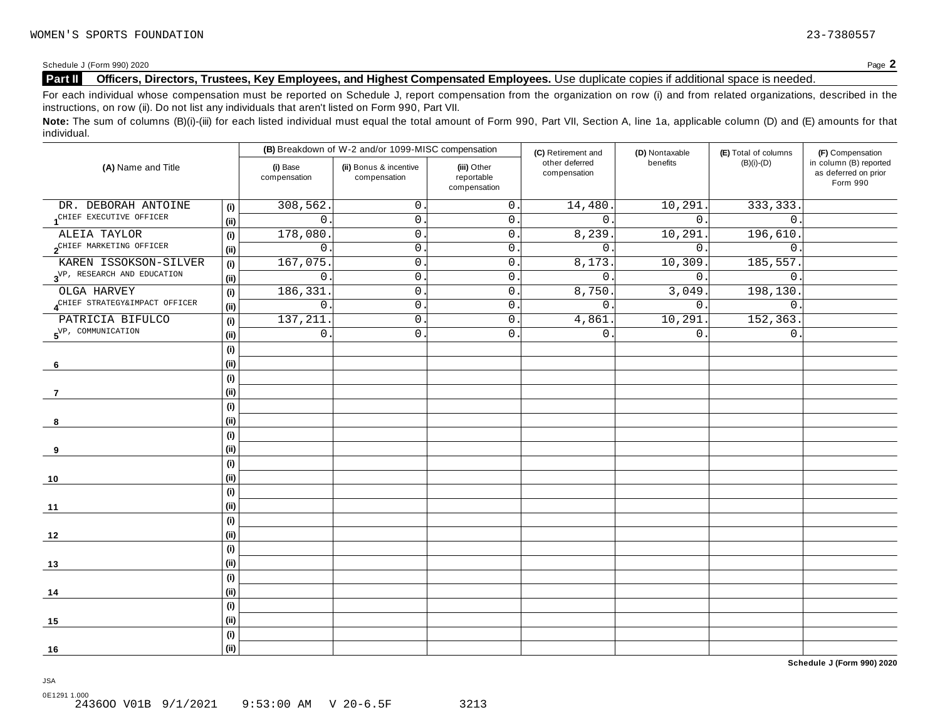Schedule <sup>J</sup> (Form 990) <sup>2020</sup> Page **2**

### **Part II Officers, Directors, Trustees, Key Employees, and Highest Compensated Employees.** Use duplicate copies ifadditional space is needed.

For each individual whose compensation must be reported on Schedule J, report compensation from the organization on row (i) and from related organizations, described in the instructions, on row (ii). Do not list any individuals that aren't listed on Form 990, Part VII.

Note: The sum of columns (B)(i)-(iii) for each listed individual must equal the total amount of Form 990, Part VII, Section A, line 1a, applicable column (D) and (E) amounts for that individual.

|                                         |                              |                          | (B) Breakdown of W-2 and/or 1099-MISC compensation |                                           | (C) Retirement and             | (D) Nontaxable | (E) Total of columns | (F) Compensation                                           |
|-----------------------------------------|------------------------------|--------------------------|----------------------------------------------------|-------------------------------------------|--------------------------------|----------------|----------------------|------------------------------------------------------------|
| (A) Name and Title                      |                              | (i) Base<br>compensation | (ii) Bonus & incentive<br>compensation             | (iii) Other<br>reportable<br>compensation | other deferred<br>compensation | benefits       | $(B)(i)-(D)$         | in column (B) reported<br>as deferred on prior<br>Form 990 |
| DR. DEBORAH ANTOINE                     | (i)                          | 308,562.                 | 0                                                  | $\mathsf{0}$ .                            | 14,480.                        | 10,291         | 333, 333.            |                                                            |
| CHIEF EXECUTIVE OFFICER                 | (i)                          | $\mathsf{O}$             | $\mathsf{O}$ .                                     | $\mathsf{O}$ .                            | $\mathsf{O}$ .                 | $0$ .          | $\mathsf{O}$ .       |                                                            |
| ALEIA TAYLOR                            | (i)                          | 178,080                  | $\mathsf{O}$ .                                     | $\mathsf{O}\xspace$                       | 8,239                          | 10,291         | 196,610.             |                                                            |
| 2 <sup>CHIEF</sup> MARKETING OFFICER    | (i)                          | $\mathsf{O}\xspace$      | $\mathsf{O}$ .                                     | 0                                         | $0$ .                          | $0$ .          | $\mathbf 0$ .        |                                                            |
| KAREN ISSOKSON-SILVER                   | (i)                          | 167,075                  | $\mathsf{O}$ .                                     | $\mathsf{O}$ .                            | 8,173.                         | 10,309         | 185, 557.            |                                                            |
| 3 <sup>VP, RESEARCH</sup> AND EDUCATION | (i)                          | 0                        | $\mathbf{0}$ .                                     | $\mathbf 0$ .                             | 0.                             | 0.             | $\mathsf{0}$ .       |                                                            |
| OLGA HARVEY                             | (i)                          | 186, 331                 | 0                                                  | $\mathsf{O}$                              | 8,750.                         | 3,049.         | 198,130.             |                                                            |
| ACHIEF STRATEGY&IMPACT OFFICER          | (i)                          | $\mathsf{O}$             | $\mathsf{O}$ .                                     | $0\,$ .                                   | $0$ .                          | 0.             | $\mathbf 0$ .        |                                                            |
| PATRICIA BIFULCO                        | (i)                          | 137,211                  | $\mathsf{O}$ .                                     | $0\,$ .                                   | 4,861                          | 10,291.        | 152,363.             |                                                            |
| $5^{\text{VP}}$ , COMMUNICATION         | (i)                          | $\mathsf{O}\xspace$      | $\overline{0}$ .                                   | $\mathsf{O}\xspace$                       | $0$ .                          | 0.             | $0\,$ .              |                                                            |
|                                         | (i)                          |                          |                                                    |                                           |                                |                |                      |                                                            |
| 6                                       | (i)                          |                          |                                                    |                                           |                                |                |                      |                                                            |
|                                         | (i)                          |                          |                                                    |                                           |                                |                |                      |                                                            |
| 7                                       | (i)                          |                          |                                                    |                                           |                                |                |                      |                                                            |
|                                         | $\qquad \qquad \textbf{(i)}$ |                          |                                                    |                                           |                                |                |                      |                                                            |
| 8                                       | (i)                          |                          |                                                    |                                           |                                |                |                      |                                                            |
|                                         | (i)                          |                          |                                                    |                                           |                                |                |                      |                                                            |
| 9                                       | (i)                          |                          |                                                    |                                           |                                |                |                      |                                                            |
|                                         | (i)                          |                          |                                                    |                                           |                                |                |                      |                                                            |
| 10                                      | (i)                          |                          |                                                    |                                           |                                |                |                      |                                                            |
|                                         | (i)                          |                          |                                                    |                                           |                                |                |                      |                                                            |
| 11                                      | (i)                          |                          |                                                    |                                           |                                |                |                      |                                                            |
|                                         | (i)                          |                          |                                                    |                                           |                                |                |                      |                                                            |
| 12                                      | (ii)                         |                          |                                                    |                                           |                                |                |                      |                                                            |
|                                         | (i)                          |                          |                                                    |                                           |                                |                |                      |                                                            |
| 13                                      | (i)                          |                          |                                                    |                                           |                                |                |                      |                                                            |
|                                         | (i)                          |                          |                                                    |                                           |                                |                |                      |                                                            |
| 14                                      | (i)                          |                          |                                                    |                                           |                                |                |                      |                                                            |
|                                         | (i)                          |                          |                                                    |                                           |                                |                |                      |                                                            |
| 15                                      | (i)                          |                          |                                                    |                                           |                                |                |                      |                                                            |
|                                         | (i)                          |                          |                                                    |                                           |                                |                |                      |                                                            |
| 16                                      | (ii)                         |                          |                                                    |                                           |                                |                |                      |                                                            |

**Schedule J (Form 990) 2020**

JSA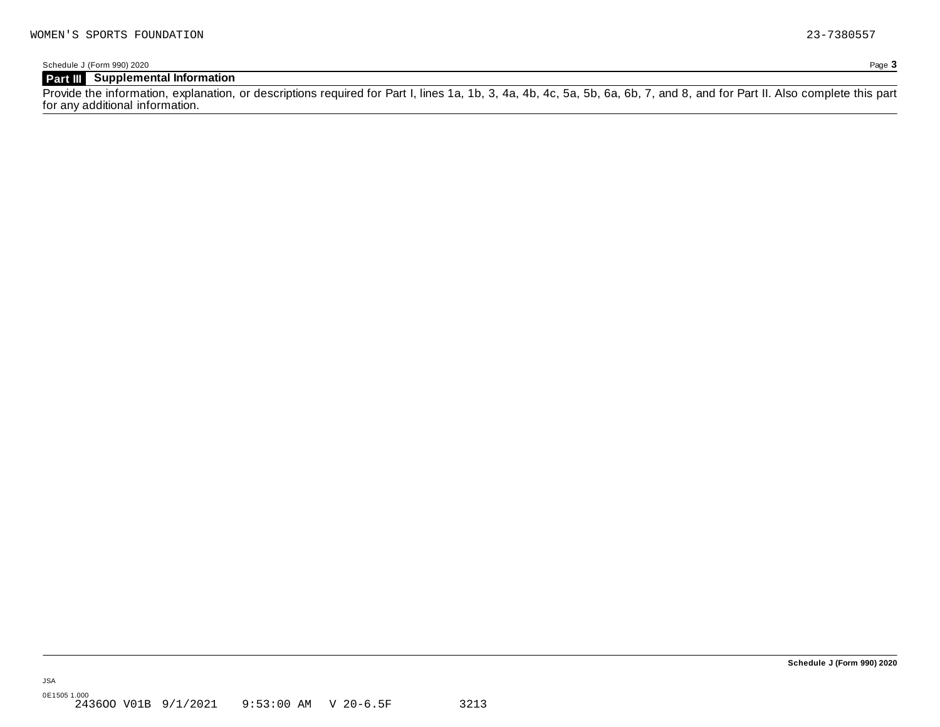Schedule J (Form 990) 2020 Page **3**

### **Part III Supplemental Information**

Provide the information, explanation, or descriptions required for Part I, lines 1a, 1b, 3, 4a, 4b, 4c, 5a, 5b, 6a, 6b, 7, and 8, and for Part II. Also complete this part for any additional information.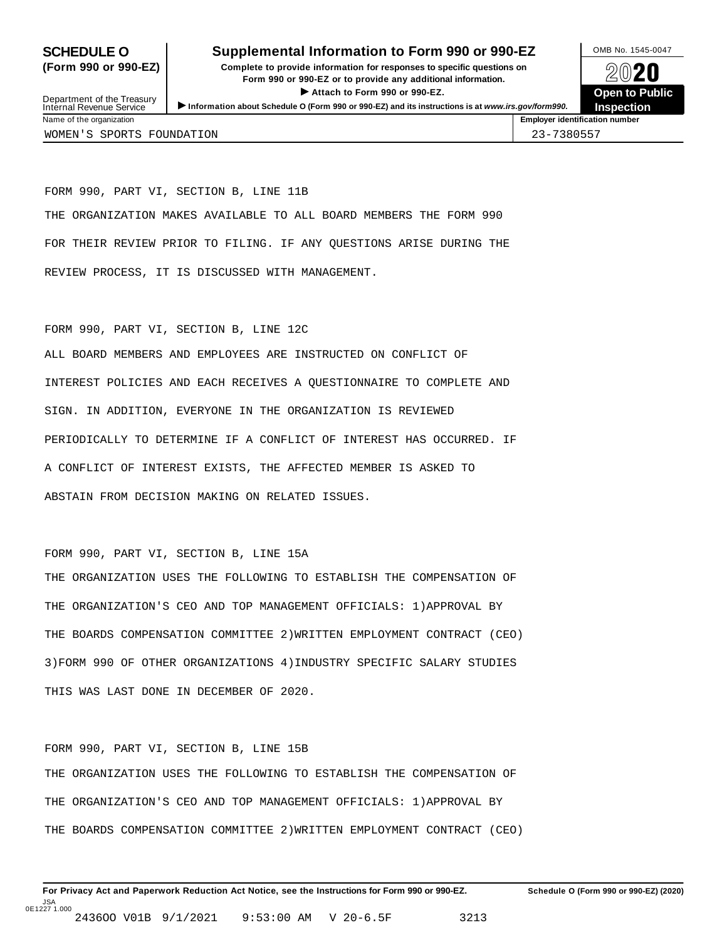### **SCHEDULE O** Supplemental Information to Form 990 or 990-EZ DAMB No. 1545-0047

**(Form 990 or 990-EZ) Complete to provide information for responses to specific questions on** plete to provide information for responses to specific questions on  $\bigotimes_{\mathbb{Z}}\mathbb{Q}$  20 **EVEC**<br>
■ Attach to Form 990 or 990-EZ.<br>
■ Attach to Form 990 or 990-EZ. Department of the Treasury <br>Depen to Public<br>Name of the organization<br>Name of the organization<br>Name of the organization<br>Name of the organization<br>Inspection



Department of the Treasury<br>Internal Revenue Service

WOMEN'S SPORTS FOUNDATION 23-7380557

FORM 990, PART VI, SECTION B, LINE 11B THE ORGANIZATION MAKES AVAILABLE TO ALL BOARD MEMBERS THE FORM 990 FOR THEIR REVIEW PRIOR TO FILING. IF ANY QUESTIONS ARISE DURING THE REVIEW PROCESS, IT IS DISCUSSED WITH MANAGEMENT.

FORM 990, PART VI, SECTION B, LINE 12C

ALL BOARD MEMBERS AND EMPLOYEES ARE INSTRUCTED ON CONFLICT OF INTEREST POLICIES AND EACH RECEIVES A QUESTIONNAIRE TO COMPLETE AND SIGN. IN ADDITION, EVERYONE IN THE ORGANIZATION IS REVIEWED PERIODICALLY TO DETERMINE IF A CONFLICT OF INTEREST HAS OCCURRED. IF A CONFLICT OF INTEREST EXISTS, THE AFFECTED MEMBER IS ASKED TO ABSTAIN FROM DECISION MAKING ON RELATED ISSUES.

FORM 990, PART VI, SECTION B, LINE 15A

THE ORGANIZATION USES THE FOLLOWING TO ESTABLISH THE COMPENSATION OF THE ORGANIZATION'S CEO AND TOP MANAGEMENT OFFICIALS: 1)APPROVAL BY THE BOARDS COMPENSATION COMMITTEE 2)WRITTEN EMPLOYMENT CONTRACT (CEO) 3)FORM 990 OF OTHER ORGANIZATIONS 4)INDUSTRY SPECIFIC SALARY STUDIES THIS WAS LAST DONE IN DECEMBER OF 2020.

FORM 990, PART VI, SECTION B, LINE 15B THE ORGANIZATION USES THE FOLLOWING TO ESTABLISH THE COMPENSATION OF THE ORGANIZATION'S CEO AND TOP MANAGEMENT OFFICIALS: 1)APPROVAL BY THE BOARDS COMPENSATION COMMITTEE 2)WRITTEN EMPLOYMENT CONTRACT (CEO)